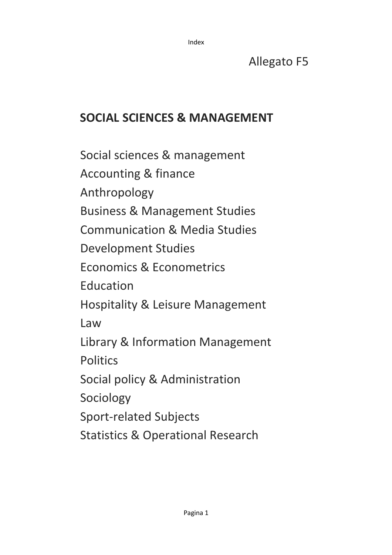# Allegato F5

# **SOCIAL SCIENCES & MANAGEMENT**

Social sciences & management Accounting & finance Anthropology Business & Management Studies Communication & Media Studies Development Studies Economics & Econometrics Education Hospitality & Leisure Management Law Library & Information Management **Politics** Social policy & Administration Sociology Sport-related Subjects Statistics & Operational Research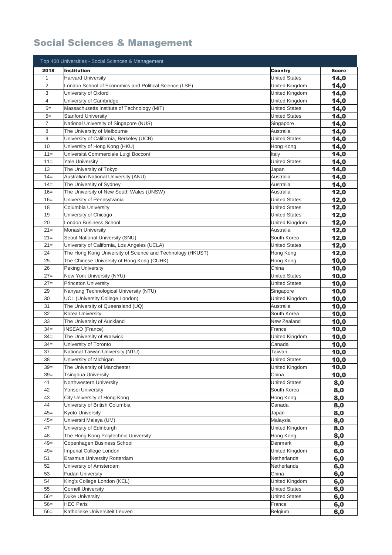## Social Sciences & Management

|                | Top 400 Universities - Social Sciences & Management        |                      |              |
|----------------|------------------------------------------------------------|----------------------|--------------|
| 2018           | <b>Institution</b>                                         | <b>Country</b>       | <b>Score</b> |
| $\mathbf{1}$   | <b>Harvard University</b>                                  | <b>United States</b> | 14,0         |
| $\overline{c}$ | London School of Economics and Political Science (LSE)     | United Kingdom       | 14,0         |
| 3              | University of Oxford                                       | United Kingdom       | 14,0         |
| 4              | University of Cambridge                                    | United Kingdom       | 14,0         |
| $5=$           | Massachusetts Institute of Technology (MIT)                | <b>United States</b> | 14,0         |
| $5=$           | <b>Stanford University</b>                                 | <b>United States</b> | 14,0         |
| 7              | National University of Singapore (NUS)                     | Singapore            | 14,0         |
| 8              | The University of Melbourne                                | Australia            | 14,0         |
| 9              | University of California, Berkeley (UCB)                   | <b>United States</b> | 14,0         |
| 10             | University of Hong Kong (HKU)                              | Hong Kong            | 14,0         |
| $11 =$         | Università Commerciale Luigi Bocconi                       | Italy                | 14,0         |
| $11 =$         | <b>Yale University</b>                                     | <b>United States</b> | 14,0         |
| 13             | The University of Tokyo                                    | Japan                | 14,0         |
| $14 =$         | Australian National University (ANU)                       | Australia            | 14,0         |
| $14 =$         | The University of Sydney                                   | Australia            | 14,0         |
| $16=$          | The University of New South Wales (UNSW)                   | Australia            | 12,0         |
| $16=$          | University of Pennsylvania                                 | <b>United States</b> | 12,0         |
| 18             | Columbia University                                        | <b>United States</b> | 12,0         |
| 19             | University of Chicago                                      | <b>United States</b> | 12,0         |
| 20             | ondon Business School                                      | United Kingdom       | 12,0         |
| $21=$          | <b>Monash University</b>                                   | Australia            | 12,0         |
| $21 =$         | Seoul National University (SNU)                            | South Korea          | 12,0         |
| $21=$          | University of California, Los Angeles (UCLA)               | <b>United States</b> | 12,0         |
| 24             | The Hong Kong University of Science and Technology (HKUST) | Hong Kong            | 12,0         |
| 25             | The Chinese University of Hong Kong (CUHK)                 | Hong Kong            | 10,0         |
| 26             | <b>Peking University</b>                                   | China                | 10,0         |
| $27=$          | New York University (NYU)                                  | <b>United States</b> | 10,0         |
| $27 =$         | <b>Princeton University</b>                                | <b>United States</b> | 10,0         |
| 29             | Nanyang Technological University (NTU)                     | Singapore            | 10,0         |
| 30             | UCL (University College London)                            | United Kingdom       | 10,0         |
| 31             | The University of Queensland (UQ)                          | Australia            | 10,0         |
| 32             | Korea University                                           | South Korea          | 10,0         |
| 33             | The University of Auckland                                 | New Zealand          | 10,0         |
| $34 =$         | <b>INSEAD (France)</b>                                     | France               | 10,0         |
| $34 =$         | The University of Warwick                                  | United Kingdom       | 10,0         |
| $34 =$         | University of Toronto                                      | Canada               | 10,0         |
| 37             | National Taiwan University (NTU)                           | Taiwan               | 10,0         |
| 38             | University of Michigan                                     | <b>United States</b> | 10,0         |
| $39=$          | The University of Manchester                               | United Kingdom       | 10,0         |
| $39=$          | Tsinghua University                                        | China                | 10,0         |
| 41             | Northwestern University                                    | <b>United States</b> | 8,0          |
| 42             | Yonsei University                                          | South Korea          | 8,0          |
| 43             | City University of Hong Kong                               | Hong Kong            | 8,0          |
| 44             | University of British Columbia                             | Canada               | 8,0          |
| $45=$          | Kyoto University                                           | Japan                | 8,0          |
| $45=$          | Universiti Malaya (UM)                                     | Malaysia             | 8,0          |
| 47             | University of Edinburgh                                    | United Kingdom       | 8,0          |
| 48             | The Hong Kong Polytechnic University                       | Hong Kong            | 8,0          |
| $49=$          | Copenhagen Business School                                 | Denmark              | 8,0          |
| $49=$          | <b>Imperial College London</b>                             | United Kingdom       | 6,0          |
| 51             | <b>Erasmus University Rotterdam</b>                        | Netherlands          | 6,0          |
| 52             | University of Amsterdam                                    | Netherlands          | 6,0          |
| 53             | <b>Fudan University</b>                                    | China                | 6,0          |
| 54             | King's College London (KCL)                                | United Kingdom       | 6,0          |
| 55             | <b>Cornell University</b>                                  | <b>United States</b> | 6,0          |
| $56=$          | <b>Duke University</b>                                     | <b>United States</b> | 6,0          |
| $56=$          | <b>HEC Paris</b>                                           | France               | 6,0          |
| $56=$          | Katholieke Universiteit Leuven                             | Belgium              | 6,0          |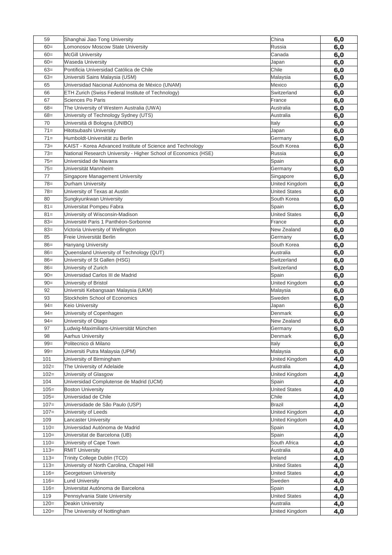| 59      | Shanghai Jiao Tong University                                   | China                | 6,0 |
|---------|-----------------------------------------------------------------|----------------------|-----|
| $60=$   | Lomonosov Moscow State University                               | Russia               | 6,0 |
| $60=$   | <b>McGill University</b>                                        | Canada               | 6,0 |
| $60 =$  | Waseda University                                               | Japan                | 6,0 |
| $63=$   | Pontificia Universidad Católica de Chile                        | Chile                | 6,0 |
| $63=$   | Universiti Sains Malaysia (USM)                                 | Malaysia             | 6,0 |
| 65      | Universidad Nacional Autónoma de México (UNAM)                  | Mexico               | 6,0 |
| 66      | ETH Zurich (Swiss Federal Institute of Technology)              | Switzerland          | 6,0 |
| 67      | Sciences Po Paris                                               | France               | 6,0 |
| $68 =$  | The University of Western Australia (UWA)                       | Australia            | 6,0 |
| $68 =$  | University of Technology Sydney (UTS)                           | Australia            | 6,0 |
| 70      | Università di Bologna (UNIBO)                                   | Italy                | 6,0 |
| $71 =$  | Hitotsubashi University                                         | Japan                | 6,0 |
| $71 =$  | Humboldt-Universität zu Berlin                                  | Germany              | 6,0 |
| $73=$   | KAIST - Korea Advanced Institute of Science and Technology      | South Korea          | 6,0 |
| $73=$   | National Research University - Higher School of Economics (HSE) | Russia               | 6,0 |
| $75 =$  | Universidad de Navarra                                          | Spain                | 6,0 |
| $75 =$  | Universität Mannheim                                            | Germany              | 6,0 |
| 77      | Singapore Management University                                 | Singapore            | 6,0 |
| $78=$   | Durham University                                               | United Kingdom       | 6,0 |
| $78 =$  | University of Texas at Austin                                   | <b>United States</b> | 6,0 |
| 80      | Sungkyunkwan University                                         | South Korea          | 6,0 |
| $81 =$  | Universitat Pompeu Fabra                                        | Spain                | 6,0 |
| $81 =$  | University of Wisconsin-Madison                                 | <b>United States</b> | 6,0 |
| $83=$   | Université Paris 1 Panthéon-Sorbonne                            | France               | 6,0 |
| $83=$   | Victoria University of Wellington                               | New Zealand          | 6,0 |
| 85      | Freie Universität Berlin                                        | Germany              | 6,0 |
| $86=$   | <b>Hanyang University</b>                                       | South Korea          | 6,0 |
| $86=$   | Queensland University of Technology (QUT)                       | Australia            | 6,0 |
| $86=$   | University of St Gallen (HSG)                                   | Switzerland          | 6,0 |
| $86=$   | University of Zurich                                            | Switzerland          | 6,0 |
| $90 =$  | Universidad Carlos III de Madrid                                | Spain                | 6,0 |
| $90=$   | University of Bristol                                           | United Kingdom       | 6,0 |
| 92      | Universiti Kebangsaan Malaysia (UKM)                            | Malaysia             | 6,0 |
| 93      | Stockholm School of Economics                                   | Sweden               | 6,0 |
| $94 =$  | <b>Keio University</b>                                          | Japan                | 6,0 |
| $94 =$  | University of Copenhagen                                        | Denmark              | 6,0 |
| $94 =$  | University of Otago                                             | New Zealand          | 6,0 |
| 97      | Ludwig-Maximilians-Universität München                          | Germany              | 6,0 |
| 98      | Aarhus University                                               | Denmark              | 6,0 |
| $99 =$  | Politecnico di Milano                                           | Italy                | 6,0 |
| $99 =$  | Universiti Putra Malaysia (UPM)                                 | Malaysia             | 6,0 |
| 101     | University of Birmingham                                        | United Kingdom       | 4,0 |
| $102 =$ | The University of Adelaide                                      | Australia            | 4,0 |
| $102 =$ | University of Glasgow                                           | United Kingdom       | 4,0 |
| 104     | Universidad Complutense de Madrid (UCM)                         | Spain                | 4,0 |
| $105 =$ | <b>Boston University</b>                                        | <b>United States</b> | 4,0 |
| $105 =$ | Universidad de Chile                                            | Chile                | 4,0 |
| $107 =$ | Universidade de São Paulo (USP)                                 | Brazil               | 4,0 |
| $107 =$ | University of Leeds                                             | United Kingdom       | 4,0 |
| 109     | Lancaster University                                            | United Kingdom       | 4,0 |
| $110=$  | Universidad Autónoma de Madrid                                  | Spain                | 4,0 |
| $110=$  | Universitat de Barcelona (UB)                                   | Spain                | 4,0 |
| $110 =$ | University of Cape Town                                         | South Africa         | 4,0 |
| $113=$  | <b>RMIT University</b>                                          | Australia            | 4,0 |
| $113=$  | Trinity College Dublin (TCD)                                    | Ireland              | 4,0 |
| $113=$  | University of North Carolina, Chapel Hill                       | <b>United States</b> |     |
| $116=$  | Georgetown University                                           | <b>United States</b> | 4,0 |
| $116=$  | <b>Lund University</b>                                          | Sweden               | 4,0 |
| $116=$  | Universitat Autónoma de Barcelona                               | Spain                | 4,0 |
| 119     | Pennsylvania State University                                   | <b>United States</b> | 4,0 |
| $120 =$ |                                                                 |                      | 4,0 |
|         | Deakin University                                               | Australia            | 4,0 |
| $120 =$ | The University of Nottingham                                    | United Kingdom       | 4,0 |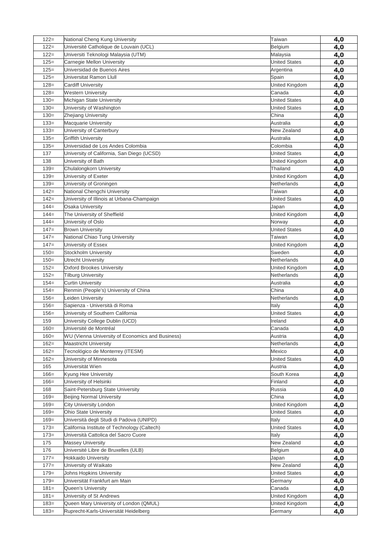| $122 =$        | National Cheng Kung University                                                       | Taiwan               | 4,0 |
|----------------|--------------------------------------------------------------------------------------|----------------------|-----|
| $122 =$        | Université Catholique de Louvain (UCL)                                               | Belgium              | 4,0 |
| $122 =$        | Universiti Teknologi Malaysia (UTM)                                                  | Malaysia             | 4,0 |
| $125=$         | Carnegie Mellon University                                                           | <b>United States</b> | 4,0 |
| $125=$         | Universidad de Buenos Aires                                                          | Argentina            | 4,0 |
| $125=$         | Universitat Ramon Llull                                                              | Spain                | 4,0 |
| $128=$         | <b>Cardiff University</b>                                                            | United Kingdom       | 4,0 |
| $128 =$        | <b>Western University</b>                                                            | Canada               | 4,0 |
| $130=$         | Michigan State University                                                            | <b>United States</b> | 4,0 |
| $130=$         | University of Washington                                                             | <b>United States</b> | 4,0 |
| $130=$         | Zhejiang University                                                                  | China                | 4,0 |
| $133 =$        | <b>Macquarie University</b>                                                          | Australia            | 4,0 |
| $133 =$        | University of Canterbury                                                             | New Zealand          | 4,0 |
| $135=$         | <b>Griffith University</b>                                                           | Australia            | 4,0 |
| $135=$         | Universidad de Los Andes Colombia                                                    | Colombia             | 4,0 |
| 137            | University of California, San Diego (UCSD)                                           | <b>United States</b> | 4,0 |
| 138            | University of Bath                                                                   | United Kingdom       | 4,0 |
| $139=$         | Chulalongkorn University                                                             | Thailand             | 4,0 |
| $139=$         | University of Exeter                                                                 | United Kingdom       | 4,0 |
| $139=$         | University of Groningen                                                              | Netherlands          | 4,0 |
| $142 =$        | National Chengchi University                                                         | Taiwan               | 4,0 |
| $142 =$        | University of Illinois at Urbana-Champaign                                           | <b>United States</b> | 4,0 |
| $144 =$        | Osaka University                                                                     | Japan                | 4,0 |
| $144 =$        | The University of Sheffield                                                          | United Kingdom       | 4,0 |
| $144 =$        | University of Oslo                                                                   | Norway               | 4,0 |
| $147=$         | <b>Brown University</b>                                                              | <b>United States</b> | 4,0 |
| $147=$         | National Chiao Tung University                                                       | Taiwan               | 4,0 |
| $147 =$        | University of Essex                                                                  | United Kingdom       | 4,0 |
| $150=$         | Stockholm University                                                                 | Sweden               | 4,0 |
| $150=$         | <b>Utrecht University</b>                                                            | Netherlands          | 4,0 |
| $152 =$        | <b>Oxford Brookes University</b>                                                     | United Kingdom       | 4,0 |
| $152 =$        | <b>Tilburg University</b>                                                            | Netherlands          | 4,0 |
| $154 =$        | <b>Curtin University</b>                                                             | Australia            | 4,0 |
| $154 =$        | Renmin (People's) University of China                                                | China                | 4,0 |
| $156 =$        | Leiden University                                                                    | Netherlands          | 4,0 |
| $156 =$        | Sapienza - Università di Roma                                                        | Italy                | 4,0 |
| $156 =$        | University of Southern California                                                    | <b>United States</b> | 4,0 |
| 159            | University College Dublin (UCD)                                                      | Ireland              | 4,0 |
| $160=$         | Université de Montréal                                                               | Canada               | 4,0 |
| $160=$         | WU (Vienna University of Economics and Business)                                     | Austria              | 4,0 |
| $162 =$        | <b>Maastricht University</b>                                                         | Netherlands          | 4,0 |
| $162 =$        | Tecnológico de Monterrey (ITESM)                                                     | Mexico               | 4,0 |
| $162 =$        | University of Minnesota                                                              | <b>United States</b> | 4,0 |
| 165            | Universität Wien                                                                     | Austria              | 4,0 |
| $166=$         | Kyung Hee University                                                                 | South Korea          | 4,0 |
| $166 =$        | University of Helsinki                                                               | Finland              | 4,0 |
| 168            | Saint-Petersburg State University                                                    | Russia               | 4,0 |
| $169=$         | <b>Beijing Normal University</b>                                                     | China                | 4,0 |
| $169=$         | City University London                                                               | United Kingdom       | 4,0 |
| $169=$         | Ohio State University                                                                | <b>United States</b> | 4,0 |
| $169=$         | Università degli Studi di Padova (UNIPD)                                             | Italy                | 4,0 |
| $173=$         | California Institute of Technology (Caltech)<br>Università Cattolica del Sacro Cuore | <b>United States</b> | 4,0 |
| $173=$<br>175  |                                                                                      | Italy                | 4,0 |
|                | <b>Massey University</b>                                                             | New Zealand          | 4,0 |
| 176<br>$177 =$ | Université Libre de Bruxelles (ULB)<br><b>Hokkaido University</b>                    | Belgium              | 4,0 |
| $177 =$        | University of Waikato                                                                | Japan<br>New Zealand | 4,0 |
| $179=$         |                                                                                      | <b>United States</b> | 4,0 |
| $179=$         | Johns Hopkins University<br>Universität Frankfurt am Main                            | Germany              | 4,0 |
| $181 =$        | Queen's University                                                                   | Canada               | 4,0 |
| $181 =$        | University of St Andrews                                                             | United Kingdom       | 4,0 |
| $183=$         |                                                                                      |                      | 4,0 |
| $183=$         | Queen Mary University of London (QMUL)                                               | United Kingdom       | 4,0 |
|                | Ruprecht-Karls-Universität Heidelberg                                                | Germany              | 4,0 |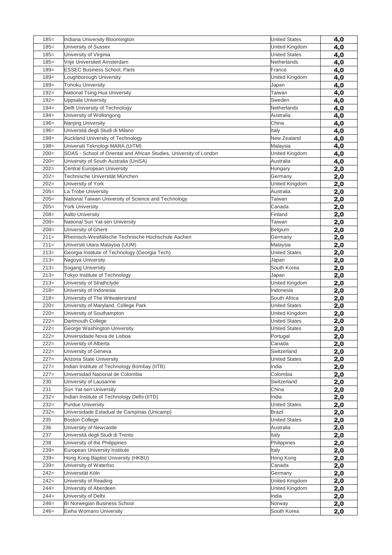| $185 =$ | Indiana University Bloomington                                      | <b>United States</b> | 4,0        |
|---------|---------------------------------------------------------------------|----------------------|------------|
| $185 =$ | University of Sussex                                                | United Kingdom       | 4,0        |
| $185=$  | University of Virginia                                              | <b>United States</b> | 4,0        |
| $185 =$ | Vrije Universiteit Amsterdam                                        | Netherlands          | 4,0        |
| $189=$  | <b>ESSEC Business School, Paris</b>                                 | France               | 4,0        |
| $189=$  | Loughborough University                                             | United Kingdom       | 4,0        |
| $189=$  | <b>Tohoku University</b>                                            | Japan                | 4,0        |
| $192 =$ | National Tsing Hua University                                       | Taiwan               | 4,0        |
| $192 =$ | Uppsala University                                                  | Sweden               | 4,0        |
| $194=$  | Delft University of Technology                                      | Netherlands          | 4,0        |
| $194 =$ | University of Wollongong                                            | Australia            | 4,0        |
| $196 =$ | Nanjing University                                                  | China                | 4,0        |
| $196=$  | Università degli Studi di Milano                                    | Italy                | 4,0        |
| $198 =$ | Auckland University of Technology                                   | New Zealand          | 4,0        |
| $198 =$ | Universiti Teknologi MARA (UiTM)                                    | Malaysia             | 4,0        |
| $200=$  | SOAS - School of Oriental and African Studies, University of London | United Kingdom       | 4,0        |
| $200=$  | University of South Australia (UniSA)                               | Australia            | 4,0        |
| $202=$  | Central European University                                         | Hungary              | 2,0        |
| $202=$  | Technische Universität München                                      | Germany              | 2,0        |
| $202=$  | University of York                                                  | United Kingdom       | 2,0        |
| $205=$  | La Trobe University                                                 | Australia            | 2,0        |
| $205=$  | National Taiwan University of Science and Technology                | Taiwan               | 2,0        |
| $205=$  | <b>York University</b>                                              | Canada               | 2,0        |
| $208=$  | <b>Aalto University</b>                                             | Finland              | 2,0        |
| $208=$  | National Sun Yat-sen University                                     | Taiwan               | 2,0        |
| $208=$  | University of Ghent                                                 | Belgium              | 2,0        |
| $211=$  | Rheinisch-Westfälische Technische Hochschule Aachen                 | Germany              | 2,0        |
| $211=$  | Universiti Utara Malaysia (UUM)                                     | Malaysia             | 2,0        |
| $213=$  | Georgia Institute of Technology (Georgia Tech)                      | <b>United States</b> | 2,0        |
| $213=$  | Nagoya University                                                   | Japan                | 2,0        |
| $213=$  | Sogang University                                                   | South Korea          | 2,0        |
| $213=$  | Tokyo Institute of Technology                                       | Japan                | 2,0        |
| $213=$  | University of Strathclyde                                           | United Kingdom       | 2,0        |
| $218=$  | University of Indonesia                                             | Indonesia            | 2,0        |
| $218=$  | University of The Witwatersrand                                     | South Africa         | 2,0        |
| $220=$  | University of Maryland, College Park                                | <b>United States</b> | 2,0        |
| $220=$  | University of Southampton                                           | United Kingdom       | 2,0        |
| $222 =$ | Dartmouth College                                                   | <b>United States</b> | 2,0        |
| $222 =$ | George Washington University                                        | <b>United States</b> | 2,0        |
| $222 =$ | Universidade Nova de Lisboa                                         | Portugal             | 2,0        |
| $222 =$ | University of Alberta                                               | Canada               | 2,0        |
| $222 =$ | University of Geneva                                                | Switzerland          | 2,0        |
| $227=$  | Arizona State University                                            | <b>United States</b> | 2,0        |
| $227=$  | Indian Institute of Technology Bombay (IITB)                        | India                | 2,0        |
| $227=$  | Universidad Nacional de Colombia                                    | Colombia             | 2,0        |
| 230     | University of Lausanne                                              | Switzerland          | 2,0        |
| 231     | Sun Yat-sen University                                              | China                | 2,0        |
| $232=$  | Indian Institute of Technology Delhi (IITD)                         | India                | 2,0        |
| $232=$  | <b>Purdue University</b>                                            | <b>United States</b> | 2,0        |
| $232=$  | Universidade Estadual de Campinas (Unicamp)                         | Brazil               | 2,0        |
| 235     | <b>Boston College</b>                                               | <b>United States</b> | 2,0        |
| 236     | University of Newcastle                                             | Australia            | 2,0        |
| 237     | Università degli Studi di Trento                                    | Italy                | 2,0        |
| 238     | University of the Philippines                                       | Philippines          | 2,0        |
| $239=$  | European University Institute                                       | Italy                | 2,0        |
| $239=$  | Hong Kong Baptist University (HKBU)                                 | Hong Kong            | 2,0        |
| $239=$  | University of Waterloo                                              | Canada               | 2,0        |
| $242=$  | Universität Köln                                                    | Germany              | 2,0        |
| $242=$  | University of Reading                                               | United Kingdom       | <u>2,0</u> |
| $244=$  | University of Aberdeen                                              | United Kingdom       | 2,0        |
| $244=$  | University of Delhi                                                 | India                | 2,0        |
| $246=$  | BI Norwegian Business School                                        | Norway               | 2,0        |
| $246=$  | Ewha Womans University                                              | South Korea          | 2,0        |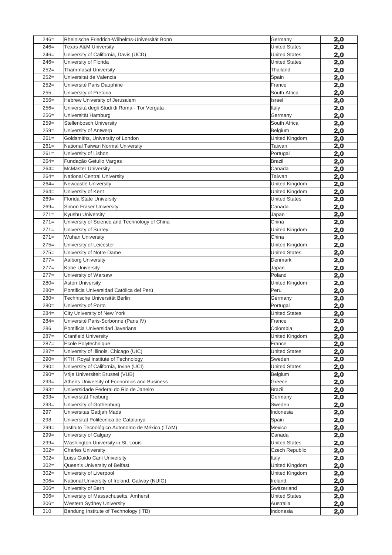| $246=$  | Rheinische Friedrich-Wilhelms-Universität Bonn             | Germany              | 2,0               |
|---------|------------------------------------------------------------|----------------------|-------------------|
| $246=$  | <b>Texas A&amp;M University</b>                            | <b>United States</b> | 2,0               |
| $246=$  | University of California, Davis (UCD)                      | <b>United States</b> | 2,0               |
| $246=$  | University of Florida                                      | <b>United States</b> | 2,0               |
| $252=$  | <b>Thammasat University</b>                                | Thailand             | 2,0               |
| $252=$  | Universitat de Valencia                                    | Spain                | 2,0               |
| $252=$  | Université Paris Dauphine                                  | France               | 2,0               |
| 255     | University of Pretoria                                     | South Africa         | 2,0               |
| $256=$  | Hebrew University of Jerusalem                             | Israel               | 2,0               |
| $256=$  | Universitá degli Studi di Roma - Tor Vergata               | Italy                | 2,0               |
| $256=$  | Universität Hamburg                                        | Germany              | 2,0               |
| $259=$  | Stellenbosch University                                    | South Africa         | 2,0               |
| $259=$  | University of Antwerp                                      | Belgium              | 2,0               |
| $261=$  | Goldsmiths, University of London                           | United Kingdom       | 2,0               |
| $261=$  | National Taiwan Normal University                          | Taiwan               | 2,0               |
| $261=$  | University of Lisbon                                       | Portugal             | 2,0               |
| $264=$  | Fundação Getulio Vargas                                    | Brazil               | 2,0               |
| $264=$  | <b>McMaster University</b>                                 | Canada               | 2,0               |
| $264=$  | National Central University                                | Taiwan               | 2,0               |
| $264=$  | Newcastle University                                       | United Kingdom       | 2,0               |
| $264=$  | University of Kent                                         | United Kingdom       | 2,0               |
| $269=$  | <b>Florida State University</b>                            | <b>United States</b> | 2,0               |
| $269=$  | Simon Fraser University                                    | Canada               | 2,0               |
| $271=$  | Kyushu University                                          | Japan                | 2,0               |
| $271=$  | University of Science and Technology of China              | China                | 2,0               |
| $271=$  | University of Surrey                                       | United Kingdom       | 2,0               |
| $271=$  | <b>Wuhan University</b>                                    | China                | 2,0               |
| $275=$  | University of Leicester                                    | United Kingdom       | 2,0               |
| $275=$  | University of Notre Dame                                   | <b>United States</b> | 2,0               |
| $277=$  | Aalborg University                                         | Denmark              | 2,0               |
| $277=$  | Kobe University                                            | Japan                | 2,0               |
| $277=$  | University of Warsaw                                       | Poland               | 2,0               |
| $280=$  | <b>Aston University</b>                                    | United Kingdom       | 2,0               |
| $280=$  | Pontificia Universidad Católica del Perú                   | Peru                 | 2,0               |
| $280=$  | Technische Universität Berlin                              | Germany              | 2,0               |
| $280=$  | University of Porto                                        | Portugal             | 2,0               |
| $284=$  | City University of New York                                | <b>United States</b> | 2,0               |
| $284=$  | Université Paris-Sorbonne (Paris IV)                       | France               | 2,0               |
| 286     | Pontificia Universidad Javeriana                           | Colombia             | 2,0               |
| $287=$  | <b>Cranfield University</b>                                | United Kingdom       | 2,0               |
| $287=$  | Ecole Polytechnique                                        | France               | 2,0               |
| $287=$  | University of Illinois, Chicago (UIC)                      | <b>United States</b> | 2,0               |
| $290=$  | KTH, Royal Institute of Technology                         | Sweden               | 2,0               |
| $290=$  | University of California, Irvine (UCI)                     | <b>United States</b> |                   |
| $290=$  | Vrije Universiteit Brussel (VUB)                           | Belgium              | 2,0<br>2,0        |
| $293=$  | Athens University of Economics and Business                | Greece               |                   |
| $293=$  | Universidade Federal do Rio de Janeiro                     | Brazil               | <u>2,0</u><br>2,0 |
| $293=$  | Universität Freiburg                                       | Germany              | 2,0               |
| $293=$  | University of Gothenburg                                   | Sweden               |                   |
| 297     | Universitas Gadjah Mada                                    | Indonesia            | 2,0<br>2,0        |
| 298     | Universitat Politècnica de Catalunya                       | Spain                |                   |
| $299=$  | Instituto Tecnológico Autonomo de México (ITAM)            | Mexico               | 2,0               |
| $299=$  | University of Calgary                                      | Canada               | 2,0               |
| $299=$  | Washington University in St. Louis                         | <b>United States</b> | 2,0<br>2,0        |
| $302 =$ | <b>Charles University</b>                                  | Czech Republic       | 2,0               |
| $302 =$ | Luiss Guido Carli University                               | Italy                |                   |
| $302 =$ | Queen's University of Belfast                              | United Kingdom       | 2,0               |
| $302 =$ | University of Liverpool                                    | United Kingdom       | 2,0               |
| $306 =$ |                                                            |                      | 2,0               |
| $306=$  | National University of Ireland, Galway (NUIG)              | Ireland              | <u>2,0</u>        |
| $306 =$ | University of Bern<br>University of Massachusetts, Amherst | Switzerland          | 2,0               |
|         |                                                            | <b>United States</b> | 2,0               |
| $306 =$ | Western Sydney University                                  | Australia            | 2,0               |
| 310     | Bandung Institute of Technology (ITB)                      | Indonesia            | <u>2,0</u>        |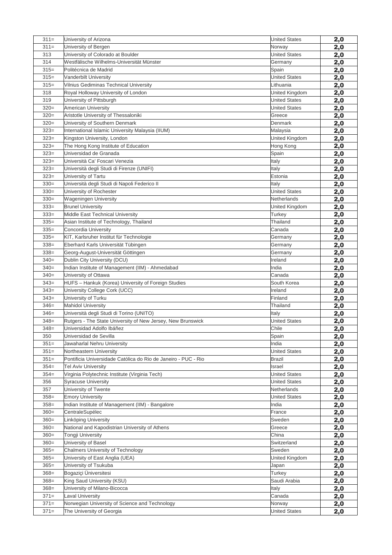| $311 =$ | University of Arizona                                          | <b>United States</b> | 2,0        |
|---------|----------------------------------------------------------------|----------------------|------------|
| $311 =$ | University of Bergen                                           | Norway               | 2,0        |
| 313     | University of Colorado at Boulder                              | <b>United States</b> | 2,0        |
| 314     | Westfälische Wilhelms-Universität Münster                      | Germany              | 2,0        |
| $315=$  | Politécnica de Madrid                                          | Spain                | 2,0        |
| $315=$  | Vanderbilt University                                          | <b>United States</b> | 2,0        |
| $315=$  | Vilnius Gediminas Technical University                         | Lithuania            | 2,0        |
| 318     | Royal Holloway University of London                            | United Kingdom       | <u>2,0</u> |
| 319     | University of Pittsburgh                                       | <b>United States</b> | 2,0        |
| $320=$  | American University                                            | <b>United States</b> | 2,0        |
| $320=$  | Aristotle University of Thessaloniki                           | Greece               | 2,0        |
| $320=$  | University of Southern Denmark                                 | Denmark              | 2,0        |
| $323=$  | International Islamic University Malaysia (IIUM)               | Malaysia             | 2,0        |
| $323=$  | Kingston University, London                                    | United Kingdom       | 2,0        |
| $323=$  | The Hong Kong Institute of Education                           | Hong Kong            | 2,0        |
| $323=$  | Universidad de Granada                                         | Spain                | 2,0        |
| $323=$  | Università Ca' Foscari Venezia                                 | Italy                | 2,0        |
| $323=$  | Università degli Studi di Firenze (UNIFI)                      | Italy                | 2,0        |
| $323=$  | University of Tartu                                            | Estonia              | 2,0        |
| $330=$  | Università degli Studi di Napoli Federico II                   | Italy                | 2,0        |
| $330=$  | University of Rochester                                        | <b>United States</b> | 2,0        |
| $330=$  | <b>Wageningen University</b>                                   | Netherlands          | 2,0        |
| $333 =$ | <b>Brunel University</b>                                       | United Kingdom       | 2,0        |
| $333 =$ | Middle East Technical University                               | Turkey               | 2,0        |
| $335=$  | Asian Institute of Technology, Thailand                        | Thailand             | 2,0        |
| $335=$  | Concordia University                                           | Canada               | 2,0        |
| $335=$  | KIT, Karlsruher Institut für Technologie                       | Germany              | 2,0        |
| $338=$  | Eberhard Karls Universität Tübingen                            | Germany              | 2,0        |
| $338=$  | Georg-August-Universität Göttingen                             | Germany              | 2,0        |
| $340=$  | Dublin City University (DCU)                                   | Ireland              | 2,0        |
| $340=$  | Indian Institute of Management (IIM) - Ahmedabad               | India                | 2,0        |
| $340=$  | University of Ottawa                                           | Canada               | 2,0        |
| $343=$  | HUFS - Hankuk (Korea) University of Foreign Studies            | South Korea          | 2,0        |
| $343=$  | University College Cork (UCC)                                  | Ireland              | 2,0        |
| $343=$  | University of Turku                                            | Finland              | 2,0        |
| $346=$  | <b>Mahidol University</b>                                      | Thailand             | 2,0        |
| $346=$  | Università degli Studi di Torino (UNITO)                       | Italy                | 2,0        |
| $348=$  | Rutgers - The State University of New Jersey, New Brunswick    | <b>United States</b> | 2,0        |
| $348=$  | Universidad Adolfo Ibáñez                                      | Chile                | 2,0        |
| 350     | Universidad de Sevilla                                         | Spain                | 2,0        |
| $351 =$ | Jawaharlal Nehru University                                    | India                | 2,0        |
| $351 =$ | Northeastern University                                        | <b>United States</b> | 2,0        |
| $351 =$ | Pontificia Universidade Católica do Rio de Janeiro - PUC - Rio | Brazil               | 2,0        |
| $354=$  | <b>Tel Aviv University</b>                                     | Israel               | 2,0        |
| $354=$  | Virginia Polytechnic Institute (Virginia Tech)                 | <b>United States</b> | 2,0        |
| 356     | <b>Syracuse University</b>                                     | <b>United States</b> | 2,0        |
| 357     | University of Twente                                           | Netherlands          | 2,0        |
| $358 =$ | <b>Emory University</b>                                        | <b>United States</b> | 2,0        |
| $358 =$ | Indian Institute of Management (IIM) - Bangalore               | India                | 2,0        |
| $360=$  | CentraleSupélec                                                | France               | 2,0        |
| $360=$  | Linköping University                                           | Sweden               | 2,0        |
| $360=$  | National and Kapodistrian University of Athens                 | Greece               | 2,0        |
| $360=$  | Tongji University                                              | China                | 2,0        |
| $360=$  | University of Basel                                            | Switzerland          | 2,0        |
| $365=$  | <b>Chalmers University of Technology</b>                       | Sweden               | 2,0        |
| $365=$  | University of East Anglia (UEA)                                | United Kingdom       | 2,0        |
| $365=$  | University of Tsukuba                                          | Japan                | 2,0        |
| $368 =$ | Bogaziçi Üniversitesi                                          | Turkey               | 2,0        |
| $368 =$ | King Saud University (KSU)                                     | Saudi Arabia         | 2,0        |
| $368 =$ | University of Milano-Bicocca                                   | Italy                |            |
| $371 =$ | Laval University                                               | Canada               | 2,0        |
| $371 =$ | Norwegian University of Science and Technology                 |                      | 2,0        |
|         |                                                                | Norway               | 2,0        |
| $371 =$ | The University of Georgia                                      | <b>United States</b> | 2,0        |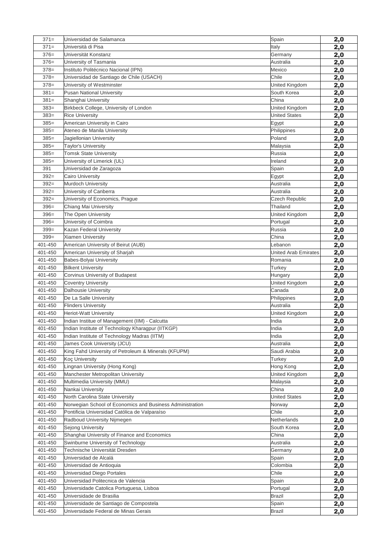| $371 =$ | Universidad de Salamanca                                  | Spain                 | 2,0        |
|---------|-----------------------------------------------------------|-----------------------|------------|
| $371 =$ | Università di Pisa                                        | Italy                 | 2,0        |
| $376=$  | Universität Konstanz                                      | Germany               | 2,0        |
| $376=$  | University of Tasmania                                    | Australia             | 2,0        |
| $378=$  | Instituto Politécnico Nacional (IPN)                      | Mexico                | 2,0        |
| $378=$  | Universidad de Santiago de Chile (USACH)                  | Chile                 | 2,0        |
| $378=$  | University of Westminster                                 | United Kingdom        | 2,0        |
| $381 =$ | Pusan National University                                 | South Korea           | <u>2,0</u> |
| $381 =$ | Shanghai University                                       | China                 | 2,0        |
| $383=$  | Birkbeck College, University of London                    | United Kingdom        | 2,0        |
| $383=$  | <b>Rice University</b>                                    | <b>United States</b>  | 2,0        |
| $385=$  | American University in Cairo                              | Egypt                 | 2,0        |
| $385=$  | Ateneo de Manila University                               | Philippines           | 2,0        |
| $385=$  | Jagiellonian University                                   | Poland                | 2,0        |
| $385=$  | <b>Taylor's University</b>                                | Malaysia              | 2,0        |
| $385=$  | <b>Tomsk State University</b>                             | Russia                | 2,0        |
| $385=$  | University of Limerick (UL)                               | Ireland               | 2,0        |
| 391     | Universidad de Zaragoza                                   | Spain                 | 2,0        |
| $392 =$ | <b>Cairo University</b>                                   | Egypt                 | 2,0        |
| $392 =$ | Murdoch University                                        | Australia             | 2,0        |
| $392 =$ | University of Canberra                                    | Australia             | 2,0        |
| $392 =$ | University of Economics, Prague                           | <b>Czech Republic</b> | 2,0        |
| $396=$  | Chiang Mai University                                     | Thailand              | 2,0        |
| $396=$  | The Open University                                       | United Kingdom        | 2,0        |
| $396=$  | University of Coimbra                                     | Portugal              | 2,0        |
| $399 =$ | Kazan Federal University                                  | Russia                | 2,0        |
| $399 =$ | <b>Xiamen University</b>                                  | China                 | 2,0        |
| 401-450 | American University of Beirut (AUB)                       | Lebanon               | 2,0        |
| 401-450 | American University of Sharjah                            | United Arab Emirates  | 2,0        |
| 401-450 | <b>Babes-Bolyai University</b>                            | Romania               | 2,0        |
| 401-450 | <b>Bilkent University</b>                                 | Turkey                | 2,0        |
| 401-450 | Corvinus University of Budapest                           | Hungary               | 2,0        |
| 401-450 | <b>Coventry University</b>                                | United Kingdom        | 2,0        |
| 401-450 | Dalhousie University                                      | Canada                | 2,0        |
| 401-450 | De La Salle University                                    | Philippines           | 2,0        |
| 401-450 | <b>Flinders University</b>                                | Australia             | 2,0        |
| 401-450 | <b>Heriot-Watt University</b>                             | United Kingdom        | 2,0        |
| 401-450 | Indian Institue of Management (IIM) - Calcutta            | India                 | 2,0        |
| 401-450 | Indian Institute of Technology Kharagpur (IITKGP)         | India                 | 2,0        |
| 401-450 | Indian Institute of Technology Madras (IITM)              | India                 | 2,0        |
| 401-450 | James Cook University (JCU)                               | Australia             | 2,0        |
| 401-450 | King Fahd University of Petroleum & Minerals (KFUPM)      | Saudi Arabia          | 2,0        |
| 401-450 | <b>Koc University</b>                                     | Turkey                | 2,0        |
| 401-450 | Lingnan University (Hong Kong)                            | Hong Kong             | 2,0        |
| 401-450 | Manchester Metropolitan University                        | United Kingdom        | 2,0        |
| 401-450 | Multimedia University (MMU)                               | Malaysia              | 2,0        |
| 401-450 | Nankai University                                         | China                 | 2,0        |
| 401-450 | North Carolina State University                           | <b>United States</b>  | 2,0        |
| 401-450 | Norwegian School of Economics and Business Administration | Norway                | 2,0        |
| 401-450 | Pontificia Universidad Católica de Valparaíso             | Chile                 | 2,0        |
| 401-450 | Radboud University Nijmegen                               | Netherlands           | 2,0        |
| 401-450 | Sejong University                                         | South Korea           | 2,0        |
| 401-450 | Shanghai University of Finance and Economics              | China                 | 2,0        |
| 401-450 | Swinburne University of Technology                        | Australia             | 2,0        |
| 401-450 | Technische Universität Dresden                            | Germany               | 2,0        |
| 401-450 | Universidad de Alcalá                                     | Spain                 | 2,0        |
| 401-450 | Universidad de Antioquia                                  | Colombia              | 2,0        |
| 401-450 | Universidad Diego Portales                                | Chile                 | 2,0        |
| 401-450 | Universidad Politecnica de Valencia                       | Spain                 | 2,0        |
| 401-450 | Universidade Catolica Portuguesa, Lisboa                  | Portugal              | 2,0        |
| 401-450 | Universidade de Brasilia                                  | <b>Brazil</b>         | 2,0        |
| 401-450 | Universidade de Santiago de Compostela                    | Spain                 | 2,0        |
| 401-450 | Universidade Federal de Minas Gerais                      | Brazil                | <u>2,0</u> |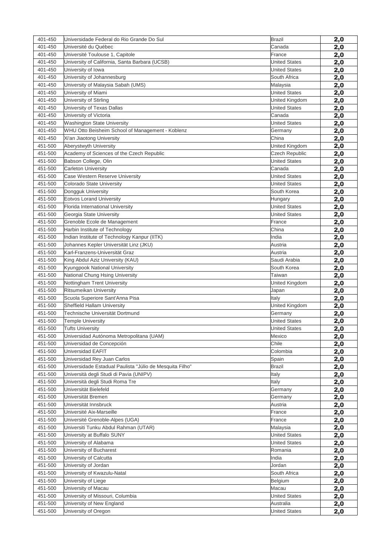| 401-450 | Universidade Federal do Rio Grande Do Sul                | <b>Brazil</b>         | 2,0        |
|---------|----------------------------------------------------------|-----------------------|------------|
| 401-450 | Université du Québec                                     | Canada                | 2,0        |
| 401-450 | Université Toulouse 1, Capitole                          | France                | 2,0        |
| 401-450 | University of California, Santa Barbara (UCSB)           | <b>United States</b>  | 2,0        |
| 401-450 | University of Iowa                                       | <b>United States</b>  | 2,0        |
| 401-450 | University of Johannesburg                               | South Africa          | 2,0        |
| 401-450 | University of Malaysia Sabah (UMS)                       | Malaysia              | 2,0        |
| 401-450 | University of Miami                                      | <b>United States</b>  | 2,0        |
| 401-450 | University of Stirling                                   | United Kingdom        | 2,0        |
| 401-450 | University of Texas Dallas                               | <b>United States</b>  | 2,0        |
| 401-450 | University of Victoria                                   | Canada                | 2,0        |
| 401-450 | <b>Washington State University</b>                       | <b>United States</b>  | 2,0        |
| 401-450 | WHU Otto Beisheim School of Management - Koblenz         | Germany               | 2,0        |
| 401-450 | Xi'an Jiaotong University                                | China                 | 2,0        |
| 451-500 | Aberystwyth University                                   | United Kingdom        | 2,0        |
| 451-500 | Academy of Sciences of the Czech Republic                | <b>Czech Republic</b> | 2,0        |
| 451-500 | Babson College, Olin                                     | <b>United States</b>  | 2,0        |
| 451-500 | <b>Carleton University</b>                               | Canada                | 2,0        |
| 451-500 | Case Western Reserve University                          | <b>United States</b>  | 2,0        |
| 451-500 | Colorado State University                                | <b>United States</b>  | 2,0        |
| 451-500 | Dongguk University                                       | South Korea           | 2,0        |
| 451-500 | <b>Eotvos Lorand University</b>                          | Hungary               | 2,0        |
| 451-500 | Florida International University                         | <b>United States</b>  | 2,0        |
| 451-500 | Georgia State University                                 | <b>United States</b>  | 2,0        |
| 451-500 | Grenoble Ecole de Management                             | France                | 2,0        |
| 451-500 | Harbin Institute of Technology                           | China                 | 2,0        |
| 451-500 | Indian Institute of Technology Kanpur (IITK)             | India                 | 2,0        |
| 451-500 | Johannes Kepler Universität Linz (JKU)                   | Austria               | 2,0        |
| 451-500 | Karl-Franzens-Universität Graz                           | Austria               | 2,0        |
| 451-500 | King Abdul Aziz University (KAU)                         | Saudi Arabia          | 2,0        |
| 451-500 | Kyungpook National University                            | South Korea           | 2,0        |
| 451-500 | National Chung Hsing University                          | Taiwan                | 2,0        |
| 451-500 | Nottingham Trent University                              | United Kingdom        | 2,0        |
| 451-500 | Ritsumeikan University                                   | Japan                 | 2,0        |
| 451-500 | Scuola Superiore Sant'Anna Pisa                          | Italy                 | 2,0        |
| 451-500 | Sheffield Hallam University                              | United Kingdom        | 2,0        |
| 451-500 | Technische Universität Dortmund                          | Germany               | 2,0        |
| 451-500 | <b>Temple University</b>                                 | <b>United States</b>  | 2,0        |
| 451-500 | <b>Tufts University</b>                                  | <b>United States</b>  | 2,0        |
| 451-500 | Universidad Autónoma Metropolitana (UAM)                 | Mexico                | 2,0        |
| 451-500 | Universidad de Concepción                                | Chile                 | 2,0        |
| 451-500 | Universidad EAFIT                                        | Colombia              | 2,0        |
| 451-500 | Universidad Rey Juan Carlos                              | Spain                 | 2,0        |
| 451-500 | Universidade Estadual Paulista "Júlio de Mesquita Filho" | Brazil                | 2,0        |
| 451-500 | Università degli Studi di Pavia (UNIPV)                  | Italy                 | 2,0        |
| 451-500 | Università degli Studi Roma Tre                          | Italy                 | 2,0        |
| 451-500 | Universität Bielefeld                                    | Germany               | 2,0        |
| 451-500 | Universität Bremen                                       | Germany               | 2,0        |
| 451-500 | Universität Innsbruck                                    | Austria               | 2,0        |
| 451-500 | Université Aix-Marseille                                 | France                | 2,0        |
| 451-500 | Université Grenoble-Alpes (UGA)                          | France                | 2,0        |
| 451-500 | Universiti Tunku Abdul Rahman (UTAR)                     | Malaysia              | 2,0        |
| 451-500 | University at Buffalo SUNY                               | <b>United States</b>  | 2,0        |
| 451-500 | University of Alabama                                    | <b>United States</b>  | 2,0        |
| 451-500 | University of Bucharest                                  | Romania               | 2,0        |
| 451-500 | University of Calcutta                                   | India                 | 2,0        |
| 451-500 | University of Jordan                                     | Jordan                | 2,0        |
| 451-500 | University of Kwazulu-Natal                              | South Africa          | 2,0        |
| 451-500 | University of Liege                                      | Belgium               | <u>2,0</u> |
| 451-500 | University of Macau                                      | Macau                 | 2,0        |
| 451-500 | University of Missouri, Columbia                         | <b>United States</b>  | 2,0        |
| 451-500 | University of New England                                | Australia             | 2,0        |
| 451-500 | University of Oregon                                     | <b>United States</b>  | 2,0        |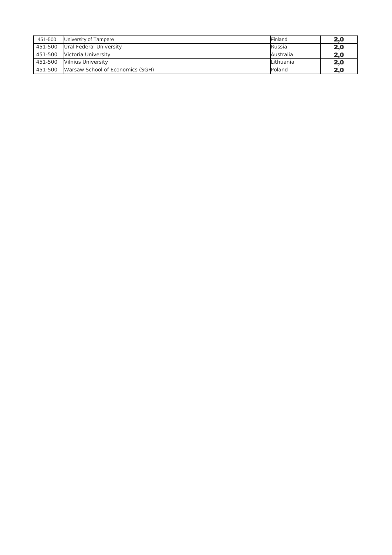| 451-500 | University of Tampere            | Finland       | 2,0 |
|---------|----------------------------------|---------------|-----|
| 451-500 | Ural Federal University          | <b>Russia</b> | 2,0 |
| 451-500 | Victoria University              | Australia     | 2,0 |
| 451-500 | Vilnius University               | Lithuania     | 2,0 |
| 451-500 | Warsaw School of Economics (SGH) | Poland        | 2.0 |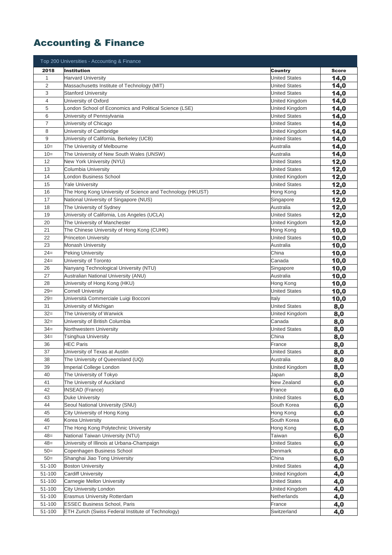# Accounting & Finance

| Top 200 Universities - Accounting & Finance |                                                            |                      |              |
|---------------------------------------------|------------------------------------------------------------|----------------------|--------------|
| 2018                                        | <b>Institution</b>                                         | Country              | <b>Score</b> |
| 1                                           | <b>Harvard University</b>                                  | <b>United States</b> | 14,0         |
| $\overline{2}$                              | Massachusetts Institute of Technology (MIT)                | <b>United States</b> | 14,0         |
| 3                                           | <b>Stanford University</b>                                 | <b>United States</b> | 14,0         |
| 4                                           | University of Oxford                                       | United Kingdom       | 14,0         |
| 5                                           | London School of Economics and Political Science (LSE)     | United Kingdom       | 14,0         |
| 6                                           | University of Pennsylvania                                 | United States        | 14,0         |
| $\overline{7}$                              | University of Chicago                                      | United States        | 14,0         |
| 8                                           | University of Cambridge                                    | United Kingdom       | 14,0         |
| 9                                           | University of California, Berkeley (UCB)                   | <b>United States</b> | 14,0         |
| $10 =$                                      | The University of Melbourne                                | Australia            | 14,0         |
| $10=$                                       | The University of New South Wales (UNSW)                   | Australia            | 14,0         |
| 12                                          | New York University (NYU)                                  | <b>United States</b> | 12,0         |
| 13                                          | Columbia University                                        | <b>United States</b> | 12,0         |
| 14                                          | London Business School                                     | United Kingdom       | 12,0         |
| 15                                          | <b>Yale University</b>                                     | <b>United States</b> | 12,0         |
| 16                                          | The Hong Kong University of Science and Technology (HKUST) | Hong Kong            | 12,0         |
| 17                                          | National University of Singapore (NUS)                     | Singapore            | 12,0         |
| 18                                          | The University of Sydney                                   | Australia            | 12,0         |
| 19                                          | University of California, Los Angeles (UCLA)               | United States        | 12,0         |
| 20                                          | The University of Manchester                               | United Kingdom       | 12,0         |
| 21                                          | The Chinese University of Hong Kong (CUHK)                 | Hong Kong            | 10,0         |
| 22                                          | <b>Princeton University</b>                                | <b>United States</b> | 10,0         |
| 23                                          | <b>Monash University</b>                                   | Australia            | 10,0         |
| $24=$                                       | Peking University                                          | China                | 10,0         |
| $24=$                                       | University of Toronto                                      | Canada               | 10,0         |
| 26                                          | Nanyang Technological University (NTU)                     | Singapore            | 10,0         |
| 27                                          | Australian National University (ANU)                       | Australia            | 10,0         |
| 28                                          | University of Hong Kong (HKU)                              | Hong Kong            | 10,0         |
| $29=$                                       | <b>Cornell University</b>                                  | <b>United States</b> | 10,0         |
| $29=$                                       | Università Commerciale Luigi Bocconi                       | Italy                | 10,0         |
| 31                                          | University of Michigan                                     | <b>United States</b> | 8,0          |
| $32=$                                       | The University of Warwick                                  | United Kingdom       | 8,0          |
| $32=$                                       | University of British Columbia                             | Canada               | 8,0          |
| $34 =$                                      | Northwestern University                                    | <b>United States</b> | 8,0          |
| $34 =$                                      | Tsinghua University                                        | China                | 8,0          |
| 36                                          | <b>HEC Paris</b>                                           | France               | 8,0          |
| 37                                          | University of Texas at Austin                              | <b>United States</b> | 8,0          |
| 38                                          | The University of Queensland (UQ)                          | Australia            | 8,0          |
| 39                                          | Imperial College London                                    | United Kingdom       | 8,0          |
| 40<br>41                                    | The University of Tokyo<br>The University of Auckland      | Japan<br>New Zealand | 8,0          |
| 42                                          | <b>INSEAD</b> (France)                                     | France               | 6,0          |
| 43                                          | <b>Duke University</b>                                     | <b>United States</b> | 6,0          |
| 44                                          | Seoul National University (SNU)                            | South Korea          | 6,0<br>6,0   |
| 45                                          | City University of Hong Kong                               | Hong Kong            | 6,0          |
| 46                                          | Korea University                                           | South Korea          | 6,0          |
| 47                                          | The Hong Kong Polytechnic University                       | Hong Kong            | 6,0          |
| $48=$                                       | National Taiwan University (NTU)                           | Taiwan               | 6,0          |
| $48=$                                       | University of Illinois at Urbana-Champaign                 | <b>United States</b> | 6,0          |
| $50=$                                       | Copenhagen Business School                                 | Denmark              | 6,0          |
| $50=$                                       | Shanghai Jiao Tong University                              | China                | 6,0          |
| 51-100                                      | <b>Boston University</b>                                   | <b>United States</b> | 4,0          |
| 51-100                                      | <b>Cardiff University</b>                                  | United Kingdom       | 4,0          |
| 51-100                                      | Carnegie Mellon University                                 | <b>United States</b> | 4,0          |
| 51-100                                      | City University London                                     | United Kingdom       | 4,0          |
| 51-100                                      | Erasmus University Rotterdam                               | Netherlands          | 4,0          |
| 51-100                                      | <b>ESSEC Business School, Paris</b>                        | France               | 4,0          |
| 51-100                                      | ETH Zurich (Swiss Federal Institute of Technology)         | Switzerland          | 4,0          |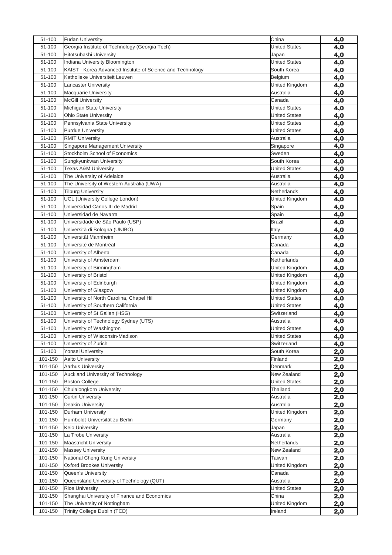| 51-100             | <b>Fudan University</b>                                    | China                               | 4,0 |
|--------------------|------------------------------------------------------------|-------------------------------------|-----|
| 51-100             | Georgia Institute of Technology (Georgia Tech)             | <b>United States</b>                | 4,0 |
| 51-100             | Hitotsubashi University                                    | Japan                               | 4,0 |
| 51-100             | Indiana University Bloomington                             | <b>United States</b>                | 4,0 |
| 51-100             | KAIST - Korea Advanced Institute of Science and Technology | South Korea                         | 4,0 |
| 51-100             | Katholieke Universiteit Leuven                             | Belgium                             | 4,0 |
| 51-100             | <b>Lancaster University</b>                                | United Kingdom                      | 4,0 |
| 51-100             | <b>Macquarie University</b>                                | Australia                           | 4,0 |
| 51-100             | <b>McGill University</b>                                   | Canada                              | 4,0 |
| 51-100             | Michigan State University                                  | <b>United States</b>                | 4,0 |
| 51-100             | <b>Ohio State University</b>                               | <b>United States</b>                | 4,0 |
| 51-100             | Pennsylvania State University                              | <b>United States</b>                | 4,0 |
| 51-100             | <b>Purdue University</b>                                   | <b>United States</b>                | 4,0 |
| 51-100             | <b>RMIT University</b>                                     | Australia                           | 4,0 |
| 51-100             | Singapore Management University                            | Singapore                           | 4,0 |
| 51-100             | Stockholm School of Economics                              | Sweden                              | 4,0 |
| 51-100             | Sungkyunkwan University                                    | South Korea                         | 4,0 |
| 51-100             | <b>Texas A&amp;M University</b>                            | <b>United States</b>                | 4,0 |
| 51-100             | The University of Adelaide                                 | Australia                           | 4,0 |
| 51-100             | The University of Western Australia (UWA)                  | Australia                           | 4,0 |
| 51-100             | <b>Tilburg University</b>                                  | Netherlands                         | 4,0 |
| 51-100             | UCL (University College London)                            | United Kingdom                      | 4,0 |
| 51-100             | Universidad Carlos III de Madrid                           | Spain                               | 4,0 |
| 51-100             | Universidad de Navarra                                     | Spain                               | 4,0 |
| 51-100             | Universidade de São Paulo (USP)                            | <b>Brazil</b>                       | 4,0 |
| 51-100             | Università di Bologna (UNIBO)                              | Italy                               | 4,0 |
| 51-100             | Universität Mannheim                                       | Germany                             | 4,0 |
| 51-100             | Université de Montréal                                     | Canada                              | 4,0 |
| 51-100             | University of Alberta                                      | Canada                              | 4,0 |
| 51-100             | University of Amsterdam                                    | Netherlands                         | 4,0 |
| 51-100             | University of Birmingham                                   | United Kingdom                      | 4,0 |
| 51-100             | University of Bristol                                      | United Kingdom                      | 4,0 |
| 51-100             | University of Edinburgh                                    | United Kingdom                      |     |
| 51-100             | University of Glasgow                                      | United Kingdom                      | 4,0 |
| 51-100             | University of North Carolina, Chapel Hill                  | <b>United States</b>                | 4,0 |
| 51-100             | University of Southern California                          | <b>United States</b>                | 4,0 |
| 51-100             | University of St Gallen (HSG)                              | Switzerland                         | 4,0 |
| 51-100             | University of Technology Sydney (UTS)                      | Australia                           | 4,0 |
| 51-100             | University of Washington                                   | <b>United States</b>                | 4,0 |
| 51-100             | University of Wisconsin-Madison                            | <b>United States</b>                | 4,0 |
| 51-100             | University of Zurich                                       | Switzerland                         | 4,0 |
| 51-100             | Yonsei University                                          |                                     | 4,0 |
| 101-150            | <b>Aalto University</b>                                    | South Korea<br>Finland              | 2,0 |
|                    |                                                            | Denmark                             | 2,0 |
| 101-150            | Aarhus University                                          |                                     | 2,0 |
| 101-150<br>101-150 | Auckland University of Technology<br><b>Boston College</b> | New Zealand<br><b>United States</b> | 2,0 |
|                    |                                                            |                                     | 2,0 |
| 101-150            | Chulalongkorn University                                   | Thailand                            | 2,0 |
| 101-150            | <b>Curtin University</b>                                   | Australia                           | 2,0 |
| 101-150            | Deakin University                                          | Australia                           | 2,0 |
| 101-150            | Durham University                                          | United Kingdom                      | 2,0 |
| 101-150            | Humboldt-Universität zu Berlin                             | Germany                             | 2,0 |
| 101-150            | Keio University                                            | Japan                               | 2,0 |
| 101-150            | La Trobe University                                        | Australia                           | 2,0 |
| 101-150            | <b>Maastricht University</b>                               | Netherlands                         | 2,0 |
| 101-150            | <b>Massey University</b>                                   | New Zealand                         | 2,0 |
| 101-150            | National Cheng Kung University                             | Taiwan                              | 2,0 |
| 101-150            | Oxford Brookes University                                  | United Kingdom                      | 2,0 |
| 101-150            | Queen's University                                         | Canada                              | 2,0 |
| 101-150            | Queensland University of Technology (QUT)                  | Australia                           | 2,0 |
| 101-150            | <b>Rice University</b>                                     | <b>United States</b>                | 2,0 |
| 101-150            | Shanghai University of Finance and Economics               | China                               | 2,0 |
| 101-150            | The University of Nottingham                               | United Kingdom                      | 2,0 |
| 101-150            | Trinity College Dublin (TCD)                               | Ireland                             | 2,0 |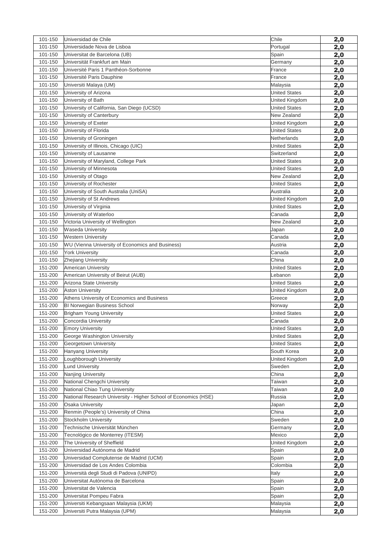| 101-150 | Universidad de Chile                                            | Chile                | 2,0        |
|---------|-----------------------------------------------------------------|----------------------|------------|
| 101-150 | Universidade Nova de Lisboa                                     | Portugal             | 2,0        |
| 101-150 | Universitat de Barcelona (UB)                                   | Spain                | 2,0        |
| 101-150 | Universität Frankfurt am Main                                   | Germany              | 2,0        |
| 101-150 | Université Paris 1 Panthéon-Sorbonne                            | France               | 2,0        |
| 101-150 | Université Paris Dauphine                                       | France               | 2,0        |
| 101-150 | Universiti Malaya (UM)                                          | Malaysia             | 2,0        |
| 101-150 | University of Arizona                                           | <b>United States</b> | <u>2,0</u> |
| 101-150 | University of Bath                                              | United Kingdom       | 2,0        |
| 101-150 | University of California, San Diego (UCSD)                      | <b>United States</b> | 2,0        |
| 101-150 | University of Canterbury                                        | New Zealand          | 2,0        |
| 101-150 | University of Exeter                                            | United Kingdom       | 2,0        |
| 101-150 | University of Florida                                           | <b>United States</b> | 2,0        |
| 101-150 | University of Groningen                                         | Netherlands          | 2,0        |
| 101-150 | University of Illinois, Chicago (UIC)                           | <b>United States</b> | 2,0        |
| 101-150 | University of Lausanne                                          | Switzerland          | 2,0        |
| 101-150 | University of Maryland, College Park                            | <b>United States</b> | 2,0        |
| 101-150 | University of Minnesota                                         | <b>United States</b> | 2,0        |
| 101-150 | University of Otago                                             | New Zealand          | 2,0        |
| 101-150 | University of Rochester                                         | <b>United States</b> | 2,0        |
| 101-150 | University of South Australia (UniSA)                           | Australia            | 2,0        |
| 101-150 | University of St Andrews                                        | United Kingdom       | 2,0        |
| 101-150 | University of Virginia                                          | <b>United States</b> | 2,0        |
| 101-150 | University of Waterloo                                          | Canada               | 2,0        |
| 101-150 | Victoria University of Wellington                               | New Zealand          | 2,0        |
| 101-150 | Waseda University                                               | Japan                | 2,0        |
| 101-150 | <b>Western University</b>                                       | Canada               | 2,0        |
| 101-150 | WU (Vienna University of Economics and Business)                | Austria              | 2,0        |
| 101-150 | <b>York University</b>                                          | Canada               | 2,0        |
| 101-150 | Zhejiang University                                             | China                | 2,0        |
| 151-200 | <b>American University</b>                                      | <b>United States</b> | 2,0        |
| 151-200 | American University of Beirut (AUB)                             | Lebanon              | 2,0        |
| 151-200 | Arizona State University                                        | <b>United States</b> | 2,0        |
| 151-200 | <b>Aston University</b>                                         | United Kingdom       | 2,0        |
| 151-200 | Athens University of Economics and Business                     | Greece               | 2,0        |
| 151-200 | <b>BI Norwegian Business School</b>                             | Norway               | 2,0        |
| 151-200 | Brigham Young University                                        | <b>United States</b> | 2,0        |
| 151-200 | Concordia University                                            | Canada               | 2,0        |
| 151-200 | <b>Emory University</b>                                         | <b>United States</b> | 2,0        |
| 151-200 | George Washington University                                    | <b>United States</b> | 2,0        |
| 151-200 | Georgetown University                                           | <b>United States</b> | 2,0        |
| 151-200 | <b>Hanyang University</b>                                       | South Korea          | 2,0        |
| 151-200 | Loughborough University                                         | United Kingdom       | 2,0        |
| 151-200 | <b>Lund University</b>                                          | Sweden               | 2,0        |
| 151-200 | Nanjing University                                              | China                | 2,0        |
| 151-200 | National Chengchi University                                    | Taiwan               | 2,0        |
| 151-200 | National Chiao Tung University                                  | Taiwan               | 2,0        |
| 151-200 | National Research University - Higher School of Economics (HSE) | Russia               | 2,0        |
| 151-200 | Osaka University                                                | Japan                | 2,0        |
| 151-200 | Renmin (People's) University of China                           | China                | 2,0        |
| 151-200 | Stockholm University                                            | Sweden               | 2,0        |
| 151-200 | Technische Universität München                                  | Germany              | 2,0        |
| 151-200 | Tecnológico de Monterrey (ITESM)                                | Mexico               | 2,0        |
| 151-200 | The University of Sheffield                                     | United Kingdom       | 2,0        |
| 151-200 | Universidad Autónoma de Madrid                                  | Spain                | 2,0        |
| 151-200 | Universidad Complutense de Madrid (UCM)                         | Spain                | 2,0        |
| 151-200 | Universidad de Los Andes Colombia                               | Colombia             | 2,0        |
| 151-200 | Università degli Studi di Padova (UNIPD)                        | Italy                | 2,0        |
| 151-200 | Universitat Autónoma de Barcelona                               | Spain                | 2,0        |
| 151-200 | Universitat de Valencia                                         | Spain                |            |
| 151-200 | Universitat Pompeu Fabra                                        | Spain                | <u>2,0</u> |
| 151-200 | Universiti Kebangsaan Malaysia (UKM)                            | Malaysia             | 2,0        |
|         |                                                                 |                      | 2,0        |
| 151-200 | Universiti Putra Malaysia (UPM)                                 | Malaysia             | 2,0        |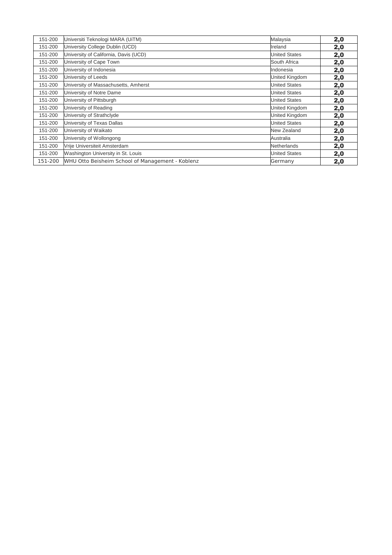| 151-200 | Universiti Teknologi MARA (UiTM)                 | Malaysia             | 2,0 |
|---------|--------------------------------------------------|----------------------|-----|
| 151-200 | University College Dublin (UCD)                  | Ireland              | 2,0 |
| 151-200 | University of California, Davis (UCD)            | <b>United States</b> | 2,0 |
| 151-200 | University of Cape Town                          | South Africa         | 2,0 |
| 151-200 | University of Indonesia                          | Indonesia            | 2,0 |
| 151-200 | University of Leeds                              | United Kingdom       | 2,0 |
| 151-200 | University of Massachusetts, Amherst             | <b>United States</b> | 2,0 |
| 151-200 | University of Notre Dame                         | <b>United States</b> | 2,0 |
| 151-200 | University of Pittsburgh                         | <b>United States</b> | 2,0 |
| 151-200 | University of Reading                            | United Kingdom       | 2,0 |
| 151-200 | University of Strathclyde                        | United Kingdom       | 2,0 |
| 151-200 | University of Texas Dallas                       | <b>United States</b> | 2,0 |
| 151-200 | University of Waikato                            | New Zealand          | 2,0 |
| 151-200 | University of Wollongong                         | Australia            | 2,0 |
| 151-200 | Vrije Universiteit Amsterdam                     | Netherlands          | 2,0 |
| 151-200 | Washington University in St. Louis               | <b>United States</b> | 2,0 |
| 151-200 | WHU Otto Beisheim School of Management - Koblenz | Germany              | 2,0 |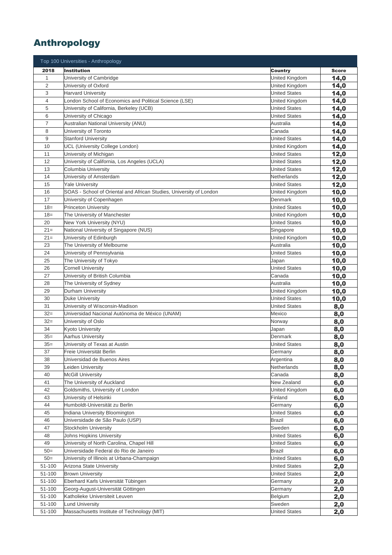## Anthropology

|                | Top 100 Universities - Anthropology                                 |                          |              |
|----------------|---------------------------------------------------------------------|--------------------------|--------------|
| 2018           | <b>Institution</b>                                                  | Country                  | <b>Score</b> |
| $\mathbf{1}$   | University of Cambridge                                             | United Kingdom           | 14,0         |
| $\overline{2}$ | University of Oxford                                                | United Kingdom           | 14,0         |
| 3              | <b>Harvard University</b>                                           | <b>United States</b>     | 14,0         |
| 4              | London School of Economics and Political Science (LSE)              | United Kingdom           | 14,0         |
| 5              | University of California, Berkeley (UCB)                            | <b>United States</b>     | 14,0         |
| 6              | University of Chicago                                               | <b>United States</b>     | 14,0         |
| 7              | Australian National University (ANU)                                | Australia                | 14,0         |
| 8              | University of Toronto                                               | Canada                   | 14,0         |
| 9              | <b>Stanford University</b>                                          | <b>United States</b>     | 14,0         |
| 10             | UCL (University College London)                                     | United Kingdom           | 14,0         |
| 11             | University of Michigan                                              | <b>United States</b>     | 12,0         |
| 12             | University of California, Los Angeles (UCLA)                        | <b>United States</b>     | 12,0         |
| 13             | Columbia University                                                 | <b>United States</b>     | 12,0         |
| 14             | University of Amsterdam                                             | Netherlands              | 12,0         |
| 15             | <b>Yale University</b>                                              | <b>United States</b>     | 12,0         |
| 16             | SOAS - School of Oriental and African Studies, University of London | United Kingdom           | 10,0         |
| 17             | University of Copenhagen                                            | Denmark                  | 10,0         |
| $18 =$         | <b>Princeton University</b>                                         | <b>United States</b>     | 10,0         |
| $18 =$         | The University of Manchester                                        | United Kingdom           | 10,0         |
| 20             | New York University (NYU)                                           | United States            | 10,0         |
| $21=$          | National University of Singapore (NUS)                              | Singapore                | 10,0         |
| $21=$          | University of Edinburgh                                             | United Kingdom           | 10,0         |
| 23             | The University of Melbourne                                         | Australia                | 10,0         |
| 24             | University of Pennsylvania                                          | United States            | 10,0         |
| 25             | The University of Tokyo                                             | Japan                    | 10,0         |
| 26             | <b>Cornell University</b>                                           | <b>United States</b>     | 10,0         |
| 27             | University of British Columbia                                      | Canada                   | 10,0         |
| 28             | The University of Sydney                                            | Australia                | 10,0         |
| 29             | Durham University                                                   | United Kingdom           | 10,0         |
| 30             | <b>Duke University</b>                                              | <b>United States</b>     | 10,0         |
| 31             | University of Wisconsin-Madison                                     | <b>United States</b>     | 8,0          |
| $32=$          | Universidad Nacional Autónoma de México (UNAM)                      | Mexico                   | 8,0          |
| $32=$          | University of Oslo                                                  | Norway                   | 8,0          |
| 34             | Kyoto University                                                    | Japan                    | 8,0          |
| $35=$          | <b>Aarhus University</b>                                            | Denmark                  | 8,0          |
| $35=$<br>37    | University of Texas at Austin                                       | <b>United States</b>     | 8,0          |
| 38             | Freie Universität Berlin                                            | Germany                  | 8,0          |
| 39             | Universidad de Buenos Aires<br>Leiden University                    | Argentina<br>Netherlands | 8,0          |
| 40             | <b>McGill University</b>                                            | Canada                   | 8,0<br>8,0   |
| 41             | The University of Auckland                                          | New Zealand              | 6,0          |
| 42             | Goldsmiths, University of London                                    | United Kingdom           | 6,0          |
| 43             | University of Helsinki                                              | Finland                  | 6,0          |
| 44             | Humboldt-Universität zu Berlin                                      | Germany                  | 6,0          |
| 45             | Indiana University Bloomington                                      | United States            | 6,0          |
| 46             | Universidade de São Paulo (USP)                                     | Brazil                   | 6,0          |
| 47             | Stockholm University                                                | Sweden                   | 6,0          |
| 48             | Johns Hopkins University                                            | <b>United States</b>     | 6,0          |
| 49             | University of North Carolina, Chapel Hill                           | <b>United States</b>     | 6,0          |
| $50=$          | Universidade Federal do Rio de Janeiro                              | <b>Brazil</b>            | 6,0          |
| $50=$          | University of Illinois at Urbana-Champaign                          | <b>United States</b>     | 6,0          |
| 51-100         | Arizona State University                                            | <b>United States</b>     | 2,0          |
| 51-100         | <b>Brown University</b>                                             | <b>United States</b>     | 2,0          |
| 51-100         | Eberhard Karls Universität Tübingen                                 | Germany                  | 2,0          |
| 51-100         | Georg-August-Universität Göttingen                                  | Germany                  | 2,0          |
| 51-100         | Katholieke Universiteit Leuven                                      | Belgium                  | 2,0          |
| 51-100         | <b>Lund University</b>                                              | Sweden                   | 2,0          |
| 51-100         | Massachusetts Institute of Technology (MIT)                         | United States            | 2,0          |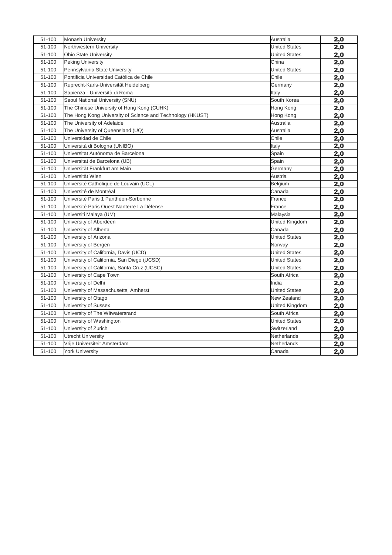| 51-100 | <b>Monash University</b>                                   | Australia            | 2,0 |
|--------|------------------------------------------------------------|----------------------|-----|
| 51-100 | Northwestern University                                    | <b>United States</b> | 2,0 |
| 51-100 | <b>Ohio State University</b>                               | <b>United States</b> | 2,0 |
| 51-100 | <b>Peking University</b>                                   | China                | 2,0 |
| 51-100 | Pennsylvania State University                              | <b>United States</b> | 2,0 |
| 51-100 | Pontificia Universidad Católica de Chile                   | Chile                | 2,0 |
| 51-100 | Ruprecht-Karls-Universität Heidelberg                      | Germany              | 2,0 |
| 51-100 | Sapienza - Università di Roma                              | Italy                | 2,0 |
| 51-100 | Seoul National University (SNU)                            | South Korea          | 2,0 |
| 51-100 | The Chinese University of Hong Kong (CUHK)                 | Hong Kong            | 2,0 |
| 51-100 | The Hong Kong University of Science and Technology (HKUST) | Hong Kong            | 2,0 |
| 51-100 | The University of Adelaide                                 | Australia            | 2,0 |
| 51-100 | The University of Queensland (UQ)                          | Australia            | 2,0 |
| 51-100 | Universidad de Chile                                       | Chile                | 2,0 |
| 51-100 | Università di Bologna (UNIBO)                              | Italy                | 2,0 |
| 51-100 | Universitat Autónoma de Barcelona                          | Spain                | 2,0 |
| 51-100 | Universitat de Barcelona (UB)                              | Spain                | 2,0 |
| 51-100 | Universität Frankfurt am Main                              | Germany              | 2,0 |
| 51-100 | Universität Wien                                           | Austria              | 2,0 |
| 51-100 | Université Catholique de Louvain (UCL)                     | Belgium              | 2,0 |
| 51-100 | Université de Montréal                                     | Canada               | 2,0 |
| 51-100 | Université Paris 1 Panthéon-Sorbonne                       | France               | 2,0 |
| 51-100 | Université Paris Ouest Nanterre La Défense                 | France               | 2,0 |
| 51-100 | Universiti Malaya (UM)                                     | Malaysia             | 2,0 |
| 51-100 | University of Aberdeen                                     | United Kingdom       | 2,0 |
| 51-100 | University of Alberta                                      | Canada               | 2,0 |
| 51-100 | University of Arizona                                      | <b>United States</b> | 2,0 |
| 51-100 | University of Bergen                                       | Norway               | 2,0 |
| 51-100 | University of California, Davis (UCD)                      | <b>United States</b> | 2,0 |
| 51-100 | University of California, San Diego (UCSD)                 | <b>United States</b> | 2,0 |
| 51-100 | University of California, Santa Cruz (UCSC)                | <b>United States</b> | 2,0 |
| 51-100 | University of Cape Town                                    | South Africa         | 2,0 |
| 51-100 | University of Delhi                                        | India                | 2,0 |
| 51-100 | University of Massachusetts, Amherst                       | <b>United States</b> | 2,0 |
| 51-100 | University of Otago                                        | New Zealand          | 2,0 |
| 51-100 | University of Sussex                                       | United Kingdom       | 2,0 |
| 51-100 | University of The Witwatersrand                            | South Africa         | 2,0 |
| 51-100 | University of Washington                                   | <b>United States</b> | 2,0 |
| 51-100 | University of Zurich                                       | Switzerland          | 2,0 |
| 51-100 | <b>Utrecht University</b>                                  | Netherlands          | 2,0 |
| 51-100 | Vrije Universiteit Amsterdam                               | Netherlands          | 2,0 |
| 51-100 | York University                                            | Canada               | 2,0 |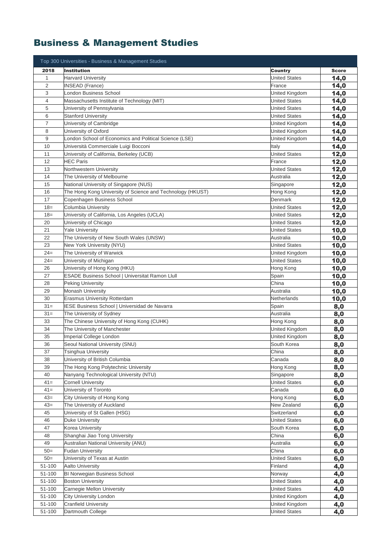# Business & Management Studies

|                | Top 300 Universities - Business & Management Studies                |                                        |              |
|----------------|---------------------------------------------------------------------|----------------------------------------|--------------|
| 2018           | <b>Institution</b>                                                  | <b>Country</b>                         | <b>Score</b> |
| $\mathbf{1}$   | <b>Harvard University</b>                                           | <b>United States</b>                   | 14,0         |
| $\overline{2}$ | <b>INSEAD (France)</b>                                              | France                                 | 14,0         |
| 3              | London Business School                                              | United Kingdom                         | 14,0         |
| 4              | Massachusetts Institute of Technology (MIT)                         | <b>United States</b>                   | 14,0         |
| 5              | University of Pennsylvania                                          | <b>United States</b>                   | 14,0         |
| 6              | <b>Stanford University</b>                                          | <b>United States</b>                   | 14,0         |
| 7              | University of Cambridge                                             | United Kingdom                         | 14,0         |
| 8              | University of Oxford                                                | United Kingdom                         | 14,0         |
| 9              | London School of Economics and Political Science (LSE)              | United Kingdom                         | 14,0         |
| 10             | Università Commerciale Luigi Bocconi                                | Italy                                  | 14,0         |
| 11             | University of California, Berkeley (UCB)                            | <b>United States</b>                   | 12,0         |
| 12             | <b>HEC Paris</b>                                                    | France                                 | 12,0         |
| 13             | Northwestern University                                             | <b>United States</b>                   | 12,0         |
| 14             | The University of Melbourne                                         | Australia                              | 12,0         |
| 15             | National University of Singapore (NUS)                              | Singapore                              | 12,0         |
| 16             | The Hong Kong University of Science and Technology (HKUST)          | Hong Kong                              | 12,0         |
| 17             | Copenhagen Business School                                          | Denmark                                | 12,0         |
| $18 =$         | Columbia University                                                 | <b>United States</b>                   | 12,0         |
| $18 =$         | University of California, Los Angeles (UCLA)                        | <b>United States</b>                   | 12,0         |
| 20             | University of Chicago                                               | <b>United States</b>                   | 12,0         |
| 21             | <b>Yale University</b>                                              | <b>United States</b>                   | 10,0         |
| 22             | The University of New South Wales (UNSW)                            | Australia                              | 10,0         |
| 23             | New York University (NYU)                                           | <b>United States</b>                   | 10,0         |
| $24=$          | The University of Warwick                                           | United Kingdom                         | 10,0         |
| $24=$          | University of Michigan                                              | <b>United States</b>                   | 10,0         |
| 26             | University of Hong Kong (HKU)                                       | Hong Kong                              | 10,0         |
| 27             | ESADE Business School   Universitat Ramon Llull                     | Spain                                  | 10,0         |
| 28             | Peking University                                                   | China                                  | 10,0         |
| 29             | <b>Monash University</b>                                            | Australia                              | 10,0         |
| 30             | Erasmus University Rotterdam                                        | Netherlands                            | 10,0         |
| $31 =$         | IESE Business School   Universidad de Navarra                       | Spain                                  | 8,0          |
| $31 =$         | The University of Sydney                                            | Australia                              | 8,0          |
| 33             | The Chinese University of Hong Kong (CUHK)                          | Hong Kong                              | 8,0          |
| 34             | The University of Manchester                                        | United Kingdom                         | 8,0          |
| 35             | Imperial College London                                             | United Kingdom                         | 8,0          |
| 36             | Seoul National University (SNU)                                     | South Korea                            | 8,0          |
| 37             | Tsinghua University                                                 | China                                  | 8,0          |
| 38             | University of British Columbia                                      | Canada                                 | 8,0          |
| 39             | The Hong Kong Polytechnic University                                | Hong Kong                              | 8,0          |
| 40             | Nanyang Technological University (NTU)<br><b>Cornell University</b> | Singapore                              | 8,0          |
| $41 =$         |                                                                     | <b>United States</b>                   | 6,0          |
| $41=$<br>$43=$ | University of Toronto                                               | Canada                                 | 6,0          |
| $43=$          | City University of Hong Kong<br>The University of Auckland          | Hong Kong<br>New Zealand               | 6,0          |
| 45             | University of St Gallen (HSG)                                       | Switzerland                            | 6,0          |
| 46             |                                                                     | <b>United States</b>                   | 6,0          |
| 47             | Duke University<br>Korea University                                 | South Korea                            | 6,0          |
|                | Shanghai Jiao Tong University                                       | China                                  | 6,0          |
| 48<br>49       | Australian National University (ANU)                                | Australia                              | 6,0          |
| $50=$          | <b>Fudan University</b>                                             | China                                  | 6,0          |
| $50=$          | University of Texas at Austin                                       | <b>United States</b>                   | 6,0          |
| 51-100         | <b>Aalto University</b>                                             | Finland                                | 6,0          |
| 51-100         | <b>BI Norwegian Business School</b>                                 | Norway                                 | 4,0          |
| 51-100         | <b>Boston University</b>                                            | <b>United States</b>                   | 4,0          |
| 51-100         | Carnegie Mellon University                                          | <b>United States</b>                   | 4,0<br>4,0   |
| 51-100         | City University London                                              | United Kingdom                         |              |
| 51-100         | <b>Cranfield University</b>                                         |                                        | 4,0          |
| 51-100         | Dartmouth College                                                   | United Kingdom<br><b>United States</b> | 4,0          |
|                |                                                                     |                                        | 4,0          |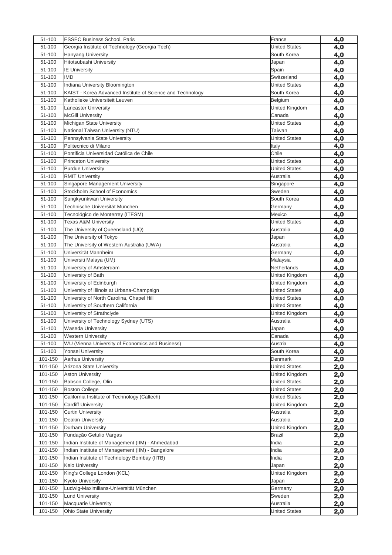| 51-100             | <b>ESSEC Business School, Paris</b>                        | France                                       | 4,0        |
|--------------------|------------------------------------------------------------|----------------------------------------------|------------|
| 51-100             | Georgia Institute of Technology (Georgia Tech)             | <b>United States</b>                         | 4,0        |
| 51-100             | Hanyang University                                         | South Korea                                  | 4,0        |
| 51-100             | Hitotsubashi University                                    | Japan                                        | 4,0        |
| 51-100             | <b>IE University</b>                                       | Spain                                        | 4,0        |
| 51-100             | <b>IMD</b>                                                 | Switzerland                                  | 4,0        |
| 51-100             | Indiana University Bloomington                             | <b>United States</b>                         | 4,0        |
| 51-100             | KAIST - Korea Advanced Institute of Science and Technology | South Korea                                  | 4,0        |
| 51-100             | Katholieke Universiteit Leuven                             | Belgium                                      | 4,0        |
| 51-100             | <b>Lancaster University</b>                                | United Kingdom                               | 4,0        |
| 51-100             | <b>McGill University</b>                                   | Canada                                       | 4,0        |
| 51-100             | Michigan State University                                  | <b>United States</b>                         | 4,0        |
| 51-100             | National Taiwan University (NTU)                           | Taiwan                                       | 4,0        |
| 51-100             | Pennsylvania State University                              | <b>United States</b>                         | 4,0        |
| 51-100             | Politecnico di Milano                                      | Italy<br>Chile                               | 4,0        |
| 51-100             | Pontificia Universidad Católica de Chile                   |                                              | 4,0        |
| 51-100<br>51-100   | <b>Princeton University</b><br>Purdue University           | <b>United States</b><br><b>United States</b> | 4,0        |
| 51-100             |                                                            | Australia                                    | 4,0        |
| 51-100             | <b>RMIT University</b><br>Singapore Management University  | Singapore                                    | 4,0        |
| 51-100             | Stockholm School of Economics                              | Sweden                                       | 4,0        |
| 51-100             | Sungkyunkwan University                                    | South Korea                                  | 4,0<br>4,0 |
| 51-100             | Technische Universität München                             | Germany                                      | 4,0        |
| 51-100             | Tecnológico de Monterrey (ITESM)                           | Mexico                                       | 4,0        |
| 51-100             | <b>Texas A&amp;M University</b>                            | <b>United States</b>                         | 4,0        |
| 51-100             | The University of Queensland (UQ)                          | Australia                                    | 4,0        |
| 51-100             | The University of Tokyo                                    | Japan                                        | 4,0        |
| 51-100             | The University of Western Australia (UWA)                  | Australia                                    | 4,0        |
| 51-100             | Universität Mannheim                                       | Germany                                      | 4,0        |
| 51-100             | Universiti Malaya (UM)                                     | Malaysia                                     | 4,0        |
| 51-100             | University of Amsterdam                                    | Netherlands                                  | 4,0        |
| 51-100             | University of Bath                                         | United Kingdom                               | 4,0        |
| 51-100             | University of Edinburgh                                    | United Kingdom                               | 4,0        |
| 51-100             | University of Illinois at Urbana-Champaign                 | <b>United States</b>                         | 4,0        |
| 51-100             | University of North Carolina, Chapel Hill                  | <b>United States</b>                         | 4,0        |
| 51-100             | University of Southern California                          | <b>United States</b>                         | 4,0        |
| 51-100             | University of Strathclyde                                  | United Kingdom                               | 4,0        |
| 51-100             | University of Technology Sydney (UTS)                      | Australia                                    | 4,0        |
| 51-100             | <b>Waseda University</b>                                   | Japan                                        | 4,0        |
| 51-100             | <b>Western University</b>                                  | Canada                                       | 4,0        |
| 51-100             | WU (Vienna University of Economics and Business)           | Austria                                      | 4,0        |
| 51-100             | Yonsei University                                          | South Korea                                  | 4,0        |
| 101-150            | Aarhus University                                          | Denmark                                      | 2,0        |
| 101-150            | Arizona State University                                   | <b>United States</b>                         | 2,0        |
| 101-150            | <b>Aston University</b>                                    | United Kingdom                               | 2,0        |
| 101-150<br>101-150 | Babson College, Olin<br><b>Boston College</b>              | <b>United States</b><br><b>United States</b> | 2,0        |
| 101-150            | California Institute of Technology (Caltech)               | <b>United States</b>                         | 2,0        |
| 101-150            | <b>Cardiff University</b>                                  | United Kingdom                               | 2,0<br>2,0 |
| 101-150            | <b>Curtin University</b>                                   | Australia                                    | 2,0        |
| 101-150            | Deakin University                                          | Australia                                    | 2,0        |
| 101-150            | Durham University                                          | United Kingdom                               | 2,0        |
| 101-150            | Fundação Getulio Vargas                                    | <b>Brazil</b>                                | 2,0        |
| 101-150            | Indian Institute of Management (IIM) - Ahmedabad           | India                                        | 2,0        |
| 101-150            | Indian Institute of Management (IIM) - Bangalore           | India                                        | 2,0        |
| 101-150            | Indian Institute of Technology Bombay (IITB)               | India                                        | 2,0        |
| 101-150            | Keio University                                            | Japan                                        | 2,0        |
| 101-150            | King's College London (KCL)                                | United Kingdom                               | 2,0        |
| 101-150            | <b>Kyoto University</b>                                    | Japan                                        | 2,0        |
| 101-150            | Ludwig-Maximilians-Universität München                     | Germany                                      | 2,0        |
| 101-150            | <b>Lund University</b>                                     | Sweden                                       | 2,0        |
| 101-150            | Macquarie University                                       | Australia                                    | 2,0        |
| 101-150            | Ohio State University                                      | <b>United States</b>                         | 2,0        |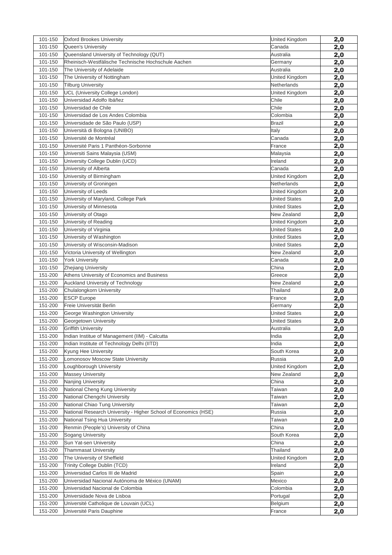| 101-150 | <b>Oxford Brookes University</b>                                                                  | United Kingdom                | 2,0 |
|---------|---------------------------------------------------------------------------------------------------|-------------------------------|-----|
| 101-150 | <b>Oueen's University</b>                                                                         | Canada                        | 2,0 |
| 101-150 | Queensland University of Technology (QUT)                                                         | Australia                     | 2,0 |
| 101-150 | Rheinisch-Westfälische Technische Hochschule Aachen                                               | Germany                       | 2,0 |
| 101-150 | The University of Adelaide                                                                        | Australia                     | 2,0 |
| 101-150 | The University of Nottingham                                                                      | United Kingdom                | 2,0 |
| 101-150 | <b>Tilburg University</b>                                                                         | Netherlands                   | 2,0 |
| 101-150 | UCL (University College London)                                                                   | United Kingdom                | 2,0 |
| 101-150 | Universidad Adolfo Ibáñez                                                                         | Chile                         | 2,0 |
| 101-150 | Universidad de Chile                                                                              | Chile                         | 2,0 |
| 101-150 | Universidad de Los Andes Colombia                                                                 | Colombia                      | 2,0 |
| 101-150 | Universidade de São Paulo (USP)                                                                   | <b>Brazil</b>                 | 2,0 |
| 101-150 | Università di Bologna (UNIBO)                                                                     | Italy                         | 2,0 |
| 101-150 | Université de Montréal                                                                            | Canada                        | 2,0 |
| 101-150 | Université Paris 1 Panthéon-Sorbonne                                                              | France                        | 2,0 |
| 101-150 | Universiti Sains Malaysia (USM)                                                                   | Malaysia                      | 2,0 |
| 101-150 | University College Dublin (UCD)                                                                   | Ireland                       | 2,0 |
| 101-150 | University of Alberta                                                                             | Canada                        | 2,0 |
| 101-150 | University of Birmingham                                                                          | United Kingdom                | 2,0 |
| 101-150 | University of Groningen                                                                           | Netherlands                   | 2,0 |
| 101-150 | University of Leeds                                                                               | United Kingdom                | 2,0 |
| 101-150 | University of Maryland, College Park                                                              | <b>United States</b>          | 2,0 |
| 101-150 | University of Minnesota                                                                           | <b>United States</b>          | 2,0 |
| 101-150 | University of Otago                                                                               | New Zealand                   | 2,0 |
| 101-150 | University of Reading                                                                             | United Kingdom                | 2,0 |
| 101-150 | University of Virginia                                                                            | <b>United States</b>          | 2,0 |
| 101-150 | University of Washington                                                                          | <b>United States</b>          | 2,0 |
| 101-150 | University of Wisconsin-Madison                                                                   | <b>United States</b>          | 2,0 |
| 101-150 | Victoria University of Wellington                                                                 | New Zealand                   | 2,0 |
| 101-150 | <b>York University</b>                                                                            | Canada                        | 2,0 |
| 101-150 | Zhejiang University                                                                               | China                         | 2,0 |
| 151-200 | Athens University of Economics and Business                                                       | Greece                        | 2,0 |
| 151-200 | Auckland University of Technology                                                                 | New Zealand                   | 2,0 |
| 151-200 | Chulalongkorn University                                                                          | Thailand                      | 2,0 |
| 151-200 | <b>ESCP Europe</b>                                                                                | France                        | 2,0 |
| 151-200 | Freie Universität Berlin                                                                          | Germany                       | 2,0 |
| 151-200 | George Washington University                                                                      | <b>United States</b>          | 2,0 |
| 151-200 | Georgetown University                                                                             | <b>United States</b>          | 2,0 |
| 151-200 | <b>Griffith University</b>                                                                        | Australia                     | 2,0 |
| 151-200 | Indian Institue of Management (IIM) - Calcutta                                                    | India                         | 2,0 |
| 151-200 | Indian Institute of Technology Delhi (IITD)                                                       | India                         | 2,0 |
| 151-200 | Kyung Hee University                                                                              | South Korea                   |     |
| 151-200 | Lomonosov Moscow State University                                                                 | Russia                        | 2,0 |
| 151-200 | Loughborough University                                                                           |                               | 2,0 |
| 151-200 | <b>Massey University</b>                                                                          | United Kingdom<br>New Zealand | 2,0 |
| 151-200 | Nanjing University                                                                                | China                         | 2,0 |
| 151-200 | National Cheng Kung University                                                                    |                               | 2,0 |
| 151-200 | National Chengchi University                                                                      | Taiwan                        | 2,0 |
|         |                                                                                                   | Taiwan                        | 2,0 |
| 151-200 | National Chiao Tung University<br>National Research University - Higher School of Economics (HSE) | Taiwan                        | 2,0 |
| 151-200 |                                                                                                   | Russia                        | 2,0 |
| 151-200 | National Tsing Hua University                                                                     | Taiwan                        | 2,0 |
| 151-200 | Renmin (People's) University of China                                                             | China                         | 2,0 |
| 151-200 | Sogang University                                                                                 | South Korea                   | 2,0 |
| 151-200 | Sun Yat-sen University                                                                            | China                         | 2,0 |
| 151-200 | <b>Thammasat University</b>                                                                       | Thailand                      | 2,0 |
| 151-200 | The University of Sheffield                                                                       | United Kingdom                | 2,0 |
| 151-200 | Trinity College Dublin (TCD)                                                                      | Ireland                       | 2,0 |
| 151-200 | Universidad Carlos III de Madrid                                                                  | Spain                         | 2,0 |
| 151-200 | Universidad Nacional Autónoma de México (UNAM)                                                    | Mexico                        | 2,0 |
| 151-200 | Universidad Nacional de Colombia                                                                  | Colombia                      | 2,0 |
| 151-200 | Universidade Nova de Lisboa                                                                       | Portugal                      | 2,0 |
| 151-200 | Université Catholique de Louvain (UCL)                                                            | Belgium                       | 2,0 |
| 151-200 | Université Paris Dauphine                                                                         | France                        | 2,0 |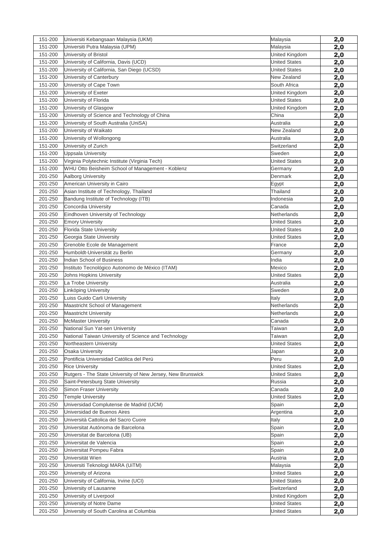| 151-200 | Universiti Kebangsaan Malaysia (UKM)                        | Malaysia             | 2,0        |
|---------|-------------------------------------------------------------|----------------------|------------|
| 151-200 | Universiti Putra Malaysia (UPM)                             | Malaysia             | 2,0        |
| 151-200 | University of Bristol                                       | United Kingdom       | 2,0        |
| 151-200 | University of California, Davis (UCD)                       | <b>United States</b> | 2,0        |
| 151-200 | University of California, San Diego (UCSD)                  | <b>United States</b> | 2,0        |
| 151-200 | University of Canterbury                                    | New Zealand          | 2,0        |
| 151-200 | University of Cape Town                                     | South Africa         | 2,0        |
| 151-200 | University of Exeter                                        | United Kingdom       | 2,0        |
| 151-200 | University of Florida                                       | <b>United States</b> | 2,0        |
| 151-200 | University of Glasgow                                       | United Kingdom       | 2,0        |
| 151-200 | University of Science and Technology of China               | China                | 2,0        |
| 151-200 | University of South Australia (UniSA)                       | Australia            | 2,0        |
| 151-200 | University of Waikato                                       | New Zealand          | 2,0        |
| 151-200 | University of Wollongong                                    | Australia            | 2,0        |
| 151-200 | University of Zurich                                        | Switzerland          | 2,0        |
| 151-200 | <b>Uppsala University</b>                                   | Sweden               | 2,0        |
| 151-200 | Virginia Polytechnic Institute (Virginia Tech)              | <b>United States</b> | 2,0        |
| 151-200 | WHU Otto Beisheim School of Management - Koblenz            | Germany              | 2,0        |
| 201-250 | Aalborg University                                          | Denmark              | 2,0        |
| 201-250 | American University in Cairo                                | Egypt                | 2,0        |
| 201-250 | Asian Institute of Technology, Thailand                     | Thailand             | 2,0        |
| 201-250 | Bandung Institute of Technology (ITB)                       | Indonesia            | 2,0        |
| 201-250 | Concordia University                                        | Canada               | 2,0        |
| 201-250 | Eindhoven University of Technology                          | Netherlands          | 2,0        |
| 201-250 | <b>Emory University</b>                                     | <b>United States</b> | 2,0        |
| 201-250 | Florida State University                                    | <b>United States</b> | 2,0        |
| 201-250 | Georgia State University                                    | <b>United States</b> | 2,0        |
| 201-250 | Grenoble Ecole de Management                                | France               | 2,0        |
| 201-250 | Humboldt-Universität zu Berlin                              | Germany              | 2,0        |
| 201-250 | Indian School of Business                                   | India                | 2,0        |
| 201-250 | Instituto Tecnológico Autonomo de México (ITAM)             | Mexico               | 2,0        |
| 201-250 | Johns Hopkins University                                    | <b>United States</b> | 2,0        |
| 201-250 | La Trobe University                                         | Australia            | 2,0        |
| 201-250 | Linköping University                                        | Sweden               | 2,0        |
| 201-250 | Luiss Guido Carli University                                | Italy                | 2,0        |
| 201-250 | Maastricht School of Management                             | Netherlands          | 2,0        |
| 201-250 | <b>Maastricht University</b>                                | Netherlands          | 2,0        |
| 201-250 | <b>McMaster University</b>                                  | Canada               | 2,0        |
| 201-250 | National Sun Yat-sen University                             | Taiwan               | 2,0        |
| 201-250 | National Taiwan University of Science and Technology        | Taiwan               | 2,0        |
| 201-250 | Northeastern University                                     | <b>United States</b> | 2,0        |
| 201-250 | <b>Osaka University</b>                                     | Japan                | 2,0        |
| 201-250 | Pontificia Universidad Católica del Perú                    | Peru                 | 2,0        |
| 201-250 | <b>Rice University</b>                                      | <b>United States</b> | 2,0        |
| 201-250 | Rutgers - The State University of New Jersey, New Brunswick | <b>United States</b> | 2,0        |
| 201-250 | Saint-Petersburg State University                           | Russia               | <u>2,0</u> |
| 201-250 | <b>Simon Fraser University</b>                              | Canada               | 2,0        |
| 201-250 | <b>Temple University</b>                                    | <b>United States</b> | 2,0        |
| 201-250 | Universidad Complutense de Madrid (UCM)                     | Spain                | 2,0        |
| 201-250 | Universidad de Buenos Aires                                 | Argentina            | 2,0        |
| 201-250 | Università Cattolica del Sacro Cuore                        | Italy                | 2,0        |
| 201-250 | Universitat Autónoma de Barcelona                           | Spain                | 2,0        |
| 201-250 | Universitat de Barcelona (UB)                               | Spain                | 2,0        |
| 201-250 | Universitat de Valencia                                     | Spain                | 2,0        |
| 201-250 | Universitat Pompeu Fabra                                    | Spain                | 2,0        |
| 201-250 | Universität Wien                                            | Austria              | 2,0        |
| 201-250 | Universiti Teknologi MARA (UiTM)                            | Malaysia             | 2,0        |
| 201-250 | University of Arizona                                       | <b>United States</b> | 2,0        |
| 201-250 | University of California, Irvine (UCI)                      | <b>United States</b> | <u>2,0</u> |
| 201-250 | University of Lausanne                                      | Switzerland          | 2,0        |
| 201-250 | University of Liverpool                                     | United Kingdom       | 2,0        |
| 201-250 | University of Notre Dame                                    | <b>United States</b> | 2,0        |
| 201-250 | University of South Carolina at Columbia                    | <b>United States</b> | 2,0        |
|         |                                                             |                      |            |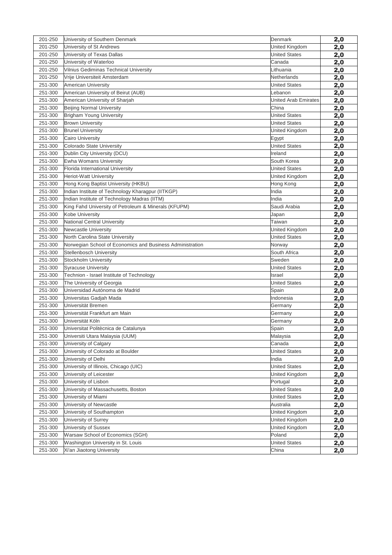| 201-250 | University of Southern Denmark                            | Denmark                     | 2,0 |
|---------|-----------------------------------------------------------|-----------------------------|-----|
| 201-250 | University of St Andrews                                  | United Kingdom              | 2,0 |
| 201-250 | University of Texas Dallas                                | <b>United States</b>        | 2,0 |
| 201-250 | University of Waterloo                                    | Canada                      | 2,0 |
| 201-250 | Vilnius Gediminas Technical University                    | Lithuania                   | 2,0 |
| 201-250 | Vrije Universiteit Amsterdam                              | <b>Netherlands</b>          | 2,0 |
| 251-300 | <b>American University</b>                                | <b>United States</b>        | 2,0 |
| 251-300 | American University of Beirut (AUB)                       | Lebanon                     | 2,0 |
| 251-300 | American University of Sharjah                            | <b>United Arab Emirates</b> | 2,0 |
| 251-300 | <b>Beijing Normal University</b>                          | China                       | 2,0 |
| 251-300 | Brigham Young University                                  | <b>United States</b>        | 2,0 |
| 251-300 | <b>Brown University</b>                                   | <b>United States</b>        | 2,0 |
| 251-300 | <b>Brunel University</b>                                  | United Kingdom              | 2,0 |
| 251-300 | <b>Cairo University</b>                                   | Egypt                       | 2,0 |
| 251-300 | Colorado State University                                 | <b>United States</b>        | 2,0 |
| 251-300 | Dublin City University (DCU)                              | Ireland                     | 2,0 |
| 251-300 | Ewha Womans University                                    | South Korea                 | 2,0 |
| 251-300 | Florida International University                          | <b>United States</b>        | 2,0 |
| 251-300 | <b>Heriot-Watt University</b>                             | United Kingdom              | 2,0 |
| 251-300 | Hong Kong Baptist University (HKBU)                       | Hong Kong                   | 2,0 |
| 251-300 | Indian Institute of Technology Kharagpur (IITKGP)         | India                       | 2,0 |
| 251-300 | Indian Institute of Technology Madras (IITM)              | India                       | 2,0 |
| 251-300 | King Fahd University of Petroleum & Minerals (KFUPM)      | Saudi Arabia                | 2,0 |
| 251-300 | Kobe University                                           | Japan                       | 2,0 |
| 251-300 | <b>National Central University</b>                        | Taiwan                      | 2,0 |
| 251-300 | Newcastle University                                      | United Kingdom              | 2,0 |
| 251-300 | North Carolina State University                           | <b>United States</b>        | 2,0 |
| 251-300 | Norwegian School of Economics and Business Administration | Norway                      | 2,0 |
| 251-300 | <b>Stellenbosch University</b>                            | South Africa                | 2,0 |
| 251-300 | Stockholm University                                      | Sweden                      | 2,0 |
| 251-300 | <b>Syracuse University</b>                                | <b>United States</b>        | 2,0 |
| 251-300 | Technion - Israel Institute of Technology                 | Israel                      | 2,0 |
| 251-300 | The University of Georgia                                 | <b>United States</b>        | 2,0 |
| 251-300 | Universidad Autónoma de Madrid                            | Spain                       | 2,0 |
| 251-300 | Universitas Gadjah Mada                                   | Indonesia                   | 2,0 |
| 251-300 | Universität Bremen                                        | Germany                     | 2,0 |
| 251-300 | Universität Frankfurt am Main                             | Germany                     | 2,0 |
| 251-300 | Universität Köln                                          | Germany                     | 2,0 |
| 251-300 | Universitat Politècnica de Catalunya                      | Spain                       | 2,0 |
| 251-300 | Universiti Utara Malaysia (UUM)                           | Malaysia                    | 2,0 |
| 251-300 | University of Calgary                                     | Canada                      | 2,0 |
| 251-300 | University of Colorado at Boulder                         | <b>United States</b>        | 2,0 |
| 251-300 | University of Delhi                                       | India                       | 2,0 |
| 251-300 | University of Illinois, Chicago (UIC)                     | <b>United States</b>        | 2,0 |
| 251-300 | University of Leicester                                   | United Kingdom              | 2,0 |
| 251-300 | University of Lisbon                                      | Portugal                    | 2,0 |
| 251-300 | University of Massachusetts, Boston                       | <b>United States</b>        | 2,0 |
| 251-300 | University of Miami                                       | <b>United States</b>        | 2,0 |
| 251-300 | University of Newcastle                                   | Australia                   | 2,0 |
| 251-300 | University of Southampton                                 | United Kingdom              | 2,0 |
| 251-300 | University of Surrey                                      | United Kingdom              | 2,0 |
| 251-300 | University of Sussex                                      | United Kingdom              | 2,0 |
| 251-300 | Warsaw School of Economics (SGH)                          | Poland                      | 2,0 |
| 251-300 | Washington University in St. Louis                        | <b>United States</b>        | 2,0 |
| 251-300 | Xi'an Jiaotong University                                 | China                       | 2,0 |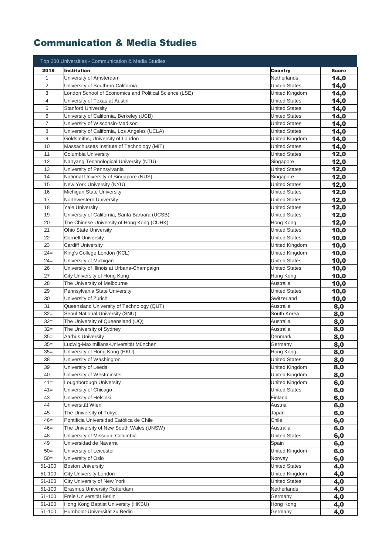#### Communication & Media Studies

|                | Top 200 Universities - Communication & Media Studies   |                      |              |
|----------------|--------------------------------------------------------|----------------------|--------------|
| 2018           | <b>Institution</b>                                     | <b>Country</b>       | <b>Score</b> |
| $\mathbf 1$    | University of Amsterdam                                | Netherlands          | 14,0         |
| $\overline{2}$ | University of Southern California                      | <b>United States</b> | 14,0         |
| 3              | London School of Economics and Political Science (LSE) | United Kingdom       | 14,0         |
| 4              | University of Texas at Austin                          | <b>United States</b> | 14,0         |
| 5              | <b>Stanford University</b>                             | <b>United States</b> | 14,0         |
| 6              | University of California, Berkeley (UCB)               | <b>United States</b> | 14,0         |
| $\overline{7}$ | Jniversity of Wisconsin-Madison                        | <b>United States</b> | 14,0         |
| 8              | University of California, Los Angeles (UCLA)           | <b>United States</b> | 14,0         |
| 9              | Goldsmiths, University of London                       | United Kingdom       | 14,0         |
| 10             | Massachusetts Institute of Technology (MIT)            | <b>United States</b> | 14,0         |
| 11             | Columbia University                                    | <b>United States</b> | 12,0         |
| 12             | Nanyang Technological University (NTU)                 | Singapore            | 12,0         |
| 13             | University of Pennsylvania                             | <b>United States</b> | 12,0         |
| 14             | National University of Singapore (NUS)                 | Singapore            | 12,0         |
| 15             | New York University (NYU)                              | <b>United States</b> | 12,0         |
| 16             | Michigan State University                              | <b>United States</b> | 12,0         |
| 17             | Northwestern University                                | <b>United States</b> | 12,0         |
| 18             | <b>Yale University</b>                                 | <b>United States</b> | 12,0         |
| 19             | University of California, Santa Barbara (UCSB)         | <b>United States</b> | 12,0         |
| 20             | The Chinese University of Hong Kong (CUHK)             | Hong Kong            | 12,0         |
| 21             | Ohio State University                                  | <b>United States</b> | 10,0         |
| 22             | <b>Cornell University</b>                              | <b>United States</b> | 10,0         |
| 23             | <b>Cardiff University</b>                              | United Kingdom       | 10,0         |
| $24 =$         | King's College London (KCL)                            | United Kingdom       | 10,0         |
| $24=$          | University of Michigan                                 | <b>United States</b> | 10,0         |
| 26             | University of Illinois at Urbana-Champaign             | <b>United States</b> | 10,0         |
| 27             | City University of Hong Kong                           | Hong Kong            | 10,0         |
| 28             | The University of Melbourne                            | Australia            | 10,0         |
| 29             | Pennsylvania State University                          | <b>United States</b> | 10,0         |
| 30             | University of Zurich                                   | Switzerland          | 10,0         |
| 31             | Queensland University of Technology (QUT)              | Australia            | 8,0          |
| $32=$          | Seoul National University (SNU)                        | South Korea          | 8,0          |
| $32=$          | The University of Queensland (UQ)                      | Australia            | 8,0          |
| $32 =$         | The University of Sydney                               | Australia            | 8,0          |
| $35=$          | Aarhus University                                      | Denmark              | 8,0          |
| $35=$          | Ludwig-Maximilians-Universität München                 | Germany              | 8,0          |
| $35=$          | University of Hong Kong (HKU)                          | Hong Kong            | 8,0          |
| 38             | University of Washington                               | <b>United States</b> | 8,0          |
| 39             | University of Leeds                                    | United Kingdom       | 8,0          |
| 40             | University of Westminster                              | United Kingdom       | 8,0          |
| $41 =$         | Loughborough University                                | United Kingdom       | 6,0          |
| $41=$          | University of Chicago                                  | <b>United States</b> | 6,0          |
| 43             | University of Helsinki                                 | Finland              | 6,0          |
| 44             | Universität Wien                                       | Austria              | 6,0          |
| 45             | The University of Tokyo                                | Japan                | 6,0          |
| $46=$          | Pontificia Universidad Católica de Chile               | Chile                | 6,0          |
| $46=$          | The University of New South Wales (UNSW)               | Australia            | 6,0          |
| 48             | University of Missouri, Columbia                       | <b>United States</b> | 6,0          |
| 49             | Universidad de Navarra                                 | Spain                | 6,0          |
| $50=$          | University of Leicester                                | United Kingdom       | 6,0          |
| $50=$          | University of Oslo                                     | Norway               | 6,0          |
| 51-100         | <b>Boston University</b>                               | <b>United States</b> | 4,0          |
| 51-100         | City University London                                 | United Kingdom       | 4,0          |
| 51-100         | City University of New York                            | <b>United States</b> | 4,0          |
| 51-100         | <b>Erasmus University Rotterdam</b>                    | Netherlands          | 4,0          |
| 51-100         | Freie Universität Berlin                               | Germany              | 4,0          |
| 51-100         | Hong Kong Baptist University (HKBU)                    | Hong Kong            | 4,0          |
| 51-100         | Humboldt-Universität zu Berlin                         | Germany              | 4,0          |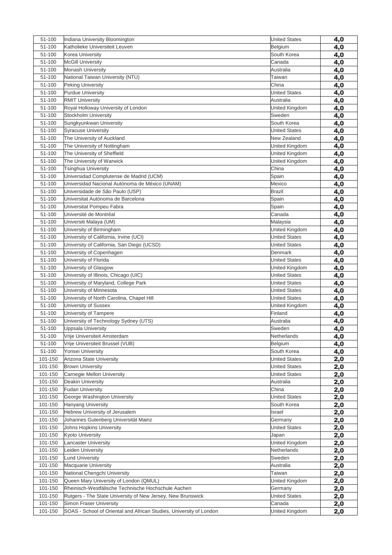| 51-100  | Indiana University Bloomington                                      | <b>United States</b> | 4,0        |
|---------|---------------------------------------------------------------------|----------------------|------------|
| 51-100  | Katholieke Universiteit Leuven                                      | Belgium              | 4,0        |
| 51-100  | Korea University                                                    | South Korea          | 4,0        |
| 51-100  | <b>McGill University</b>                                            | Canada               | 4,0        |
| 51-100  | <b>Monash University</b>                                            | Australia            | 4,0        |
| 51-100  | National Taiwan University (NTU)                                    | Taiwan               | 4,0        |
| 51-100  | <b>Peking University</b>                                            | China                | 4,0        |
| 51-100  | <b>Purdue University</b>                                            | <b>United States</b> | 4,0        |
| 51-100  | <b>RMIT University</b>                                              | Australia            | 4,0        |
| 51-100  | Royal Holloway University of London                                 | United Kingdom       | 4,0        |
| 51-100  | Stockholm University                                                | Sweden               | 4,0        |
| 51-100  | Sungkyunkwan University                                             | South Korea          | 4,0        |
| 51-100  | <b>Syracuse University</b>                                          | <b>United States</b> | 4,0        |
| 51-100  | The University of Auckland                                          | New Zealand          | 4,0        |
| 51-100  | The University of Nottingham                                        | United Kingdom       | 4,0        |
| 51-100  | The University of Sheffield                                         | United Kingdom       | 4,0        |
| 51-100  | The University of Warwick                                           | United Kingdom       | 4,0        |
| 51-100  | Tsinghua University                                                 | China                | 4,0        |
| 51-100  | Universidad Complutense de Madrid (UCM)                             | Spain                | 4,0        |
| 51-100  | Universidad Nacional Autónoma de México (UNAM)                      | Mexico               | 4,0        |
| 51-100  | Universidade de São Paulo (USP)                                     | <b>Brazil</b>        | 4,0        |
| 51-100  | Universitat Autónoma de Barcelona                                   | Spain                | 4,0        |
| 51-100  | Universitat Pompeu Fabra                                            | Spain                | 4,0        |
| 51-100  | Université de Montréal                                              | Canada               | 4,0        |
| 51-100  | Universiti Malaya (UM)                                              | Malaysia             | 4,0        |
| 51-100  | University of Birmingham                                            | United Kingdom       | 4,0        |
| 51-100  | University of California, Irvine (UCI)                              | <b>United States</b> | 4,0        |
| 51-100  | University of California, San Diego (UCSD)                          | <b>United States</b> | 4,0        |
| 51-100  | University of Copenhagen                                            | Denmark              | 4,0        |
| 51-100  | University of Florida                                               | <b>United States</b> | 4,0        |
| 51-100  | University of Glasgow                                               | United Kingdom       | 4,0        |
| 51-100  | University of Illinois, Chicago (UIC)                               | <b>United States</b> | 4,0        |
| 51-100  | University of Maryland, College Park                                | <b>United States</b> | 4,0        |
| 51-100  | University of Minnesota                                             | <b>United States</b> | 4,0        |
| 51-100  | University of North Carolina, Chapel Hill                           | <b>United States</b> | 4,0        |
| 51-100  | University of Sussex                                                | United Kingdom       | 4,0        |
| 51-100  | University of Tampere                                               | Finland              | 4,0        |
| 51-100  | University of Technology Sydney (UTS)                               | Australia            | 4,0        |
| 51-100  | Uppsala University                                                  | Sweden               | 4,0        |
| 51-100  | Vrije Universiteit Amsterdam                                        | Netherlands          | 4,0        |
| 51-100  | Vrije Universiteit Brussel (VUB)                                    | Belgium              | 4,0        |
| 51-100  | Yonsei University                                                   | South Korea          |            |
| 101-150 | Arizona State University                                            | <b>United States</b> | 4,0        |
| 101-150 | <b>Brown University</b>                                             | <b>United States</b> | 2,0        |
| 101-150 | Carnegie Mellon University                                          | <b>United States</b> | 2,0        |
| 101-150 | Deakin University                                                   | Australia            | 2,0        |
| 101-150 | <b>Fudan University</b>                                             | China                | <u>2,0</u> |
| 101-150 |                                                                     |                      | 2,0        |
|         | George Washington University                                        | <b>United States</b> | 2,0        |
| 101-150 | <b>Hanyang University</b>                                           | South Korea          | 2,0        |
| 101-150 | Hebrew University of Jerusalem                                      | Israel               | 2,0        |
| 101-150 | Johannes Gutenberg Universität Mainz                                | Germany              | 2,0        |
| 101-150 | Johns Hopkins University                                            | <b>United States</b> | 2,0        |
| 101-150 | <b>Kyoto University</b>                                             | Japan                | 2,0        |
| 101-150 | <b>Lancaster University</b>                                         | United Kingdom       | 2,0        |
| 101-150 | Leiden University                                                   | Netherlands          | 2,0        |
| 101-150 | Lund University                                                     | Sweden               | 2,0        |
| 101-150 | Macquarie University                                                | Australia            | 2,0        |
| 101-150 | National Chengchi University                                        | Taiwan               | 2,0        |
| 101-150 | Queen Mary University of London (QMUL)                              | United Kingdom       | <u>2,0</u> |
| 101-150 | Rheinisch-Westfälische Technische Hochschule Aachen                 | Germany              | 2,0        |
| 101-150 | Rutgers - The State University of New Jersey, New Brunswick         | <b>United States</b> | 2,0        |
| 101-150 | Simon Fraser University                                             | Canada               | 2,0        |
| 101-150 | SOAS - School of Oriental and African Studies, University of London | United Kingdom       | 2,0        |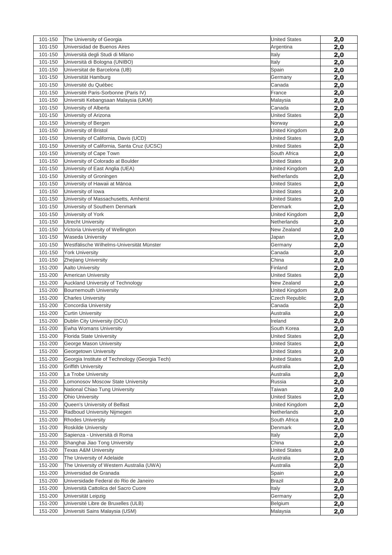| 101-150 | The University of Georgia                         | <b>United States</b> | 2,0        |
|---------|---------------------------------------------------|----------------------|------------|
| 101-150 | Universidad de Buenos Aires                       | Argentina            | 2,0        |
| 101-150 | Università degli Studi di Milano                  | Italy                | 2,0        |
| 101-150 | Università di Bologna (UNIBO)                     | Italy                | 2,0        |
| 101-150 | Universitat de Barcelona (UB)                     | Spain                | 2,0        |
| 101-150 | Universität Hamburg                               | Germany              | 2,0        |
| 101-150 | Université du Québec                              | Canada               | 2,0        |
| 101-150 | Université Paris-Sorbonne (Paris IV)              | France               | 2,0        |
| 101-150 | Universiti Kebangsaan Malaysia (UKM)              | Malaysia             | 2,0        |
| 101-150 | University of Alberta                             | Canada               | 2,0        |
| 101-150 | University of Arizona                             | <b>United States</b> | 2,0        |
| 101-150 | University of Bergen                              | Norway               | 2,0        |
| 101-150 | University of Bristol                             | United Kingdom       | 2,0        |
| 101-150 | University of California, Davis (UCD)             | <b>United States</b> | 2,0        |
| 101-150 | University of California, Santa Cruz (UCSC)       | <b>United States</b> | 2,0        |
| 101-150 | University of Cape Town                           | South Africa         | 2,0        |
| 101-150 | University of Colorado at Boulder                 | <b>United States</b> | 2,0        |
| 101-150 | University of East Anglia (UEA)                   | United Kingdom       | 2,0        |
| 101-150 | University of Groningen                           | Netherlands          | 2,0        |
| 101-150 | University of Hawaii at Mānoa                     | <b>United States</b> | 2,0        |
| 101-150 | University of Iowa                                | United States        | 2,0        |
| 101-150 | University of Massachusetts, Amherst              | <b>United States</b> | 2,0        |
| 101-150 | University of Southern Denmark                    | Denmark              | 2,0        |
| 101-150 | University of York                                | United Kingdom       | 2,0        |
| 101-150 | Utrecht University                                | Netherlands          | 2,0        |
| 101-150 | Victoria University of Wellington                 | New Zealand          | 2,0        |
| 101-150 | Waseda University                                 | Japan                | 2,0        |
| 101-150 | Westfälische Wilhelms-Universität Münster         | Germany              | 2,0        |
| 101-150 | <b>York University</b>                            | Canada               | 2,0        |
| 101-150 | Zhejiang University                               | China                | 2,0        |
| 151-200 | <b>Aalto University</b>                           | Finland              | 2,0        |
| 151-200 | <b>American University</b>                        | <b>United States</b> | 2,0        |
| 151-200 | Auckland University of Technology                 | New Zealand          | 2,0        |
| 151-200 | <b>Bournemouth University</b>                     | United Kingdom       | 2,0        |
| 151-200 | <b>Charles University</b>                         | Czech Republic       | 2,0        |
| 151-200 | Concordia University                              | Canada               | 2,0        |
| 151-200 | <b>Curtin University</b>                          | Australia            | 2,0        |
| 151-200 | Dublin City University (DCU)                      | Ireland              | 2,0        |
| 151-200 | Ewha Womans University                            | South Korea          |            |
| 151-200 | Florida State University                          | <b>United States</b> | 2,0<br>2,0 |
| 151-200 | George Mason University                           | <b>United States</b> |            |
| 151-200 | Georgetown University                             | <b>United States</b> | 2,0        |
| 151-200 | Georgia Institute of Technology (Georgia Tech)    | <b>United States</b> | 2,0        |
| 151-200 |                                                   |                      | 2,0        |
| 151-200 | <b>Griffith University</b><br>La Trobe University | Australia            | 2,0        |
| 151-200 | Lomonosov Moscow State University                 | Australia            | 2,0        |
|         |                                                   | Russia               | 2,0        |
| 151-200 | National Chiao Tung University                    | Taiwan               | 2,0        |
| 151-200 | <b>Ohio University</b>                            | <b>United States</b> | 2,0        |
| 151-200 | Queen's University of Belfast                     | United Kingdom       | 2,0        |
| 151-200 | Radboud University Nijmegen                       | Netherlands          | 2,0        |
| 151-200 | <b>Rhodes University</b>                          | South Africa         | 2,0        |
| 151-200 | Roskilde University                               | Denmark              | 2,0        |
| 151-200 | Sapienza - Università di Roma                     | Italy                | 2,0        |
| 151-200 | Shanghai Jiao Tong University                     | China                | 2,0        |
| 151-200 | Texas A&M University                              | <b>United States</b> | 2,0        |
| 151-200 | The University of Adelaide                        | Australia            | 2,0        |
| 151-200 | The University of Western Australia (UWA)         | Australia            | 2,0        |
| 151-200 | Universidad de Granada                            | Spain                | 2,0        |
| 151-200 | Universidade Federal do Rio de Janeiro            | Brazil               | 2,0        |
| 151-200 | Università Cattolica del Sacro Cuore              | Italy                | 2,0        |
| 151-200 | Universität Leipzig                               | Germany              | 2,0        |
| 151-200 | Université Libre de Bruxelles (ULB)               | Belgium              | 2,0        |
| 151-200 | Universiti Sains Malaysia (USM)                   | Malaysia             | 2,0        |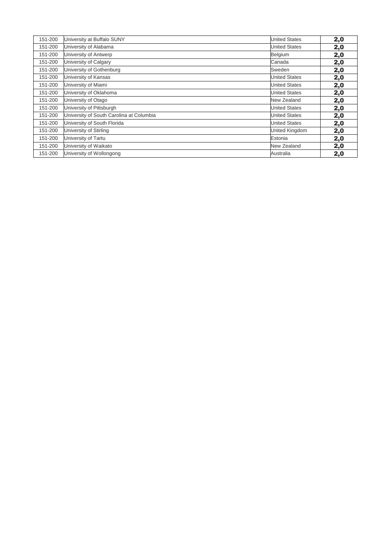| 151-200 | University at Buffalo SUNY               | <b>United States</b> | 2,0 |
|---------|------------------------------------------|----------------------|-----|
| 151-200 | University of Alabama                    | <b>United States</b> | 2,0 |
| 151-200 | University of Antwerp                    | Belgium              | 2,0 |
| 151-200 | University of Calgary                    | <b>Canada</b>        | 2,0 |
| 151-200 | University of Gothenburg                 | Sweden               | 2,0 |
| 151-200 | University of Kansas                     | <b>United States</b> | 2,0 |
| 151-200 | University of Miami                      | <b>United States</b> | 2,0 |
| 151-200 | University of Oklahoma                   | <b>United States</b> | 2,0 |
| 151-200 | University of Otago                      | New Zealand          | 2,0 |
| 151-200 | University of Pittsburgh                 | <b>United States</b> | 2,0 |
| 151-200 | University of South Carolina at Columbia | <b>United States</b> | 2,0 |
| 151-200 | University of South Florida              | <b>United States</b> | 2,0 |
| 151-200 | University of Stirling                   | United Kingdom       | 2,0 |
| 151-200 | University of Tartu                      | Estonia              | 2,0 |
| 151-200 | University of Waikato                    | New Zealand          | 2,0 |
| 151-200 | University of Wollongong                 | lAustralia           | 2,0 |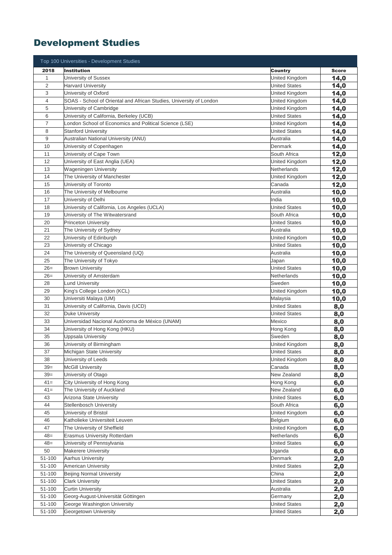# Development Studies

|                | Top 100 Universities - Development Studies                          |                         |              |
|----------------|---------------------------------------------------------------------|-------------------------|--------------|
| 2018           | <b>Institution</b>                                                  | Country                 | <b>Score</b> |
| 1              | University of Sussex                                                | United Kingdom          | 14,0         |
| $\overline{2}$ | <b>Harvard University</b>                                           | <b>United States</b>    | 14,0         |
| 3              | University of Oxford                                                | United Kingdom          | 14,0         |
| 4              | SOAS - School of Oriental and African Studies, University of London | United Kingdom          | 14,0         |
| 5              | University of Cambridge                                             | United Kingdom          | 14,0         |
| 6              | University of California, Berkeley (UCB)                            | <b>United States</b>    | 14,0         |
| $\overline{7}$ | London School of Economics and Political Science (LSE)              | United Kingdom          | 14,0         |
| 8              | <b>Stanford University</b>                                          | <b>United States</b>    | 14,0         |
| 9              | Australian National University (ANU)                                | Australia               | 14,0         |
| 10             | University of Copenhagen                                            | Denmark                 | 14,0         |
| 11             | University of Cape Town                                             | South Africa            | 12,0         |
| 12             | University of East Anglia (UEA)                                     | United Kingdom          | 12,0         |
| 13             | <b>Wageningen University</b>                                        | Netherlands             | 12,0         |
| 14             | The University of Manchester                                        | United Kingdom          | 12,0         |
| 15             | University of Toronto                                               | Canada                  | 12,0         |
| 16             | The University of Melbourne                                         | Australia               | 10,0         |
| 17             | University of Delhi                                                 | India                   | 10,0         |
| 18             | University of California, Los Angeles (UCLA)                        | United States           | 10,0         |
| 19             | University of The Witwatersrand                                     | South Africa            | 10,0         |
| 20             | <b>Princeton University</b>                                         | <b>United States</b>    | 10,0         |
| 21             | The University of Sydney                                            | Australia               | 10,0         |
| 22             | University of Edinburgh                                             | United Kingdom          | 10,0         |
| 23             | University of Chicago                                               | <b>United States</b>    | 10,0         |
| 24             | The University of Queensland (UQ)                                   | Australia               | 10,0         |
| 25             | The University of Tokyo                                             | Japan                   | 10,0         |
| $26=$          | <b>Brown University</b>                                             | <b>United States</b>    | 10,0         |
| $26=$          | University of Amsterdam                                             | Netherlands             | 10,0         |
| 28             | <b>Lund University</b>                                              | Sweden                  | 10,0         |
| 29             | King's College London (KCL)                                         | United Kingdom          | 10,0         |
| 30             | Universiti Malaya (UM)                                              | Malaysia                | 10,0         |
| 31             | University of California, Davis (UCD)                               | <b>United States</b>    | 8,0          |
| 32             | <b>Duke University</b>                                              | United States           | 8,0          |
| 33             | Universidad Nacional Autónoma de México (UNAM)                      | Mexico                  | 8,0          |
| 34             | University of Hong Kong (HKU)                                       | Hong Kong               | 8,0          |
| 35             | <b>Uppsala University</b>                                           | Sweden                  | 8,0          |
| 36             | University of Birmingham                                            | United Kingdom          | 8,0          |
| 37             | Michigan State University                                           | <b>United States</b>    | 8,0          |
| 38             | University of Leeds                                                 | United Kingdom          | 8,0          |
| $39=$          | <b>McGill University</b>                                            | Canada                  | 8,0          |
| $39=$          | University of Otago                                                 | New Zealand             | 8,0          |
| $41 =$         | City University of Hong Kong                                        | Hong Kong               | 6,0          |
| $41=$          | The University of Auckland                                          | New Zealand             | 6,0          |
| 43             | Arizona State University                                            | <b>United States</b>    | 6,0          |
| 44             | <b>Stellenbosch University</b>                                      | South Africa            | 6,0          |
| 45             | University of Bristol                                               | United Kingdom          | 6,0          |
| 46<br>47       | Katholieke Universiteit Leuven<br>The University of Sheffield       | Belgium                 | 6,0          |
|                |                                                                     | United Kingdom          | 6,0          |
| $48=$<br>$48=$ | Erasmus University Rotterdam                                        | Netherlands             | 6,0          |
| 50             | University of Pennsylvania<br><b>Makerere University</b>            | United States<br>Uganda | 6,0          |
| 51-100         | Aarhus University                                                   | Denmark                 | 6,0          |
| 51-100         | <b>American University</b>                                          | <b>United States</b>    | 2,0<br>2,0   |
| 51-100         | <b>Beijing Normal University</b>                                    | China                   | 2,0          |
| 51-100         | <b>Clark University</b>                                             | <b>United States</b>    | 2,0          |
| 51-100         | <b>Curtin University</b>                                            | Australia               | 2,0          |
| 51-100         | Georg-August-Universität Göttingen                                  | Germany                 | 2,0          |
| 51-100         | George Washington University                                        | <b>United States</b>    | 2,0          |
| 51-100         | Georgetown University                                               | <b>United States</b>    | 2,0          |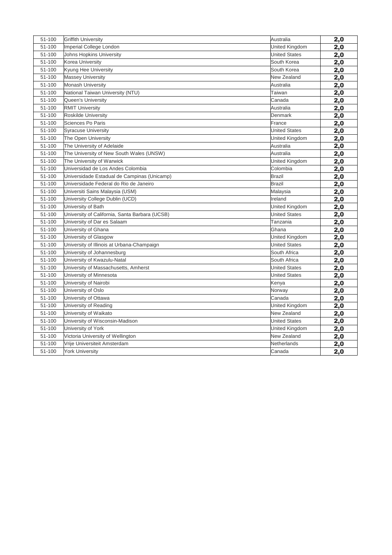| 51-100 | <b>Griffith University</b>                     | Australia            | 2,0 |
|--------|------------------------------------------------|----------------------|-----|
| 51-100 | Imperial College London                        | United Kingdom       | 2,0 |
| 51-100 | Johns Hopkins University                       | <b>United States</b> | 2,0 |
| 51-100 | Korea University                               | South Korea          | 2,0 |
| 51-100 | Kyung Hee University                           | South Korea          | 2,0 |
| 51-100 | <b>Massey University</b>                       | New Zealand          | 2,0 |
| 51-100 | Monash University                              | Australia            | 2,0 |
| 51-100 | National Taiwan University (NTU)               | Taiwan               | 2,0 |
| 51-100 | <b>Oueen's University</b>                      | Canada               | 2,0 |
| 51-100 | <b>RMIT University</b>                         | Australia            | 2,0 |
| 51-100 | Roskilde University                            | Denmark              | 2,0 |
| 51-100 | Sciences Po Paris                              | France               | 2,0 |
| 51-100 | <b>Syracuse University</b>                     | <b>United States</b> | 2,0 |
| 51-100 | The Open University                            | United Kingdom       | 2,0 |
| 51-100 | The University of Adelaide                     | Australia            | 2,0 |
| 51-100 | The University of New South Wales (UNSW)       | Australia            | 2,0 |
| 51-100 | The University of Warwick                      | United Kingdom       | 2,0 |
| 51-100 | Universidad de Los Andes Colombia              | Colombia             | 2,0 |
| 51-100 | Universidade Estadual de Campinas (Unicamp)    | <b>Brazil</b>        | 2,0 |
| 51-100 | Universidade Federal do Rio de Janeiro         | Brazil               | 2,0 |
| 51-100 | Universiti Sains Malaysia (USM)                | Malaysia             | 2,0 |
| 51-100 | University College Dublin (UCD)                | Ireland              | 2,0 |
| 51-100 | University of Bath                             | United Kingdom       | 2,0 |
| 51-100 | University of California, Santa Barbara (UCSB) | <b>United States</b> | 2,0 |
| 51-100 | University of Dar es Salaam                    | Tanzania             | 2,0 |
| 51-100 | University of Ghana                            | Ghana                | 2,0 |
| 51-100 | University of Glasgow                          | United Kingdom       | 2,0 |
| 51-100 | University of Illinois at Urbana-Champaign     | <b>United States</b> | 2,0 |
| 51-100 | University of Johannesburg                     | South Africa         | 2,0 |
| 51-100 | University of Kwazulu-Natal                    | South Africa         | 2,0 |
| 51-100 | University of Massachusetts, Amherst           | <b>United States</b> | 2,0 |
| 51-100 | University of Minnesota                        | <b>United States</b> | 2,0 |
| 51-100 | University of Nairobi                          | Kenya                | 2,0 |
| 51-100 | University of Oslo                             | Norway               | 2,0 |
| 51-100 | University of Ottawa                           | Canada               | 2,0 |
| 51-100 | University of Reading                          | United Kingdom       | 2,0 |
| 51-100 | University of Waikato                          | New Zealand          | 2,0 |
| 51-100 | University of Wisconsin-Madison                | <b>United States</b> | 2,0 |
| 51-100 | University of York                             | United Kingdom       | 2,0 |
| 51-100 | Victoria University of Wellington              | New Zealand          | 2,0 |
| 51-100 | Vrije Universiteit Amsterdam                   | Netherlands          | 2,0 |
| 51-100 | <b>York University</b>                         | Canada               | 2,0 |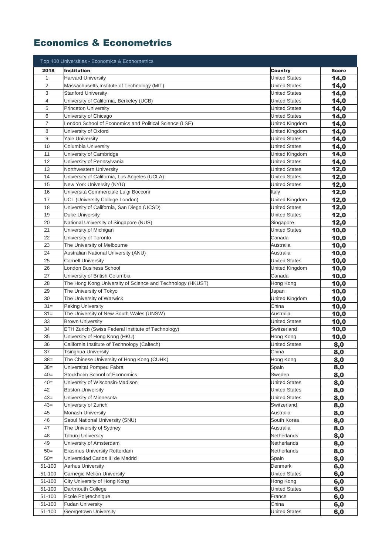### Economics & Econometrics

|                | Top 400 Universities - Economics & Econometrics            |                      |              |
|----------------|------------------------------------------------------------|----------------------|--------------|
| 2018           | <b>Institution</b>                                         | Country              | <b>Score</b> |
| $\mathbf 1$    | <b>Harvard University</b>                                  | <b>United States</b> | 14,0         |
| $\overline{2}$ | Massachusetts Institute of Technology (MIT)                | <b>United States</b> | 14,0         |
| 3              | <b>Stanford University</b>                                 | <b>United States</b> | 14,0         |
| 4              | University of California, Berkeley (UCB)                   | <b>United States</b> | 14,0         |
| 5              | <b>Princeton University</b>                                | <b>United States</b> | 14,0         |
| 6              | University of Chicago                                      | <b>United States</b> | 14,0         |
| $\overline{7}$ | ondon School of Economics and Political Science (LSE)      | United Kingdom       | 14,0         |
| 8              | University of Oxford                                       | United Kingdom       | 14,0         |
| 9              | <b>Yale University</b>                                     | <b>United States</b> | 14,0         |
| 10             | Columbia University                                        | <b>United States</b> | 14,0         |
| 11             | University of Cambridge                                    | United Kingdom       | 14,0         |
| 12             | University of Pennsylvania                                 | <b>United States</b> | 14,0         |
| 13             | Northwestern University                                    | <b>United States</b> | 12,0         |
| 14             | University of California, Los Angeles (UCLA)               | <b>United States</b> | 12,0         |
| 15             | New York University (NYU)                                  | <b>United States</b> | 12,0         |
| 16             | Università Commerciale Luigi Bocconi                       | Italy                | 12,0         |
| 17             | UCL (University College London)                            | United Kingdom       | 12,0         |
| 18             | University of California, San Diego (UCSD)                 | <b>United States</b> |              |
| 19             | <b>Duke University</b>                                     | <b>United States</b> | 12,0<br>12,0 |
| 20             | National University of Singapore (NUS)                     | Singapore            | 12,0         |
| 21             | University of Michigan                                     | <b>United States</b> |              |
| 22             | University of Toronto                                      | Canada               | 10,0         |
| 23             | The University of Melbourne                                | Australia            | 10,0         |
| 24             | Australian National University (ANU)                       | Australia            | 10,0<br>10,0 |
| 25             | <b>Cornell University</b>                                  | United States        | 10,0         |
| 26             | London Business School                                     | United Kingdom       | 10,0         |
| 27             | University of British Columbia                             | Canada               |              |
| 28             | The Hong Kong University of Science and Technology (HKUST) | Hong Kong            | 10,0         |
| 29             | The University of Tokyo                                    | Japan                | 10,0         |
| 30             | The University of Warwick                                  | United Kingdom       | 10,0         |
| $31 =$         | <b>Peking University</b>                                   | China                | 10,0         |
| $31 =$         | The University of New South Wales (UNSW)                   | Australia            | 10,0         |
| 33             | <b>Brown University</b>                                    | <b>United States</b> | 10,0         |
| 34             | ETH Zurich (Swiss Federal Institute of Technology)         | Switzerland          | 10,0         |
| 35             | University of Hong Kong (HKU)                              | Hong Kong            | 10,0         |
| 36             | California Institute of Technology (Caltech)               | <b>United States</b> | 10,0         |
| 37             | <b>Tsinghua University</b>                                 | China                | 8,0<br>8,0   |
| $38=$          | The Chinese University of Hong Kong (CUHK)                 | Hong Kong            | 8,0          |
| $38=$          | Universitat Pompeu Fabra                                   | Spain                | 8,0          |
| $40=$          | Stockholm School of Economics                              | Sweden               | 8,0          |
| $40=$          | University of Wisconsin-Madison                            | <b>United States</b> | 8,0          |
| 42             | <b>Boston University</b>                                   | <b>United States</b> | 8,0          |
| $43=$          | University of Minnesota                                    | <b>United States</b> | 8,0          |
| $43=$          | University of Zurich                                       | Switzerland          | 8,0          |
| 45             | <b>Monash University</b>                                   | Australia            | 8,0          |
| 46             | Seoul National University (SNU)                            | South Korea          | 8,0          |
| 47             | The University of Sydney                                   | Australia            | 8,0          |
| 48             | <b>Tilburg University</b>                                  | Netherlands          | 8,0          |
| 49             | University of Amsterdam                                    | Netherlands          | 8,0          |
| $50=$          | Erasmus University Rotterdam                               | Netherlands          | 8,0          |
| $50=$          | Universidad Carlos III de Madrid                           | Spain                | 8,0          |
| 51-100         | <b>Aarhus University</b>                                   | Denmark              | 6,0          |
| 51-100         | Carnegie Mellon University                                 | <b>United States</b> | 6,0          |
| 51-100         | City University of Hong Kong                               | Hong Kong            | 6,0          |
| 51-100         | Dartmouth College                                          | <b>United States</b> | 6,0          |
| 51-100         | Ecole Polytechnique                                        | France               | 6,0          |
| 51-100         | <b>Fudan University</b>                                    | China                | 6,0          |
| 51-100         | Georgetown University                                      | <b>United States</b> | 6,0          |
|                |                                                            |                      |              |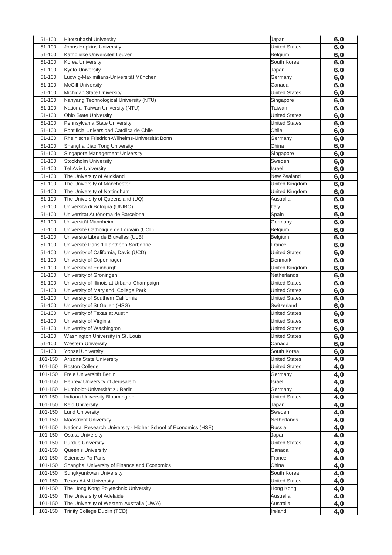| 51-100             | Hitotsubashi University                                          | Japan                | 6,0        |
|--------------------|------------------------------------------------------------------|----------------------|------------|
| 51-100             | Johns Hopkins University                                         | <b>United States</b> | 6,0        |
| 51-100             | Katholieke Universiteit Leuven                                   | Belgium              | 6,0        |
| 51-100             | Korea University                                                 | South Korea          | 6,0        |
| 51-100             | <b>Kyoto University</b>                                          | Japan                | 6,0        |
| 51-100             | Ludwig-Maximilians-Universität München                           | Germany              | 6,0        |
| 51-100             | <b>McGill University</b>                                         | Canada               | 6,0        |
| 51-100             | Michigan State University                                        | <b>United States</b> | 6,0        |
| 51-100             | Nanyang Technological University (NTU)                           | Singapore            | 6,0        |
| 51-100             | National Taiwan University (NTU)                                 | Taiwan               | 6,0        |
| 51-100             | Ohio State University                                            | <b>United States</b> | 6,0        |
| 51-100             | Pennsylvania State University                                    | United States        | 6,0        |
| 51-100             | Pontificia Universidad Católica de Chile                         | Chile                | 6,0        |
| 51-100             | Rheinische Friedrich-Wilhelms-Universität Bonn                   | Germany              | 6,0        |
| 51-100             | Shanghai Jiao Tong University                                    | China                | 6,0        |
| 51-100             | Singapore Management University                                  | Singapore            | 6,0        |
| 51-100             | Stockholm University                                             | Sweden               | 6,0        |
| 51-100             | <b>Tel Aviv University</b>                                       | Israel               | 6,0        |
| 51-100             | The University of Auckland                                       | New Zealand          | 6,0        |
| 51-100             | The University of Manchester                                     | United Kingdom       | 6,0        |
| 51-100             | The University of Nottingham                                     | United Kingdom       | 6,0        |
| 51-100             | The University of Queensland (UQ)                                | Australia            | 6,0        |
| 51-100             | Università di Bologna (UNIBO)                                    | Italy                | 6,0        |
| 51-100             | Universitat Autónoma de Barcelona                                | Spain                | 6,0        |
| 51-100             | Universität Mannheim                                             | Germany              | 6,0        |
| 51-100             | Université Catholique de Louvain (UCL)                           | Belgium              | 6,0        |
| 51-100             | Université Libre de Bruxelles (ULB)                              | Belgium              | 6,0        |
| 51-100             | Université Paris 1 Panthéon-Sorbonne                             | France               | 6,0        |
| 51-100             | University of California, Davis (UCD)                            | <b>United States</b> | 6,0        |
| 51-100             | University of Copenhagen                                         | Denmark              | 6,0        |
| 51-100             | University of Edinburgh                                          | United Kingdom       | 6,0        |
| 51-100             | University of Groningen                                          | Netherlands          | 6,0        |
| 51-100             | University of Illinois at Urbana-Champaign                       | <b>United States</b> | 6,0        |
| 51-100             | University of Maryland, College Park                             | <b>United States</b> | 6,0        |
| 51-100             | University of Southern California                                | <b>United States</b> | 6,0        |
| 51-100             | University of St Gallen (HSG)                                    | Switzerland          | 6,0        |
| 51-100             | University of Texas at Austin                                    | <b>United States</b> | 6,0        |
| 51-100             | University of Virginia                                           | <b>United States</b> | 6,0        |
| 51-100             | University of Washington                                         | <b>United States</b> | 6,0        |
| 51-100             | Washington University in St. Louis                               | <b>United States</b> | 6,0        |
| 51-100             | <b>Western University</b>                                        | Canada               | 6,0        |
| 51-100             | Yonsei University                                                | South Korea          | 6,0        |
| 101-150            | Arizona State University                                         | <b>United States</b> | 4,0        |
| 101-150<br>101-150 | <b>Boston College</b><br>Freie Universität Berlin                | <b>United States</b> | 4,0        |
| 101-150            |                                                                  | Germany              | 4,0        |
| 101-150            | Hebrew University of Jerusalem<br>Humboldt-Universität zu Berlin | Israel<br>Germany    | 4,0        |
| 101-150            | Indiana University Bloomington                                   | <b>United States</b> | 4,0        |
| 101-150            | Keio University                                                  |                      | 4,0        |
| 101-150            | <b>Lund University</b>                                           | Japan<br>Sweden      | 4,0        |
| 101-150            | <b>Maastricht University</b>                                     | Netherlands          | 4,0<br>4,0 |
| 101-150            | National Research University - Higher School of Economics (HSE)  | Russia               | 4,0        |
| 101-150            | <b>Osaka University</b>                                          | Japan                | 4,0        |
| 101-150            | <b>Purdue University</b>                                         | <b>United States</b> | 4,0        |
| 101-150            | Queen's University                                               | Canada               | 4,0        |
| 101-150            | Sciences Po Paris                                                | France               | 4,0        |
| 101-150            | Shanghai University of Finance and Economics                     | China                | 4,0        |
| 101-150            | Sungkyunkwan University                                          | South Korea          | 4,0        |
| 101-150            | <b>Texas A&amp;M University</b>                                  | <b>United States</b> | 4,0        |
| 101-150            | The Hong Kong Polytechnic University                             | Hong Kong            | 4,0        |
| 101-150            | The University of Adelaide                                       | Australia            | 4,0        |
| 101-150            | The University of Western Australia (UWA)                        | Australia            | 4,0        |
| 101-150            | Trinity College Dublin (TCD)                                     | Ireland              | 4,0        |
|                    |                                                                  |                      |            |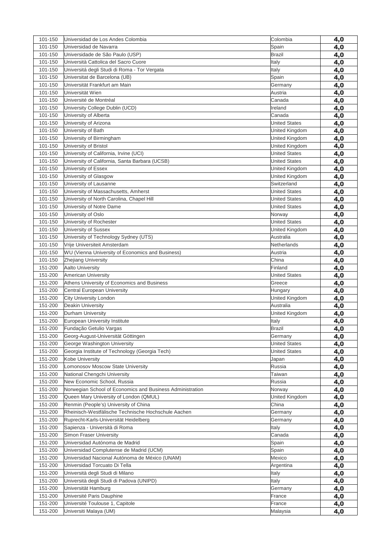| 101-150 | Universidad de Los Andes Colombia                         | Colombia             | 4,0 |
|---------|-----------------------------------------------------------|----------------------|-----|
| 101-150 | Universidad de Navarra                                    | Spain                | 4,0 |
| 101-150 | Universidade de São Paulo (USP)                           | <b>Brazil</b>        | 4,0 |
| 101-150 | Università Cattolica del Sacro Cuore                      | Italy                | 4,0 |
| 101-150 | Universitá degli Studi di Roma - Tor Vergata              | Italy                | 4,0 |
| 101-150 | Universitat de Barcelona (UB)                             | Spain                | 4,0 |
| 101-150 | Universität Frankfurt am Main                             | Germany              | 4,0 |
| 101-150 | Universität Wien                                          | Austria              | 4,0 |
| 101-150 | Université de Montréal                                    | Canada               | 4,0 |
| 101-150 | University College Dublin (UCD)                           | Ireland              | 4,0 |
| 101-150 | University of Alberta                                     | Canada               | 4,0 |
| 101-150 | University of Arizona                                     | <b>United States</b> | 4,0 |
| 101-150 | University of Bath                                        | United Kingdom       | 4,0 |
| 101-150 | University of Birmingham                                  | United Kingdom       | 4,0 |
| 101-150 | University of Bristol                                     | United Kingdom       | 4,0 |
| 101-150 | University of California, Irvine (UCI)                    | <b>United States</b> | 4,0 |
| 101-150 | University of California, Santa Barbara (UCSB)            | <b>United States</b> | 4,0 |
| 101-150 | University of Essex                                       | United Kingdom       | 4,0 |
| 101-150 | University of Glasgow                                     | United Kingdom       | 4,0 |
| 101-150 | University of Lausanne                                    | Switzerland          | 4,0 |
| 101-150 | University of Massachusetts, Amherst                      | <b>United States</b> | 4,0 |
| 101-150 | University of North Carolina, Chapel Hill                 | <b>United States</b> | 4,0 |
| 101-150 | University of Notre Dame                                  | <b>United States</b> | 4,0 |
| 101-150 | University of Oslo                                        | Norway               | 4,0 |
| 101-150 | University of Rochester                                   | <b>United States</b> | 4,0 |
| 101-150 | University of Sussex                                      | United Kingdom       | 4,0 |
| 101-150 | University of Technology Sydney (UTS)                     | Australia            | 4,0 |
| 101-150 | Vrije Universiteit Amsterdam                              | Netherlands          | 4,0 |
| 101-150 | WU (Vienna University of Economics and Business)          | Austria              | 4,0 |
| 101-150 | Zhejiang University                                       | China                | 4,0 |
| 151-200 | Aalto University                                          | Finland              | 4,0 |
| 151-200 | <b>American University</b>                                | <b>United States</b> | 4,0 |
| 151-200 | Athens University of Economics and Business               | Greece               | 4,0 |
| 151-200 | Central European University                               | Hungary              | 4,0 |
| 151-200 | City University London                                    | United Kingdom       | 4,0 |
| 151-200 | Deakin University                                         | Australia            | 4,0 |
| 151-200 | Durham University                                         | United Kingdom       | 4,0 |
| 151-200 | European University Institute                             | Italy                | 4,0 |
| 151-200 | Fundação Getulio Vargas                                   | Brazil               | 4,0 |
| 151-200 | Georg-August-Universität Göttingen                        | Germany              | 4,0 |
| 151-200 | George Washington University                              | <b>United States</b> | 4,0 |
| 151-200 | Georgia Institute of Technology (Georgia Tech)            | <b>United States</b> | 4,0 |
| 151-200 | Kobe University                                           | Japan                | 4,0 |
| 151-200 | Lomonosov Moscow State University                         | Russia               | 4,0 |
| 151-200 | National Chengchi University                              | Taiwan               | 4,0 |
| 151-200 | New Economic School, Russia                               | Russia               | 4,0 |
| 151-200 | Norwegian School of Economics and Business Administration | Norway               | 4,0 |
| 151-200 | Queen Mary University of London (QMUL)                    | United Kingdom       | 4,0 |
| 151-200 | Renmin (People's) University of China                     | China                | 4,0 |
| 151-200 | Rheinisch-Westfälische Technische Hochschule Aachen       | Germany              | 4,0 |
| 151-200 | Ruprecht-Karls-Universität Heidelberg                     | Germany              | 4,0 |
| 151-200 | Sapienza - Università di Roma                             | Italy                | 4,0 |
| 151-200 | Simon Fraser University                                   | Canada               | 4,0 |
| 151-200 | Universidad Autónoma de Madrid                            | Spain                | 4,0 |
| 151-200 | Universidad Complutense de Madrid (UCM)                   | Spain                | 4,0 |
| 151-200 | Universidad Nacional Autónoma de México (UNAM)            | Mexico               | 4,0 |
| 151-200 | Universidad Torcuato Di Tella                             | Argentina            | 4,0 |
| 151-200 | Università degli Studi di Milano                          | Italy                | 4,0 |
| 151-200 | Università degli Studi di Padova (UNIPD)                  | Italy                | 4,0 |
| 151-200 | Universität Hamburg                                       | Germany              | 4,0 |
| 151-200 | Université Paris Dauphine                                 | France               | 4,0 |
| 151-200 | Université Toulouse 1, Capitole                           | France               | 4,0 |
| 151-200 | Universiti Malaya (UM)                                    | Malaysia             | 4,0 |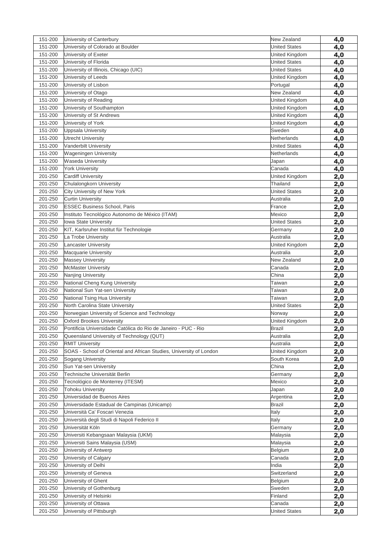| 151-200 | University of Canterbury                                            | New Zealand          | 4,0        |
|---------|---------------------------------------------------------------------|----------------------|------------|
| 151-200 | University of Colorado at Boulder                                   | <b>United States</b> | 4,0        |
| 151-200 | University of Exeter                                                | United Kingdom       | 4,0        |
| 151-200 | University of Florida                                               | <b>United States</b> | 4,0        |
| 151-200 | University of Illinois, Chicago (UIC)                               | <b>United States</b> | 4,0        |
| 151-200 | University of Leeds                                                 | United Kingdom       | 4,0        |
| 151-200 | University of Lisbon                                                | Portugal             | 4,0        |
| 151-200 | University of Otago                                                 | New Zealand          | 4,0        |
| 151-200 | University of Reading                                               | United Kingdom       | 4,0        |
| 151-200 | University of Southampton                                           | United Kingdom       | 4,0        |
| 151-200 | University of St Andrews                                            | United Kingdom       | 4,0        |
| 151-200 | University of York                                                  | United Kingdom       | 4,0        |
| 151-200 | Uppsala University                                                  | Sweden               | 4,0        |
| 151-200 | <b>Utrecht University</b>                                           | Netherlands          | 4,0        |
| 151-200 | Vanderbilt University                                               | <b>United States</b> | 4,0        |
| 151-200 | Wageningen University                                               | Netherlands          | 4,0        |
| 151-200 | Waseda University                                                   | Japan                | 4,0        |
| 151-200 | <b>York University</b>                                              | Canada               | 4,0        |
| 201-250 | <b>Cardiff University</b>                                           | United Kingdom       | 2,0        |
| 201-250 | Chulalongkorn University                                            | Thailand             | 2,0        |
| 201-250 | City University of New York                                         | <b>United States</b> | 2,0        |
| 201-250 | <b>Curtin University</b>                                            | Australia            | 2,0        |
| 201-250 | <b>ESSEC Business School, Paris</b>                                 | France               | 2,0        |
| 201-250 | Instituto Tecnológico Autonomo de México (ITAM)                     | Mexico               | 2,0        |
| 201-250 | <b>Iowa State University</b>                                        | <b>United States</b> | 2,0        |
| 201-250 | KIT, Karlsruher Institut für Technologie                            | Germany              | 2,0        |
| 201-250 | La Trobe University                                                 | Australia            | 2,0        |
| 201-250 | <b>Lancaster University</b>                                         | United Kingdom       | 2,0        |
| 201-250 | <b>Macquarie University</b>                                         | Australia            | 2,0        |
| 201-250 | <b>Massey University</b>                                            | New Zealand          | 2,0        |
| 201-250 | <b>McMaster University</b>                                          | Canada               | 2,0        |
| 201-250 | Nanjing University                                                  | China                | 2,0        |
| 201-250 | National Cheng Kung University                                      | Taiwan               | 2,0        |
| 201-250 | National Sun Yat-sen University                                     | Taiwan               | 2,0        |
| 201-250 | National Tsing Hua University                                       | Taiwan               | 2,0        |
| 201-250 | North Carolina State University                                     | <b>United States</b> | 2,0        |
| 201-250 | Norwegian University of Science and Technology                      | Norway               | 2,0        |
| 201-250 | <b>Oxford Brookes University</b>                                    | United Kingdom       | 2,0        |
| 201-250 | Pontificia Universidade Católica do Rio de Janeiro - PUC - Rio      | <b>Brazil</b>        | 2,0        |
| 201-250 | Queensland University of Technology (QUT)                           | Australia            | 2,0        |
| 201-250 | <b>RMIT University</b>                                              | Australia            | 2,0        |
| 201-250 | SOAS - School of Oriental and African Studies, University of London | United Kingdom       | 2,0        |
| 201-250 | Sogang University                                                   | South Korea          | 2,0        |
| 201-250 | Sun Yat-sen University                                              | China                | 2,0        |
| 201-250 | Technische Universität Berlin                                       | Germany              | 2,0        |
| 201-250 | Tecnológico de Monterrey (ITESM)                                    | Mexico               | 2,0        |
| 201-250 | <b>Tohoku University</b>                                            | Japan                | 2,0        |
| 201-250 | Universidad de Buenos Aires                                         | Argentina            | 2,0        |
| 201-250 | Universidade Estadual de Campinas (Unicamp)                         | <b>Brazil</b>        | 2,0        |
| 201-250 | Università Ca' Foscari Venezia                                      | Italy                | 2,0        |
| 201-250 | Università degli Studi di Napoli Federico II                        | Italy                | 2,0        |
| 201-250 | Universität Köln                                                    | Germany              | 2,0        |
| 201-250 | Universiti Kebangsaan Malaysia (UKM)                                | Malaysia             | 2,0        |
| 201-250 | Universiti Sains Malaysia (USM)                                     | Malaysia             | 2,0        |
| 201-250 | University of Antwerp                                               | Belgium              | 2,0        |
| 201-250 | University of Calgary                                               | Canada               | 2,0        |
| 201-250 | University of Delhi                                                 | India                | 2,0        |
| 201-250 | University of Geneva                                                | Switzerland          | 2,0        |
| 201-250 | University of Ghent                                                 | Belgium              | 2,0        |
| 201-250 | University of Gothenburg                                            | Sweden               | 2,0        |
| 201-250 | University of Helsinki                                              | Finland              | 2,0        |
| 201-250 | University of Ottawa                                                | Canada               | 2,0        |
| 201-250 | University of Pittsburgh                                            | <b>United States</b> | <u>2,0</u> |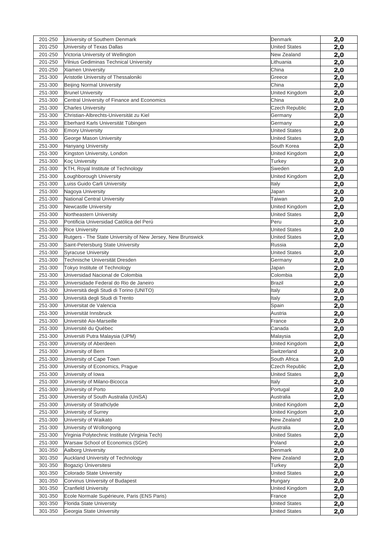| 201-250            | University of Southern Denmark                              | Denmark                                       | 2,0        |
|--------------------|-------------------------------------------------------------|-----------------------------------------------|------------|
| 201-250            | University of Texas Dallas                                  | <b>United States</b>                          | 2,0        |
| 201-250            | Victoria University of Wellington                           | New Zealand                                   | 2,0        |
| 201-250            | Vilnius Gediminas Technical University                      | Lithuania                                     | 2,0        |
| 201-250            | Xiamen University                                           | China                                         | 2,0        |
| 251-300            | Aristotle University of Thessaloniki                        | Greece                                        | 2,0        |
| 251-300            | <b>Beijing Normal University</b>                            | China                                         | 2,0        |
| 251-300            | <b>Brunel University</b>                                    | United Kingdom                                | 2,0        |
| 251-300            | Central University of Finance and Economics                 | China                                         | 2,0        |
| 251-300            | <b>Charles University</b>                                   | Czech Republic                                | 2,0        |
| 251-300            | Christian-Albrechts-Universität zu Kiel                     | Germany                                       | 2,0        |
| 251-300            | Eberhard Karls Universität Tübingen                         | Germany                                       | 2,0        |
| 251-300            | <b>Emory University</b>                                     | <b>United States</b>                          | 2,0        |
| 251-300            | George Mason University                                     | <b>United States</b>                          | 2,0        |
| 251-300            | <b>Hanyang University</b>                                   | South Korea                                   | 2,0        |
| 251-300            | Kingston University, London                                 | United Kingdom                                | 2,0        |
| 251-300            | <b>Koç University</b>                                       | Turkey                                        | 2,0        |
| 251-300            | KTH, Royal Institute of Technology                          | Sweden                                        | 2,0        |
| 251-300            | Loughborough University                                     | United Kingdom                                | 2,0        |
| 251-300            | Luiss Guido Carli University                                | Italy                                         | 2,0        |
| 251-300            | Nagoya University                                           | Japan                                         | 2,0        |
| 251-300            | <b>National Central University</b>                          | Taiwan                                        | 2,0        |
| 251-300            | Newcastle University                                        | United Kingdom                                | 2,0        |
| 251-300            | Northeastern University                                     | <b>United States</b>                          | 2,0        |
| 251-300            | Pontificia Universidad Católica del Perú                    | Peru                                          | 2,0        |
| 251-300            | <b>Rice University</b>                                      | <b>United States</b>                          | 2,0        |
| 251-300            | Rutgers - The State University of New Jersey, New Brunswick | <b>United States</b>                          | 2,0        |
| 251-300            | Saint-Petersburg State University                           | Russia                                        | 2,0        |
| 251-300            | <b>Syracuse University</b>                                  | <b>United States</b>                          | 2,0        |
| 251-300            | Technische Universität Dresden                              | Germany                                       | 2,0        |
| 251-300            | Tokyo Institute of Technology                               | Japan                                         | 2,0        |
| 251-300            | Universidad Nacional de Colombia                            | Colombia                                      | 2,0        |
| 251-300            | Universidade Federal do Rio de Janeiro                      | <b>Brazil</b>                                 | 2,0        |
| 251-300            | Università degli Studi di Torino (UNITO)                    | Italy                                         | 2,0        |
| 251-300            | Università degli Studi di Trento                            | Italy                                         | 2,0        |
| 251-300            | Universitat de Valencia                                     | Spain                                         | 2,0        |
| 251-300            | Universität Innsbruck                                       | Austria                                       | 2,0        |
| 251-300            | Université Aix-Marseille                                    | France                                        | 2,0        |
| 251-300            | Université du Québec                                        | Canada                                        | 2,0        |
| 251-300            | Universiti Putra Malaysia (UPM)                             | Malaysia                                      | 2,0        |
| 251-300            | University of Aberdeen                                      | United Kingdom                                | 2,0        |
| 251-300            | University of Bern                                          | Switzerland                                   | 2,0        |
| 251-300            | University of Cape Town                                     | South Africa                                  | 2,0        |
| 251-300<br>251-300 | University of Economics, Prague                             | <b>Czech Republic</b><br><b>United States</b> | 2,0        |
| 251-300            | University of Iowa<br>University of Milano-Bicocca          |                                               | 2,0        |
| 251-300            | University of Porto                                         | Italy<br>Portugal                             | 2,0        |
| 251-300            | University of South Australia (UniSA)                       | Australia                                     | 2,0        |
| 251-300            | University of Strathclyde                                   | United Kingdom                                | 2,0        |
| 251-300            | University of Surrey                                        | United Kingdom                                | 2,0        |
| 251-300            | University of Waikato                                       | New Zealand                                   | 2,0        |
| 251-300            | University of Wollongong                                    | Australia                                     | 2,0<br>2,0 |
| 251-300            | Virginia Polytechnic Institute (Virginia Tech)              | <b>United States</b>                          |            |
| 251-300            | Warsaw School of Economics (SGH)                            | Poland                                        | 2,0<br>2,0 |
| 301-350            | Aalborg University                                          | Denmark                                       | 2,0        |
| 301-350            | Auckland University of Technology                           | New Zealand                                   | 2,0        |
| 301-350            | Bogaziçi Üniversitesi                                       | Turkey                                        | 2,0        |
| 301-350            | Colorado State University                                   | <b>United States</b>                          | 2,0        |
| 301-350            | Corvinus University of Budapest                             | Hungary                                       | 2,0        |
| 301-350            | <b>Cranfield University</b>                                 | United Kingdom                                | <u>2,0</u> |
| 301-350            | Ecole Normale Supérieure, Paris (ENS Paris)                 | France                                        | 2,0        |
| 301-350            | <b>Florida State University</b>                             | <b>United States</b>                          | 2,0        |
| 301-350            | Georgia State University                                    | <b>United States</b>                          | 2,0        |
|                    |                                                             |                                               |            |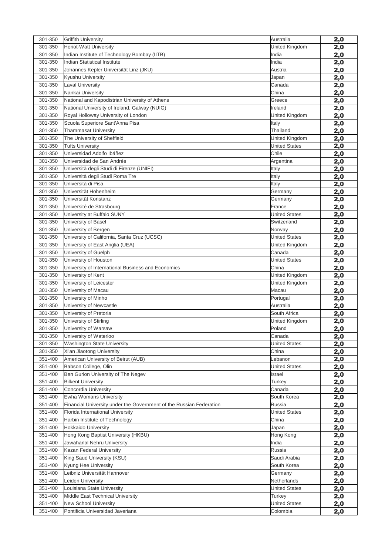| 301-350 | <b>Griffith University</b>                                          | Australia            | 2,0 |
|---------|---------------------------------------------------------------------|----------------------|-----|
| 301-350 | <b>Heriot-Watt University</b>                                       | United Kingdom       | 2,0 |
| 301-350 | Indian Institute of Technology Bombay (IITB)                        | India                | 2,0 |
| 301-350 | <b>Indian Statistical Institute</b>                                 | India                | 2,0 |
| 301-350 | Johannes Kepler Universität Linz (JKU)                              | Austria              | 2,0 |
| 301-350 | Kyushu University                                                   | Japan                | 2,0 |
| 301-350 | <b>Laval University</b>                                             | Canada               | 2,0 |
| 301-350 | Nankai University                                                   | China                | 2,0 |
| 301-350 | National and Kapodistrian University of Athens                      | Greece               | 2,0 |
| 301-350 | National University of Ireland, Galway (NUIG)                       | Ireland              | 2,0 |
| 301-350 | Royal Holloway University of London                                 | United Kingdom       | 2,0 |
| 301-350 | Scuola Superiore Sant'Anna Pisa                                     | Italy                | 2,0 |
| 301-350 | <b>Thammasat University</b>                                         | Thailand             | 2,0 |
| 301-350 | The University of Sheffield                                         | United Kingdom       | 2,0 |
| 301-350 | <b>Tufts University</b>                                             | <b>United States</b> | 2,0 |
| 301-350 | Universidad Adolfo Ibáñez                                           | Chile                | 2,0 |
| 301-350 | Universidad de San Andrés                                           | Argentina            | 2,0 |
| 301-350 | Università degli Studi di Firenze (UNIFI)                           | Italy                | 2,0 |
| 301-350 | Università degli Studi Roma Tre                                     | Italy                | 2,0 |
| 301-350 | Università di Pisa                                                  | Italy                | 2,0 |
| 301-350 | Universität Hohenheim                                               | Germany              | 2,0 |
| 301-350 | Universität Konstanz                                                | Germany              | 2,0 |
| 301-350 | Université de Strasbourg                                            | France               | 2,0 |
| 301-350 | University at Buffalo SUNY                                          | <b>United States</b> | 2,0 |
| 301-350 | University of Basel                                                 | Switzerland          | 2,0 |
| 301-350 | University of Bergen                                                | Norway               | 2,0 |
| 301-350 | University of California, Santa Cruz (UCSC)                         | <b>United States</b> | 2,0 |
| 301-350 | University of East Anglia (UEA)                                     | United Kingdom       | 2,0 |
| 301-350 | University of Guelph                                                | Canada               | 2,0 |
| 301-350 | University of Houston                                               | <b>United States</b> | 2,0 |
| 301-350 | University of International Business and Economics                  | China                | 2,0 |
| 301-350 | University of Kent                                                  | United Kingdom       | 2,0 |
| 301-350 | University of Leicester                                             | United Kingdom       | 2,0 |
| 301-350 | University of Macau                                                 | Macau                | 2,0 |
| 301-350 | University of Minho                                                 | Portugal             | 2,0 |
| 301-350 | University of Newcastle                                             | Australia            | 2,0 |
| 301-350 | University of Pretoria                                              | South Africa         | 2,0 |
| 301-350 | University of Stirling                                              | United Kingdom       | 2,0 |
| 301-350 | University of Warsaw                                                | Poland               | 2,0 |
| 301-350 | University of Waterloo                                              | Canada               | 2,0 |
| 301-350 | <b>Washington State University</b>                                  | <b>United States</b> | 2,0 |
| 301-350 | Xi'an Jiaotong University                                           | China                | 2,0 |
| 351-400 | American University of Beirut (AUB)                                 | Lebanon              | 2,0 |
| 351-400 | Babson College, Olin                                                | <b>United States</b> | 2,0 |
| 351-400 | Ben Gurion University of The Negev                                  | Israel               | 2,0 |
| 351-400 | <b>Bilkent University</b>                                           | Turkey               | 2,0 |
| 351-400 | Concordia University                                                | Canada               | 2,0 |
| 351-400 | Ewha Womans University                                              | South Korea          | 2,0 |
| 351-400 | Financial University under the Government of the Russian Federation | Russia               | 2,0 |
| 351-400 | Florida International University                                    | <b>United States</b> | 2,0 |
| 351-400 | Harbin Institute of Technology                                      | China                | 2,0 |
| 351-400 | <b>Hokkaido University</b>                                          | Japan                | 2,0 |
| 351-400 | Hong Kong Baptist University (HKBU)                                 | Hong Kong            | 2,0 |
| 351-400 | Jawaharlal Nehru University                                         | India                | 2,0 |
| 351-400 | Kazan Federal University                                            | Russia               | 2,0 |
| 351-400 | King Saud University (KSU)                                          | Saudi Arabia         | 2,0 |
| 351-400 | Kyung Hee University                                                | South Korea          | 2,0 |
| 351-400 | Leibniz Universität Hannover                                        | Germany              | 2,0 |
| 351-400 | Leiden University                                                   | Netherlands          | 2,0 |
| 351-400 | Louisiana State University                                          | <b>United States</b> | 2,0 |
| 351-400 | Middle East Technical University                                    | Turkey               | 2,0 |
| 351-400 | <b>New School University</b>                                        | <b>United States</b> | 2,0 |
| 351-400 | Pontificia Universidad Javeriana                                    | Colombia             | 2,0 |
|         |                                                                     |                      |     |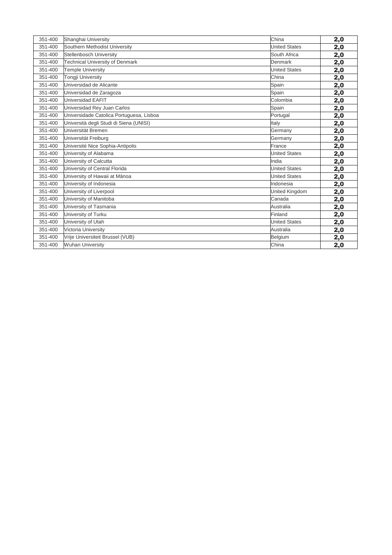| 351-400 | Shanghai University                      | China                | 2,0 |
|---------|------------------------------------------|----------------------|-----|
| 351-400 | Southern Methodist University            | <b>United States</b> | 2,0 |
| 351-400 | Stellenbosch University                  | South Africa         | 2,0 |
| 351-400 | <b>Technical University of Denmark</b>   | Denmark              | 2,0 |
| 351-400 | <b>Temple University</b>                 | <b>United States</b> | 2,0 |
| 351-400 | <b>Tongji University</b>                 | China                | 2,0 |
| 351-400 | Universidad de Alicante                  | Spain                | 2,0 |
| 351-400 | Universidad de Zaragoza                  | Spain                | 2,0 |
| 351-400 | Universidad EAFIT                        | Colombia             | 2,0 |
| 351-400 | Universidad Rey Juan Carlos              | Spain                | 2,0 |
| 351-400 | Universidade Catolica Portuguesa, Lisboa | Portugal             | 2,0 |
| 351-400 | Università degli Studi di Siena (UNISI)  | Italy                | 2,0 |
| 351-400 | Universität Bremen                       | Germany              | 2,0 |
| 351-400 | Universität Freiburg                     | Germany              | 2,0 |
| 351-400 | Université Nice Sophia-Antipolis         | France               | 2,0 |
| 351-400 | University of Alabama                    | <b>United States</b> | 2,0 |
| 351-400 | University of Calcutta                   | India                | 2,0 |
| 351-400 | University of Central Florida            | <b>United States</b> | 2,0 |
| 351-400 | University of Hawaii at Mānoa            | <b>United States</b> | 2,0 |
| 351-400 | University of Indonesia                  | Indonesia            | 2,0 |
| 351-400 | University of Liverpool                  | United Kingdom       | 2,0 |
| 351-400 | University of Manitoba                   | Canada               | 2,0 |
| 351-400 | University of Tasmania                   | Australia            | 2,0 |
| 351-400 | University of Turku                      | Finland              | 2,0 |
| 351-400 | University of Utah                       | <b>United States</b> | 2,0 |
| 351-400 | Victoria University                      | Australia            | 2,0 |
| 351-400 | Vrije Universiteit Brussel (VUB)         | Belgium              | 2,0 |
| 351-400 | <b>Wuhan University</b>                  | China                | 2,0 |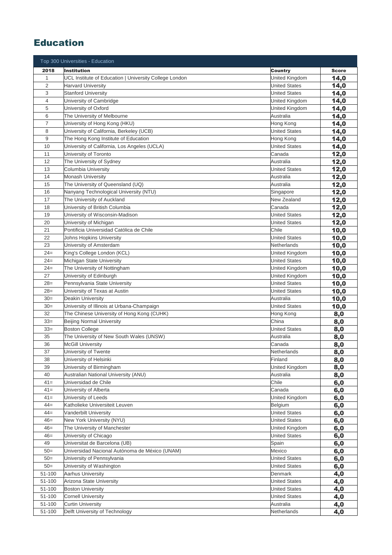### Education

|                | Top 300 Universities - Education                                  |                      |              |
|----------------|-------------------------------------------------------------------|----------------------|--------------|
| 2018           | <b>Institution</b>                                                | <b>Country</b>       | <b>Score</b> |
| $\mathbf{1}$   | UCL Institute of Education   University College London            | United Kingdom       | 14,0         |
| $\overline{c}$ | <b>Harvard University</b>                                         | <b>United States</b> | 14,0         |
| 3              | <b>Stanford University</b>                                        | <b>United States</b> | 14,0         |
| 4              | University of Cambridge                                           | United Kingdom       | 14,0         |
| 5              | University of Oxford                                              | United Kingdom       | 14,0         |
| 6              | The University of Melbourne                                       | Australia            | 14,0         |
| 7              | University of Hong Kong (HKU)                                     | Hong Kong            | 14,0         |
| 8              | University of California, Berkeley (UCB)                          | <b>United States</b> | 14,0         |
| 9              | The Hong Kong Institute of Education                              | Hong Kong            | 14,0         |
| 10             | University of California, Los Angeles (UCLA)                      | <b>United States</b> | 14,0         |
| 11             | University of Toronto                                             | Canada               | 12,0         |
| 12             | The University of Sydney                                          | Australia            | 12,0         |
| 13             | Columbia University                                               | <b>United States</b> | 12,0         |
| 14             | <b>Monash University</b>                                          | Australia            | 12,0         |
| 15             | The University of Queensland (UQ)                                 | Australia            | 12,0         |
| 16             | Nanyang Technological University (NTU)                            | Singapore            | 12,0         |
| 17             | The University of Auckland                                        | New Zealand          | 12,0         |
| 18             | University of British Columbia                                    | Canada               | 12,0         |
| 19             | University of Wisconsin-Madison                                   | <b>United States</b> | 12,0         |
| 20             | University of Michigan                                            | <b>United States</b> | 12,0         |
| 21             | Pontificia Universidad Católica de Chile                          | Chile                | 10,0         |
| 22             | Johns Hopkins University                                          | <b>United States</b> | 10,0         |
| 23             | University of Amsterdam                                           | Netherlands          | 10,0         |
| $24=$          | King's College London (KCL)                                       | United Kingdom       | 10,0         |
| $24=$          | Michigan State University                                         | <b>United States</b> | 10,0         |
| $24 =$         | The University of Nottingham                                      | United Kingdom       | 10,0         |
| 27             | University of Edinburgh                                           | United Kingdom       | 10,0         |
| $28=$          | Pennsylvania State University                                     | <b>United States</b> | 10,0         |
| $28=$          | University of Texas at Austin                                     | <b>United States</b> | 10,0         |
| $30=$          | Deakin University                                                 | Australia            | 10,0         |
| $30=$          | University of Illinois at Urbana-Champaign                        | <b>United States</b> | 10,0         |
| 32             | The Chinese University of Hong Kong (CUHK)                        | Hong Kong            | 8,0          |
| $33=$          | <b>Beijing Normal University</b>                                  | China                | 8,0          |
| $33=$<br>35    | <b>Boston College</b><br>The University of New South Wales (UNSW) | <b>United States</b> | 8,0          |
| 36             | <b>McGill University</b>                                          | Australia<br>Canada  | 8,0          |
| 37             | University of Twente                                              | Netherlands          | 8,0          |
| 38             | University of Helsinki                                            | Finland              | 8,0          |
| 39             | University of Birmingham                                          | United Kingdom       | 8,0<br>8,0   |
| 40             | Australian National University (ANU)                              | Australia            | 8,0          |
| $41 =$         | Universidad de Chile                                              | Chile                | 6,0          |
| $41 =$         | University of Alberta                                             | Canada               | 6,0          |
| $41 =$         | University of Leeds                                               | United Kingdom       | 6,0          |
| $44 =$         | Katholieke Universiteit Leuven                                    | Belgium              | 6,0          |
| $44 =$         | Vanderbilt University                                             | <b>United States</b> | 6,0          |
| $46=$          | New York University (NYU)                                         | <b>United States</b> | 6,0          |
| $46=$          | The University of Manchester                                      | United Kingdom       | 6,0          |
| $46=$          | University of Chicago                                             | <b>United States</b> | 6,0          |
| 49             | Universitat de Barcelona (UB)                                     | Spain                | 6,0          |
| $50=$          | Universidad Nacional Autónoma de México (UNAM)                    | Mexico               | 6,0          |
| $50=$          | University of Pennsylvania                                        | <b>United States</b> | 6,0          |
| $50=$          | University of Washington                                          | <b>United States</b> | 6,0          |
| 51-100         | <b>Aarhus University</b>                                          | Denmark              | 4,0          |
| 51-100         | Arizona State University                                          | <b>United States</b> | 4,0          |
| 51-100         | <b>Boston University</b>                                          | <b>United States</b> | 4,0          |
| 51-100         | <b>Cornell University</b>                                         | <b>United States</b> | 4,0          |
| 51-100         | <b>Curtin University</b>                                          | Australia            | 4,0          |
| 51-100         | Delft University of Technology                                    | Netherlands          | 4,0          |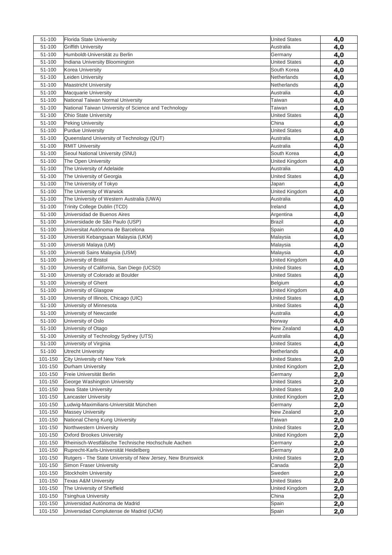| 51-100  | Florida State University                                    | <b>United States</b> | 4,0 |
|---------|-------------------------------------------------------------|----------------------|-----|
| 51-100  | <b>Griffith University</b>                                  | Australia            | 4,0 |
| 51-100  | Humboldt-Universität zu Berlin                              | Germany              | 4,0 |
| 51-100  | Indiana University Bloomington                              | <b>United States</b> | 4,0 |
| 51-100  | Korea University                                            | South Korea          | 4,0 |
| 51-100  | Leiden University                                           | Netherlands          | 4,0 |
| 51-100  | <b>Maastricht University</b>                                | Netherlands          | 4,0 |
| 51-100  | <b>Macquarie University</b>                                 | Australia            | 4,0 |
| 51-100  | National Taiwan Normal University                           | Taiwan               | 4,0 |
| 51-100  | National Taiwan University of Science and Technology        | Taiwan               | 4,0 |
| 51-100  | <b>Ohio State University</b>                                | <b>United States</b> | 4,0 |
| 51-100  | <b>Peking University</b>                                    | China                | 4,0 |
| 51-100  | <b>Purdue University</b>                                    | <b>United States</b> | 4,0 |
| 51-100  | Queensland University of Technology (QUT)                   | Australia            | 4,0 |
| 51-100  | <b>RMIT University</b>                                      | Australia            | 4,0 |
| 51-100  | Seoul National University (SNU)                             | South Korea          | 4,0 |
| 51-100  | The Open University                                         | United Kingdom       | 4,0 |
| 51-100  | The University of Adelaide                                  | Australia            | 4,0 |
| 51-100  | The University of Georgia                                   | <b>United States</b> | 4,0 |
| 51-100  | The University of Tokyo                                     | Japan                | 4,0 |
| 51-100  | The University of Warwick                                   | United Kingdom       | 4,0 |
| 51-100  | The University of Western Australia (UWA)                   | Australia            | 4,0 |
| 51-100  | Trinity College Dublin (TCD)                                | Ireland              | 4,0 |
| 51-100  | Universidad de Buenos Aires                                 | Argentina            | 4,0 |
| 51-100  | Universidade de São Paulo (USP)                             | <b>Brazil</b>        | 4,0 |
| 51-100  | Universitat Autónoma de Barcelona                           | Spain                | 4,0 |
| 51-100  | Universiti Kebangsaan Malaysia (UKM)                        | Malaysia             | 4,0 |
| 51-100  | Universiti Malaya (UM)                                      | Malaysia             | 4,0 |
| 51-100  | Universiti Sains Malaysia (USM)                             | Malaysia             | 4,0 |
| 51-100  | University of Bristol                                       | United Kingdom       | 4,0 |
| 51-100  | University of California, San Diego (UCSD)                  | <b>United States</b> | 4,0 |
| 51-100  | University of Colorado at Boulder                           | <b>United States</b> | 4,0 |
| 51-100  | University of Ghent                                         | Belgium              | 4,0 |
| 51-100  | University of Glasgow                                       | United Kingdom       | 4,0 |
| 51-100  | University of Illinois, Chicago (UIC)                       | <b>United States</b> | 4,0 |
| 51-100  | University of Minnesota                                     | <b>United States</b> | 4,0 |
| 51-100  | University of Newcastle                                     | Australia            | 4,0 |
| 51-100  | University of Oslo                                          | Norway               | 4,0 |
| 51-100  | University of Otago                                         | New Zealand          | 4,0 |
| 51-100  | University of Technology Sydney (UTS)                       | Australia            | 4,0 |
| 51-100  | University of Virginia                                      | <b>United States</b> | 4,0 |
| 51-100  | <b>Utrecht University</b>                                   | Netherlands          | 4,0 |
| 101-150 | City University of New York                                 | <b>United States</b> | 2,0 |
| 101-150 | Durham University                                           | United Kingdom       | 2,0 |
| 101-150 | Freie Universität Berlin                                    | Germany              | 2,0 |
| 101-150 | George Washington University                                | <b>United States</b> | 2,0 |
| 101-150 | <b>Iowa State University</b>                                | <b>United States</b> | 2,0 |
| 101-150 | <b>Lancaster University</b>                                 | United Kingdom       | 2,0 |
| 101-150 | Ludwig-Maximilians-Universität München                      | Germany              | 2,0 |
| 101-150 | <b>Massey University</b>                                    | New Zealand          | 2,0 |
| 101-150 | National Cheng Kung University                              | Taiwan               | 2,0 |
| 101-150 | Northwestern University                                     | <b>United States</b> | 2,0 |
| 101-150 | <b>Oxford Brookes University</b>                            | United Kingdom       | 2,0 |
| 101-150 | Rheinisch-Westfälische Technische Hochschule Aachen         | Germany              | 2,0 |
| 101-150 | Ruprecht-Karls-Universität Heidelberg                       | Germany              | 2,0 |
| 101-150 | Rutgers - The State University of New Jersey, New Brunswick | <b>United States</b> |     |
| 101-150 | <b>Simon Fraser University</b>                              | Canada               | 2,0 |
| 101-150 | Stockholm University                                        | Sweden               | 2,0 |
| 101-150 | <b>Texas A&amp;M University</b>                             | <b>United States</b> | 2,0 |
| 101-150 | The University of Sheffield                                 |                      | 2,0 |
| 101-150 |                                                             | United Kingdom       | 2,0 |
|         | Tsinghua University                                         | China                | 2,0 |
| 101-150 | Universidad Autónoma de Madrid                              | Spain                | 2,0 |
| 101-150 | Universidad Complutense de Madrid (UCM)                     | Spain                | 2,0 |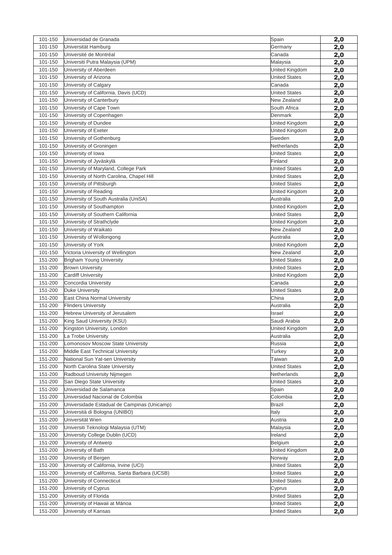| 101-150 | Universidad de Granada                         | Spain                | 2,0        |
|---------|------------------------------------------------|----------------------|------------|
| 101-150 | Universität Hamburg                            | Germany              | 2,0        |
| 101-150 | Université de Montréal                         | Canada               | 2,0        |
| 101-150 | Universiti Putra Malaysia (UPM)                | Malaysia             | 2,0        |
| 101-150 | University of Aberdeen                         | United Kingdom       | 2,0        |
| 101-150 | University of Arizona                          | <b>United States</b> | 2,0        |
| 101-150 | University of Calgary                          | Canada               | 2,0        |
| 101-150 | University of California, Davis (UCD)          | United States        | 2,0        |
| 101-150 | University of Canterbury                       | New Zealand          | 2,0        |
| 101-150 | University of Cape Town                        | South Africa         | 2,0        |
| 101-150 | University of Copenhagen                       | Denmark              | 2,0        |
| 101-150 | University of Dundee                           | United Kingdom       | 2,0        |
| 101-150 | University of Exeter                           | United Kingdom       | 2,0        |
| 101-150 | University of Gothenburg                       | Sweden               | 2,0        |
| 101-150 | University of Groningen                        | Netherlands          | 2,0        |
| 101-150 | University of Iowa                             | <b>United States</b> | 2,0        |
| 101-150 | University of Jyväskylä                        | Finland              | 2,0        |
| 101-150 | University of Maryland, College Park           | <b>United States</b> | 2,0        |
| 101-150 | University of North Carolina, Chapel Hill      | <b>United States</b> | 2,0        |
| 101-150 | University of Pittsburgh                       | <b>United States</b> | 2,0        |
| 101-150 | University of Reading                          | United Kingdom       | 2,0        |
| 101-150 | University of South Australia (UniSA)          | Australia            | 2,0        |
| 101-150 | University of Southampton                      | United Kingdom       | 2,0        |
| 101-150 | University of Southern California              | <b>United States</b> | 2,0        |
| 101-150 | University of Strathclyde                      | United Kingdom       | 2,0        |
| 101-150 | University of Waikato                          | New Zealand          | 2,0        |
| 101-150 | University of Wollongong                       | Australia            | 2,0        |
| 101-150 | University of York                             | United Kingdom       | 2,0        |
| 101-150 | Victoria University of Wellington              | New Zealand          | 2,0        |
| 151-200 | <b>Brigham Young University</b>                | <b>United States</b> | 2,0        |
| 151-200 | <b>Brown University</b>                        | <b>United States</b> | 2,0        |
| 151-200 | <b>Cardiff University</b>                      | United Kingdom       | 2,0        |
| 151-200 | Concordia University                           | Canada               | 2,0        |
| 151-200 | <b>Duke University</b>                         | United States        | 2,0        |
| 151-200 | East China Normal University                   | China                | 2,0        |
| 151-200 | <b>Flinders University</b>                     | Australia            | 2,0        |
| 151-200 | Hebrew University of Jerusalem                 | Israel               | 2,0        |
| 151-200 | King Saud University (KSU)                     | Saudi Arabia         | 2,0        |
| 151-200 | Kingston University, London                    | United Kingdom       | 2,0        |
| 151-200 | La Trobe University                            | Australia            | 2,0        |
| 151-200 | Lomonosov Moscow State University              | Russia               | 2,0        |
| 151-200 | Middle East Technical University               | Turkey               | 2,0        |
| 151-200 | National Sun Yat-sen University                | Taiwan               | 2,0        |
| 151-200 | North Carolina State University                | <b>United States</b> | 2,0        |
| 151-200 | Radboud University Nijmegen                    | Netherlands          | 2,0        |
| 151-200 | San Diego State University                     | <b>United States</b> | 2,0        |
| 151-200 | Universidad de Salamanca                       | Spain                | 2,0        |
| 151-200 | Universidad Nacional de Colombia               | Colombia             | 2,0        |
| 151-200 | Universidade Estadual de Campinas (Unicamp)    | <b>Brazil</b>        | 2,0        |
| 151-200 | Università di Bologna (UNIBO)                  | Italy                | 2,0        |
| 151-200 | Universität Wien                               | Austria              | 2,0        |
| 151-200 | Universiti Teknologi Malaysia (UTM)            | Malaysia             | 2,0        |
| 151-200 | University College Dublin (UCD)                | Ireland              | 2,0        |
| 151-200 | University of Antwerp                          | Belgium              | 2,0        |
| 151-200 | University of Bath                             | United Kingdom       | 2,0        |
| 151-200 | University of Bergen                           | Norway               | 2,0        |
| 151-200 | University of California, Irvine (UCI)         | <b>United States</b> | 2,0        |
| 151-200 | University of California, Santa Barbara (UCSB) | <b>United States</b> | 2,0        |
| 151-200 | University of Connecticut                      | <b>United States</b> | 2,0        |
| 151-200 | University of Cyprus                           | Cyprus               | <u>2,0</u> |
| 151-200 | University of Florida                          | <b>United States</b> | 2,0        |
| 151-200 | University of Hawaii at Mānoa                  | United States        | 2,0        |
| 151-200 | University of Kansas                           | <b>United States</b> | <u>2,0</u> |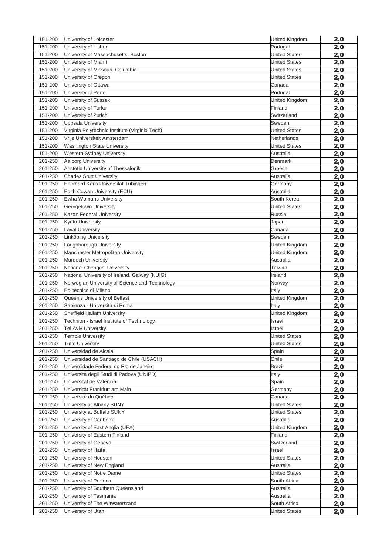| 151-200            | University of Leicester                               | United Kingdom                       | 2,0        |
|--------------------|-------------------------------------------------------|--------------------------------------|------------|
| 151-200            | University of Lisbon                                  | Portugal                             | 2,0        |
| 151-200            | University of Massachusetts, Boston                   | <b>United States</b>                 | 2,0        |
| 151-200            | University of Miami                                   | <b>United States</b>                 | 2,0        |
| 151-200            | University of Missouri, Columbia                      | <b>United States</b>                 | 2,0        |
| 151-200            | University of Oregon                                  | <b>United States</b>                 | 2,0        |
| 151-200            | University of Ottawa                                  | Canada                               | 2,0        |
| 151-200            | University of Porto                                   | Portugal                             | 2,0        |
| 151-200            | University of Sussex                                  | United Kingdom                       | 2,0        |
| 151-200            | University of Turku                                   | Finland                              | 2,0        |
| 151-200            | University of Zurich                                  | Switzerland                          | 2,0        |
| 151-200            | Uppsala University                                    | Sweden                               | 2,0        |
| 151-200            | Virginia Polytechnic Institute (Virginia Tech)        | <b>United States</b>                 | 2,0        |
| 151-200            | Vrije Universiteit Amsterdam                          | Netherlands                          | 2,0        |
| 151-200            | <b>Washington State University</b>                    | <b>United States</b>                 | 2,0        |
| 151-200            | Western Sydney University                             | Australia                            | 2,0        |
| 201-250            | Aalborg University                                    | Denmark                              | 2,0        |
| 201-250            | Aristotle University of Thessaloniki                  | Greece                               | 2,0        |
| 201-250            | <b>Charles Sturt University</b>                       | Australia                            | 2,0        |
| 201-250            | Eberhard Karls Universität Tübingen                   | Germany                              | 2,0        |
| 201-250            | Edith Cowan University (ECU)                          | Australia                            | 2,0        |
| 201-250            | Ewha Womans University                                | South Korea                          | 2,0        |
| 201-250            | Georgetown University                                 | <b>United States</b>                 | 2,0        |
| 201-250            | Kazan Federal University                              | Russia                               | 2,0        |
| 201-250            | <b>Kyoto University</b>                               | Japan                                | 2,0        |
| 201-250            | <b>Laval University</b>                               | Canada                               | 2,0        |
| 201-250            | Linköping University                                  | Sweden                               | 2,0        |
| 201-250            | Loughborough University                               | United Kingdom                       | 2,0        |
| 201-250            | Manchester Metropolitan University                    | United Kingdom                       | 2,0        |
| 201-250            | Murdoch University                                    | Australia                            | 2,0        |
| 201-250            | National Chengchi University                          | Taiwan                               | 2,0        |
| 201-250            | National University of Ireland, Galway (NUIG)         | Ireland                              | 2,0        |
| 201-250            | Norwegian University of Science and Technology        | Norway                               | 2,0        |
| 201-250            | Politecnico di Milano                                 | Italy                                | 2,0        |
| 201-250            | Queen's University of Belfast                         | United Kingdom                       | 2,0        |
| 201-250            | Sapienza - Università di Roma                         | Italy                                | 2,0        |
| 201-250            | Sheffield Hallam University                           | United Kingdom                       | 2,0        |
| 201-250            | Technion - Israel Institute of Technology             | Israel                               | 2,0        |
| 201-250            | <b>Tel Aviv University</b>                            | Israel                               | 2,0        |
| 201-250            | <b>Temple University</b>                              | <b>United States</b>                 | 2,0        |
| 201-250            | <b>Tufts University</b>                               | <b>United States</b>                 | 2,0        |
| 201-250            | Universidad de Alcalá                                 | Spain                                | 2,0        |
| 201-250            | Universidad de Santiago de Chile (USACH)              | Chile                                | 2,0        |
| 201-250            | Universidade Federal do Rio de Janeiro                | Brazil                               | 2,0        |
| 201-250            | Università degli Studi di Padova (UNIPD)              | Italy                                | 2,0        |
| 201-250            | Universitat de Valencia                               | Spain                                | 2,0        |
| 201-250            | Universität Frankfurt am Main                         | Germany                              | 2,0        |
| 201-250            | Université du Québec                                  | Canada                               | 2,0        |
| 201-250            | University at Albany SUNY                             | <b>United States</b>                 | 2,0        |
| 201-250            | University at Buffalo SUNY                            | <b>United States</b>                 | 2,0        |
| 201-250            | University of Canberra                                | Australia                            | 2,0        |
| 201-250            | University of East Anglia (UEA)                       | United Kingdom                       | 2,0        |
| 201-250            | University of Eastern Finland                         | Finland                              | 2,0        |
| 201-250            |                                                       |                                      |            |
|                    | University of Geneva                                  | Switzerland                          | 2,0        |
| 201-250            | University of Haifa                                   | Israel                               | 2,0        |
| 201-250            | University of Houston                                 | <b>United States</b>                 | 2,0        |
| 201-250            | University of New England                             | Australia                            | 2,0        |
| 201-250            | University of Notre Dame                              | <b>United States</b>                 | 2,0        |
| 201-250            | University of Pretoria                                | South Africa                         | 2,0        |
| 201-250            | University of Southern Queensland                     | Australia                            | 2,0        |
| 201-250            | University of Tasmania                                | Australia                            | 2,0        |
| 201-250<br>201-250 | University of The Witwatersrand<br>University of Utah | South Africa<br><b>United States</b> | 2,0<br>2,0 |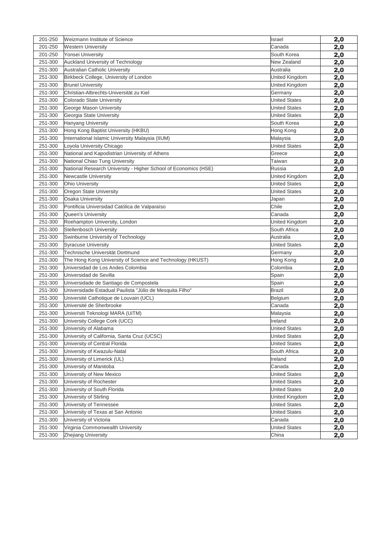| 201-250 | Weizmann Institute of Science                                   | <b>Israel</b>        | 2,0        |
|---------|-----------------------------------------------------------------|----------------------|------------|
| 201-250 | <b>Western University</b>                                       | Canada               | 2,0        |
| 201-250 | Yonsei University                                               | South Korea          | 2,0        |
| 251-300 | Auckland University of Technology                               | New Zealand          | 2,0        |
| 251-300 | <b>Australian Catholic University</b>                           | Australia            | 2,0        |
| 251-300 | Birkbeck College, University of London                          | United Kingdom       | 2,0        |
| 251-300 | <b>Brunel University</b>                                        | United Kingdom       | 2,0        |
| 251-300 | Christian-Albrechts-Universität zu Kiel                         | Germany              | 2,0        |
| 251-300 | Colorado State University                                       | <b>United States</b> | 2,0        |
| 251-300 | George Mason University                                         | <b>United States</b> | 2,0        |
| 251-300 | Georgia State University                                        | <b>United States</b> | 2,0        |
| 251-300 | Hanyang University                                              | South Korea          | 2,0        |
| 251-300 | Hong Kong Baptist University (HKBU)                             | Hong Kong            | 2,0        |
| 251-300 | International Islamic University Malaysia (IIUM)                | Malaysia             | 2,0        |
| 251-300 | Loyola University Chicago                                       | <b>United States</b> | 2,0        |
| 251-300 | National and Kapodistrian University of Athens                  | Greece               | 2,0        |
| 251-300 | National Chiao Tung University                                  | Taiwan               | 2,0        |
| 251-300 | National Research University - Higher School of Economics (HSE) | Russia               | 2,0        |
| 251-300 | <b>Newcastle University</b>                                     | United Kingdom       | 2,0        |
| 251-300 | <b>Ohio University</b>                                          | <b>United States</b> | 2,0        |
| 251-300 | Oregon State University                                         | <b>United States</b> | 2,0        |
| 251-300 | <b>Osaka University</b>                                         | Japan                | 2,0        |
| 251-300 | Pontificia Universidad Católica de Valparaíso                   | Chile                | 2,0        |
| 251-300 | Queen's University                                              | Canada               | 2,0        |
| 251-300 | Roehampton University, London                                   | United Kingdom       | 2,0        |
| 251-300 | Stellenbosch University                                         | South Africa         | 2,0        |
| 251-300 | Swinburne University of Technology                              | Australia            | 2,0        |
| 251-300 | <b>Syracuse University</b>                                      | <b>United States</b> | 2,0        |
| 251-300 | Technische Universität Dortmund                                 | Germany              | 2,0        |
| 251-300 | The Hong Kong University of Science and Technology (HKUST)      | Hong Kong            | 2,0        |
| 251-300 | Universidad de Los Andes Colombia                               | Colombia             | 2,0        |
| 251-300 | Universidad de Sevilla                                          | Spain                | 2,0        |
| 251-300 | Universidade de Santiago de Compostela                          | Spain                | 2,0        |
| 251-300 | Universidade Estadual Paulista "Júlio de Mesquita Filho"        | Brazil               | 2,0        |
| 251-300 | Université Catholique de Louvain (UCL)                          | Belgium              | 2,0        |
| 251-300 | Université de Sherbrooke                                        | Canada               | 2,0        |
| 251-300 | Universiti Teknologi MARA (UiTM)                                | Malaysia             | 2,0        |
| 251-300 | University College Cork (UCC)                                   | Ireland              | 2,0        |
| 251-300 | University of Alabama                                           | <b>United States</b> | 2,0        |
| 251-300 | University of California, Santa Cruz (UCSC)                     | <b>United States</b> | 2,0        |
| 251-300 | University of Central Florida                                   | <b>United States</b> | 2,0        |
| 251-300 | University of Kwazulu-Natal                                     | South Africa         | 2,0        |
| 251-300 | University of Limerick (UL)                                     | Ireland              | 2,0        |
| 251-300 | University of Manitoba                                          | Canada               | <u>2,0</u> |
| 251-300 | University of New Mexico                                        | <b>United States</b> | 2,0        |
| 251-300 | University of Rochester                                         | <b>United States</b> | 2,0        |
| 251-300 | University of South Florida                                     | <b>United States</b> | 2,0        |
| 251-300 | University of Stirling                                          | United Kingdom       | 2,0        |
| 251-300 | University of Tennessee                                         | <b>United States</b> | 2,0        |
| 251-300 | University of Texas at San Antonio                              | <b>United States</b> | <u>2,0</u> |
| 251-300 | University of Victoria                                          | Canada               | 2,0        |
| 251-300 | Virginia Commonwealth University                                | <b>United States</b> | 2,0        |
| 251-300 | <b>Zhejiang University</b>                                      | China                | 2,0        |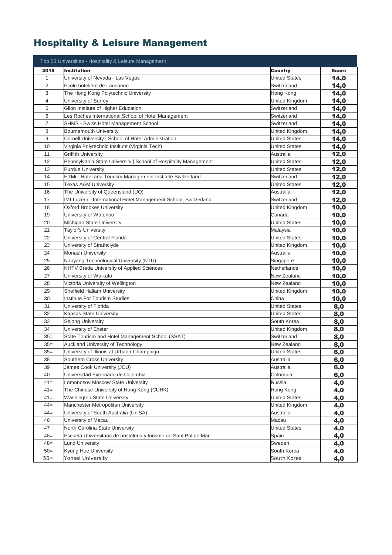# Hospitality & Leisure Management

| 2018<br><b>Institution</b><br><b>Country</b><br><b>Score</b><br>$\mathbf{1}$<br>University of Nevada - Las Vegas<br><b>United States</b><br>14,0<br>$\overline{2}$<br>Ecole hôtelière de Lausanne<br>Switzerland<br>14,0<br>3<br>The Hong Kong Polytechnic University<br>Hong Kong<br>14,0<br>4<br>University of Surrey<br>United Kingdom<br>14,0<br>5<br>Glion Institute of Higher Education<br>14,0<br>Switzerland<br>6<br>Les Roches International School of Hotel Management<br>Switzerland<br>14,0<br>7<br>SHMS - Swiss Hotel Management School<br>Switzerland<br>14,0<br>8<br><b>Bournemouth University</b><br>United Kingdom<br>14,0<br>9<br>Cornell University   School of Hotel Administration<br><b>United States</b><br>14,0<br>10<br>Virginia Polytechnic Institute (Virginia Tech)<br><b>United States</b><br>14,0<br>11<br>Griffith University<br>12,0<br>Australia<br>12<br>Pennsylvania State University   School of Hospitality Management<br><b>United States</b><br>12,0<br>13<br><b>Purdue University</b><br><b>United States</b><br>12,0<br>14<br>HTMi - Hotel and Tourism Management Institute Switzerland<br>Switzerland<br>12,0<br>15<br>12,0<br><b>Texas A&amp;M University</b><br><b>United States</b><br>12,0<br>16<br>The University of Queensland (UQ)<br>Australia<br>17<br>IMI-Luzern - International Hotel Management School, Switzerland<br>Switzerland<br>12,0<br>18<br>Oxford Brookes University<br>United Kingdom<br>10,0<br>19<br>University of Waterloo<br>Canada<br>10,0<br>20<br>Michigan State University<br><b>United States</b><br>10,0<br>21<br>Taylor's University<br>10,0<br>Malaysia<br>22<br>University of Central Florida<br><b>United States</b><br>10,0<br>23<br>University of Strathclyde<br>United Kingdom<br>10,0<br>24<br><b>Monash University</b><br>Australia<br>10,0<br>25<br>Nanyang Technological University (NTU)<br>10,0<br>Singapore<br>26<br>NHTV Breda University of Applied Sciences<br>Netherlands<br>10,0<br>27<br>University of Waikato<br>New Zealand<br>10,0<br>28<br>Victoria University of Wellington<br>New Zealand<br>10,0<br>29<br>Sheffield Hallam University<br>United Kingdom<br>10,0<br>30<br><b>Institute For Tourism Studies</b><br>China<br>10,0<br>31<br>University of Florida<br><b>United States</b><br>8,0<br><b>United States</b><br>32<br>Kansas State University<br>8,0<br>33<br>Sejong University<br>South Korea<br>8,0<br>34<br>University of Exeter<br>United Kingdom<br>8,0<br>$35=$<br>State Tourism and Hotel Management School (SSAT)<br>Switzerland<br>8,0<br>$35=$<br><b>Auckland University of Technology</b><br>New Zealand<br>8,0<br>University of Illinois at Urbana-Champaign<br><b>United States</b><br>$35=$<br>6,0<br>38<br>Southern Cross University<br>Australia<br>6,0<br>39<br>James Cook University (JCU)<br>Australia<br>6,0<br>40<br>Universidad Externado de Colombia<br>Colombia<br>6,0<br>$41 =$<br>Lomonosov Moscow State University<br>Russia<br>4,0<br>$41 =$<br>The Chinese University of Hong Kong (CUHK)<br>Hong Kong<br>4,0<br>$41 =$<br><b>Washington State University</b><br><b>United States</b><br>4,0<br>Manchester Metropolitan University<br>$44 =$<br>United Kingdom<br>4,0<br>$44 =$<br>University of South Australia (UniSA)<br>Australia<br>4,0<br>46<br>University of Macau<br>Macau<br>4,0<br>47<br>North Carolina State University<br><b>United States</b><br>4,0<br>$48 =$<br>Escuela Universitaria de hosteleria y turismo de Sant Pol de Mar<br>Spain<br>4,0<br>$48 =$<br><b>Lund University</b><br>Sweden<br>4,0<br>$50=$<br>Kyung Hee University<br>South Korea<br>4,0<br>$50 =$<br>Yonsei University<br>South Korea | Top 50 Universities - Hospitality & Leisure Management |     |
|---------------------------------------------------------------------------------------------------------------------------------------------------------------------------------------------------------------------------------------------------------------------------------------------------------------------------------------------------------------------------------------------------------------------------------------------------------------------------------------------------------------------------------------------------------------------------------------------------------------------------------------------------------------------------------------------------------------------------------------------------------------------------------------------------------------------------------------------------------------------------------------------------------------------------------------------------------------------------------------------------------------------------------------------------------------------------------------------------------------------------------------------------------------------------------------------------------------------------------------------------------------------------------------------------------------------------------------------------------------------------------------------------------------------------------------------------------------------------------------------------------------------------------------------------------------------------------------------------------------------------------------------------------------------------------------------------------------------------------------------------------------------------------------------------------------------------------------------------------------------------------------------------------------------------------------------------------------------------------------------------------------------------------------------------------------------------------------------------------------------------------------------------------------------------------------------------------------------------------------------------------------------------------------------------------------------------------------------------------------------------------------------------------------------------------------------------------------------------------------------------------------------------------------------------------------------------------------------------------------------------------------------------------------------------------------------------------------------------------------------------------------------------------------------------------------------------------------------------------------------------------------------------------------------------------------------------------------------------------------------------------------------------------------------------------------------------------------------------------------------------------------------------------------------------------------------------------------------------------------------------------------------------------------------------------------------------------------------------------------------------------------------------------------------------------------------------------------------------------------------------------------------------------------------------------------------------------------------------------------------------------------------------------------------|--------------------------------------------------------|-----|
|                                                                                                                                                                                                                                                                                                                                                                                                                                                                                                                                                                                                                                                                                                                                                                                                                                                                                                                                                                                                                                                                                                                                                                                                                                                                                                                                                                                                                                                                                                                                                                                                                                                                                                                                                                                                                                                                                                                                                                                                                                                                                                                                                                                                                                                                                                                                                                                                                                                                                                                                                                                                                                                                                                                                                                                                                                                                                                                                                                                                                                                                                                                                                                                                                                                                                                                                                                                                                                                                                                                                                                                                                                                                     |                                                        |     |
|                                                                                                                                                                                                                                                                                                                                                                                                                                                                                                                                                                                                                                                                                                                                                                                                                                                                                                                                                                                                                                                                                                                                                                                                                                                                                                                                                                                                                                                                                                                                                                                                                                                                                                                                                                                                                                                                                                                                                                                                                                                                                                                                                                                                                                                                                                                                                                                                                                                                                                                                                                                                                                                                                                                                                                                                                                                                                                                                                                                                                                                                                                                                                                                                                                                                                                                                                                                                                                                                                                                                                                                                                                                                     |                                                        |     |
|                                                                                                                                                                                                                                                                                                                                                                                                                                                                                                                                                                                                                                                                                                                                                                                                                                                                                                                                                                                                                                                                                                                                                                                                                                                                                                                                                                                                                                                                                                                                                                                                                                                                                                                                                                                                                                                                                                                                                                                                                                                                                                                                                                                                                                                                                                                                                                                                                                                                                                                                                                                                                                                                                                                                                                                                                                                                                                                                                                                                                                                                                                                                                                                                                                                                                                                                                                                                                                                                                                                                                                                                                                                                     |                                                        |     |
|                                                                                                                                                                                                                                                                                                                                                                                                                                                                                                                                                                                                                                                                                                                                                                                                                                                                                                                                                                                                                                                                                                                                                                                                                                                                                                                                                                                                                                                                                                                                                                                                                                                                                                                                                                                                                                                                                                                                                                                                                                                                                                                                                                                                                                                                                                                                                                                                                                                                                                                                                                                                                                                                                                                                                                                                                                                                                                                                                                                                                                                                                                                                                                                                                                                                                                                                                                                                                                                                                                                                                                                                                                                                     |                                                        |     |
|                                                                                                                                                                                                                                                                                                                                                                                                                                                                                                                                                                                                                                                                                                                                                                                                                                                                                                                                                                                                                                                                                                                                                                                                                                                                                                                                                                                                                                                                                                                                                                                                                                                                                                                                                                                                                                                                                                                                                                                                                                                                                                                                                                                                                                                                                                                                                                                                                                                                                                                                                                                                                                                                                                                                                                                                                                                                                                                                                                                                                                                                                                                                                                                                                                                                                                                                                                                                                                                                                                                                                                                                                                                                     |                                                        |     |
|                                                                                                                                                                                                                                                                                                                                                                                                                                                                                                                                                                                                                                                                                                                                                                                                                                                                                                                                                                                                                                                                                                                                                                                                                                                                                                                                                                                                                                                                                                                                                                                                                                                                                                                                                                                                                                                                                                                                                                                                                                                                                                                                                                                                                                                                                                                                                                                                                                                                                                                                                                                                                                                                                                                                                                                                                                                                                                                                                                                                                                                                                                                                                                                                                                                                                                                                                                                                                                                                                                                                                                                                                                                                     |                                                        |     |
|                                                                                                                                                                                                                                                                                                                                                                                                                                                                                                                                                                                                                                                                                                                                                                                                                                                                                                                                                                                                                                                                                                                                                                                                                                                                                                                                                                                                                                                                                                                                                                                                                                                                                                                                                                                                                                                                                                                                                                                                                                                                                                                                                                                                                                                                                                                                                                                                                                                                                                                                                                                                                                                                                                                                                                                                                                                                                                                                                                                                                                                                                                                                                                                                                                                                                                                                                                                                                                                                                                                                                                                                                                                                     |                                                        |     |
|                                                                                                                                                                                                                                                                                                                                                                                                                                                                                                                                                                                                                                                                                                                                                                                                                                                                                                                                                                                                                                                                                                                                                                                                                                                                                                                                                                                                                                                                                                                                                                                                                                                                                                                                                                                                                                                                                                                                                                                                                                                                                                                                                                                                                                                                                                                                                                                                                                                                                                                                                                                                                                                                                                                                                                                                                                                                                                                                                                                                                                                                                                                                                                                                                                                                                                                                                                                                                                                                                                                                                                                                                                                                     |                                                        |     |
|                                                                                                                                                                                                                                                                                                                                                                                                                                                                                                                                                                                                                                                                                                                                                                                                                                                                                                                                                                                                                                                                                                                                                                                                                                                                                                                                                                                                                                                                                                                                                                                                                                                                                                                                                                                                                                                                                                                                                                                                                                                                                                                                                                                                                                                                                                                                                                                                                                                                                                                                                                                                                                                                                                                                                                                                                                                                                                                                                                                                                                                                                                                                                                                                                                                                                                                                                                                                                                                                                                                                                                                                                                                                     |                                                        |     |
|                                                                                                                                                                                                                                                                                                                                                                                                                                                                                                                                                                                                                                                                                                                                                                                                                                                                                                                                                                                                                                                                                                                                                                                                                                                                                                                                                                                                                                                                                                                                                                                                                                                                                                                                                                                                                                                                                                                                                                                                                                                                                                                                                                                                                                                                                                                                                                                                                                                                                                                                                                                                                                                                                                                                                                                                                                                                                                                                                                                                                                                                                                                                                                                                                                                                                                                                                                                                                                                                                                                                                                                                                                                                     |                                                        |     |
|                                                                                                                                                                                                                                                                                                                                                                                                                                                                                                                                                                                                                                                                                                                                                                                                                                                                                                                                                                                                                                                                                                                                                                                                                                                                                                                                                                                                                                                                                                                                                                                                                                                                                                                                                                                                                                                                                                                                                                                                                                                                                                                                                                                                                                                                                                                                                                                                                                                                                                                                                                                                                                                                                                                                                                                                                                                                                                                                                                                                                                                                                                                                                                                                                                                                                                                                                                                                                                                                                                                                                                                                                                                                     |                                                        |     |
|                                                                                                                                                                                                                                                                                                                                                                                                                                                                                                                                                                                                                                                                                                                                                                                                                                                                                                                                                                                                                                                                                                                                                                                                                                                                                                                                                                                                                                                                                                                                                                                                                                                                                                                                                                                                                                                                                                                                                                                                                                                                                                                                                                                                                                                                                                                                                                                                                                                                                                                                                                                                                                                                                                                                                                                                                                                                                                                                                                                                                                                                                                                                                                                                                                                                                                                                                                                                                                                                                                                                                                                                                                                                     |                                                        |     |
|                                                                                                                                                                                                                                                                                                                                                                                                                                                                                                                                                                                                                                                                                                                                                                                                                                                                                                                                                                                                                                                                                                                                                                                                                                                                                                                                                                                                                                                                                                                                                                                                                                                                                                                                                                                                                                                                                                                                                                                                                                                                                                                                                                                                                                                                                                                                                                                                                                                                                                                                                                                                                                                                                                                                                                                                                                                                                                                                                                                                                                                                                                                                                                                                                                                                                                                                                                                                                                                                                                                                                                                                                                                                     |                                                        |     |
|                                                                                                                                                                                                                                                                                                                                                                                                                                                                                                                                                                                                                                                                                                                                                                                                                                                                                                                                                                                                                                                                                                                                                                                                                                                                                                                                                                                                                                                                                                                                                                                                                                                                                                                                                                                                                                                                                                                                                                                                                                                                                                                                                                                                                                                                                                                                                                                                                                                                                                                                                                                                                                                                                                                                                                                                                                                                                                                                                                                                                                                                                                                                                                                                                                                                                                                                                                                                                                                                                                                                                                                                                                                                     |                                                        |     |
|                                                                                                                                                                                                                                                                                                                                                                                                                                                                                                                                                                                                                                                                                                                                                                                                                                                                                                                                                                                                                                                                                                                                                                                                                                                                                                                                                                                                                                                                                                                                                                                                                                                                                                                                                                                                                                                                                                                                                                                                                                                                                                                                                                                                                                                                                                                                                                                                                                                                                                                                                                                                                                                                                                                                                                                                                                                                                                                                                                                                                                                                                                                                                                                                                                                                                                                                                                                                                                                                                                                                                                                                                                                                     |                                                        |     |
|                                                                                                                                                                                                                                                                                                                                                                                                                                                                                                                                                                                                                                                                                                                                                                                                                                                                                                                                                                                                                                                                                                                                                                                                                                                                                                                                                                                                                                                                                                                                                                                                                                                                                                                                                                                                                                                                                                                                                                                                                                                                                                                                                                                                                                                                                                                                                                                                                                                                                                                                                                                                                                                                                                                                                                                                                                                                                                                                                                                                                                                                                                                                                                                                                                                                                                                                                                                                                                                                                                                                                                                                                                                                     |                                                        |     |
|                                                                                                                                                                                                                                                                                                                                                                                                                                                                                                                                                                                                                                                                                                                                                                                                                                                                                                                                                                                                                                                                                                                                                                                                                                                                                                                                                                                                                                                                                                                                                                                                                                                                                                                                                                                                                                                                                                                                                                                                                                                                                                                                                                                                                                                                                                                                                                                                                                                                                                                                                                                                                                                                                                                                                                                                                                                                                                                                                                                                                                                                                                                                                                                                                                                                                                                                                                                                                                                                                                                                                                                                                                                                     |                                                        |     |
|                                                                                                                                                                                                                                                                                                                                                                                                                                                                                                                                                                                                                                                                                                                                                                                                                                                                                                                                                                                                                                                                                                                                                                                                                                                                                                                                                                                                                                                                                                                                                                                                                                                                                                                                                                                                                                                                                                                                                                                                                                                                                                                                                                                                                                                                                                                                                                                                                                                                                                                                                                                                                                                                                                                                                                                                                                                                                                                                                                                                                                                                                                                                                                                                                                                                                                                                                                                                                                                                                                                                                                                                                                                                     |                                                        |     |
|                                                                                                                                                                                                                                                                                                                                                                                                                                                                                                                                                                                                                                                                                                                                                                                                                                                                                                                                                                                                                                                                                                                                                                                                                                                                                                                                                                                                                                                                                                                                                                                                                                                                                                                                                                                                                                                                                                                                                                                                                                                                                                                                                                                                                                                                                                                                                                                                                                                                                                                                                                                                                                                                                                                                                                                                                                                                                                                                                                                                                                                                                                                                                                                                                                                                                                                                                                                                                                                                                                                                                                                                                                                                     |                                                        |     |
|                                                                                                                                                                                                                                                                                                                                                                                                                                                                                                                                                                                                                                                                                                                                                                                                                                                                                                                                                                                                                                                                                                                                                                                                                                                                                                                                                                                                                                                                                                                                                                                                                                                                                                                                                                                                                                                                                                                                                                                                                                                                                                                                                                                                                                                                                                                                                                                                                                                                                                                                                                                                                                                                                                                                                                                                                                                                                                                                                                                                                                                                                                                                                                                                                                                                                                                                                                                                                                                                                                                                                                                                                                                                     |                                                        |     |
|                                                                                                                                                                                                                                                                                                                                                                                                                                                                                                                                                                                                                                                                                                                                                                                                                                                                                                                                                                                                                                                                                                                                                                                                                                                                                                                                                                                                                                                                                                                                                                                                                                                                                                                                                                                                                                                                                                                                                                                                                                                                                                                                                                                                                                                                                                                                                                                                                                                                                                                                                                                                                                                                                                                                                                                                                                                                                                                                                                                                                                                                                                                                                                                                                                                                                                                                                                                                                                                                                                                                                                                                                                                                     |                                                        |     |
|                                                                                                                                                                                                                                                                                                                                                                                                                                                                                                                                                                                                                                                                                                                                                                                                                                                                                                                                                                                                                                                                                                                                                                                                                                                                                                                                                                                                                                                                                                                                                                                                                                                                                                                                                                                                                                                                                                                                                                                                                                                                                                                                                                                                                                                                                                                                                                                                                                                                                                                                                                                                                                                                                                                                                                                                                                                                                                                                                                                                                                                                                                                                                                                                                                                                                                                                                                                                                                                                                                                                                                                                                                                                     |                                                        |     |
|                                                                                                                                                                                                                                                                                                                                                                                                                                                                                                                                                                                                                                                                                                                                                                                                                                                                                                                                                                                                                                                                                                                                                                                                                                                                                                                                                                                                                                                                                                                                                                                                                                                                                                                                                                                                                                                                                                                                                                                                                                                                                                                                                                                                                                                                                                                                                                                                                                                                                                                                                                                                                                                                                                                                                                                                                                                                                                                                                                                                                                                                                                                                                                                                                                                                                                                                                                                                                                                                                                                                                                                                                                                                     |                                                        |     |
|                                                                                                                                                                                                                                                                                                                                                                                                                                                                                                                                                                                                                                                                                                                                                                                                                                                                                                                                                                                                                                                                                                                                                                                                                                                                                                                                                                                                                                                                                                                                                                                                                                                                                                                                                                                                                                                                                                                                                                                                                                                                                                                                                                                                                                                                                                                                                                                                                                                                                                                                                                                                                                                                                                                                                                                                                                                                                                                                                                                                                                                                                                                                                                                                                                                                                                                                                                                                                                                                                                                                                                                                                                                                     |                                                        |     |
|                                                                                                                                                                                                                                                                                                                                                                                                                                                                                                                                                                                                                                                                                                                                                                                                                                                                                                                                                                                                                                                                                                                                                                                                                                                                                                                                                                                                                                                                                                                                                                                                                                                                                                                                                                                                                                                                                                                                                                                                                                                                                                                                                                                                                                                                                                                                                                                                                                                                                                                                                                                                                                                                                                                                                                                                                                                                                                                                                                                                                                                                                                                                                                                                                                                                                                                                                                                                                                                                                                                                                                                                                                                                     |                                                        |     |
|                                                                                                                                                                                                                                                                                                                                                                                                                                                                                                                                                                                                                                                                                                                                                                                                                                                                                                                                                                                                                                                                                                                                                                                                                                                                                                                                                                                                                                                                                                                                                                                                                                                                                                                                                                                                                                                                                                                                                                                                                                                                                                                                                                                                                                                                                                                                                                                                                                                                                                                                                                                                                                                                                                                                                                                                                                                                                                                                                                                                                                                                                                                                                                                                                                                                                                                                                                                                                                                                                                                                                                                                                                                                     |                                                        |     |
|                                                                                                                                                                                                                                                                                                                                                                                                                                                                                                                                                                                                                                                                                                                                                                                                                                                                                                                                                                                                                                                                                                                                                                                                                                                                                                                                                                                                                                                                                                                                                                                                                                                                                                                                                                                                                                                                                                                                                                                                                                                                                                                                                                                                                                                                                                                                                                                                                                                                                                                                                                                                                                                                                                                                                                                                                                                                                                                                                                                                                                                                                                                                                                                                                                                                                                                                                                                                                                                                                                                                                                                                                                                                     |                                                        |     |
|                                                                                                                                                                                                                                                                                                                                                                                                                                                                                                                                                                                                                                                                                                                                                                                                                                                                                                                                                                                                                                                                                                                                                                                                                                                                                                                                                                                                                                                                                                                                                                                                                                                                                                                                                                                                                                                                                                                                                                                                                                                                                                                                                                                                                                                                                                                                                                                                                                                                                                                                                                                                                                                                                                                                                                                                                                                                                                                                                                                                                                                                                                                                                                                                                                                                                                                                                                                                                                                                                                                                                                                                                                                                     |                                                        |     |
|                                                                                                                                                                                                                                                                                                                                                                                                                                                                                                                                                                                                                                                                                                                                                                                                                                                                                                                                                                                                                                                                                                                                                                                                                                                                                                                                                                                                                                                                                                                                                                                                                                                                                                                                                                                                                                                                                                                                                                                                                                                                                                                                                                                                                                                                                                                                                                                                                                                                                                                                                                                                                                                                                                                                                                                                                                                                                                                                                                                                                                                                                                                                                                                                                                                                                                                                                                                                                                                                                                                                                                                                                                                                     |                                                        |     |
|                                                                                                                                                                                                                                                                                                                                                                                                                                                                                                                                                                                                                                                                                                                                                                                                                                                                                                                                                                                                                                                                                                                                                                                                                                                                                                                                                                                                                                                                                                                                                                                                                                                                                                                                                                                                                                                                                                                                                                                                                                                                                                                                                                                                                                                                                                                                                                                                                                                                                                                                                                                                                                                                                                                                                                                                                                                                                                                                                                                                                                                                                                                                                                                                                                                                                                                                                                                                                                                                                                                                                                                                                                                                     |                                                        |     |
|                                                                                                                                                                                                                                                                                                                                                                                                                                                                                                                                                                                                                                                                                                                                                                                                                                                                                                                                                                                                                                                                                                                                                                                                                                                                                                                                                                                                                                                                                                                                                                                                                                                                                                                                                                                                                                                                                                                                                                                                                                                                                                                                                                                                                                                                                                                                                                                                                                                                                                                                                                                                                                                                                                                                                                                                                                                                                                                                                                                                                                                                                                                                                                                                                                                                                                                                                                                                                                                                                                                                                                                                                                                                     |                                                        |     |
|                                                                                                                                                                                                                                                                                                                                                                                                                                                                                                                                                                                                                                                                                                                                                                                                                                                                                                                                                                                                                                                                                                                                                                                                                                                                                                                                                                                                                                                                                                                                                                                                                                                                                                                                                                                                                                                                                                                                                                                                                                                                                                                                                                                                                                                                                                                                                                                                                                                                                                                                                                                                                                                                                                                                                                                                                                                                                                                                                                                                                                                                                                                                                                                                                                                                                                                                                                                                                                                                                                                                                                                                                                                                     |                                                        |     |
|                                                                                                                                                                                                                                                                                                                                                                                                                                                                                                                                                                                                                                                                                                                                                                                                                                                                                                                                                                                                                                                                                                                                                                                                                                                                                                                                                                                                                                                                                                                                                                                                                                                                                                                                                                                                                                                                                                                                                                                                                                                                                                                                                                                                                                                                                                                                                                                                                                                                                                                                                                                                                                                                                                                                                                                                                                                                                                                                                                                                                                                                                                                                                                                                                                                                                                                                                                                                                                                                                                                                                                                                                                                                     |                                                        |     |
|                                                                                                                                                                                                                                                                                                                                                                                                                                                                                                                                                                                                                                                                                                                                                                                                                                                                                                                                                                                                                                                                                                                                                                                                                                                                                                                                                                                                                                                                                                                                                                                                                                                                                                                                                                                                                                                                                                                                                                                                                                                                                                                                                                                                                                                                                                                                                                                                                                                                                                                                                                                                                                                                                                                                                                                                                                                                                                                                                                                                                                                                                                                                                                                                                                                                                                                                                                                                                                                                                                                                                                                                                                                                     |                                                        |     |
|                                                                                                                                                                                                                                                                                                                                                                                                                                                                                                                                                                                                                                                                                                                                                                                                                                                                                                                                                                                                                                                                                                                                                                                                                                                                                                                                                                                                                                                                                                                                                                                                                                                                                                                                                                                                                                                                                                                                                                                                                                                                                                                                                                                                                                                                                                                                                                                                                                                                                                                                                                                                                                                                                                                                                                                                                                                                                                                                                                                                                                                                                                                                                                                                                                                                                                                                                                                                                                                                                                                                                                                                                                                                     |                                                        |     |
|                                                                                                                                                                                                                                                                                                                                                                                                                                                                                                                                                                                                                                                                                                                                                                                                                                                                                                                                                                                                                                                                                                                                                                                                                                                                                                                                                                                                                                                                                                                                                                                                                                                                                                                                                                                                                                                                                                                                                                                                                                                                                                                                                                                                                                                                                                                                                                                                                                                                                                                                                                                                                                                                                                                                                                                                                                                                                                                                                                                                                                                                                                                                                                                                                                                                                                                                                                                                                                                                                                                                                                                                                                                                     |                                                        |     |
|                                                                                                                                                                                                                                                                                                                                                                                                                                                                                                                                                                                                                                                                                                                                                                                                                                                                                                                                                                                                                                                                                                                                                                                                                                                                                                                                                                                                                                                                                                                                                                                                                                                                                                                                                                                                                                                                                                                                                                                                                                                                                                                                                                                                                                                                                                                                                                                                                                                                                                                                                                                                                                                                                                                                                                                                                                                                                                                                                                                                                                                                                                                                                                                                                                                                                                                                                                                                                                                                                                                                                                                                                                                                     |                                                        |     |
|                                                                                                                                                                                                                                                                                                                                                                                                                                                                                                                                                                                                                                                                                                                                                                                                                                                                                                                                                                                                                                                                                                                                                                                                                                                                                                                                                                                                                                                                                                                                                                                                                                                                                                                                                                                                                                                                                                                                                                                                                                                                                                                                                                                                                                                                                                                                                                                                                                                                                                                                                                                                                                                                                                                                                                                                                                                                                                                                                                                                                                                                                                                                                                                                                                                                                                                                                                                                                                                                                                                                                                                                                                                                     |                                                        |     |
|                                                                                                                                                                                                                                                                                                                                                                                                                                                                                                                                                                                                                                                                                                                                                                                                                                                                                                                                                                                                                                                                                                                                                                                                                                                                                                                                                                                                                                                                                                                                                                                                                                                                                                                                                                                                                                                                                                                                                                                                                                                                                                                                                                                                                                                                                                                                                                                                                                                                                                                                                                                                                                                                                                                                                                                                                                                                                                                                                                                                                                                                                                                                                                                                                                                                                                                                                                                                                                                                                                                                                                                                                                                                     |                                                        |     |
|                                                                                                                                                                                                                                                                                                                                                                                                                                                                                                                                                                                                                                                                                                                                                                                                                                                                                                                                                                                                                                                                                                                                                                                                                                                                                                                                                                                                                                                                                                                                                                                                                                                                                                                                                                                                                                                                                                                                                                                                                                                                                                                                                                                                                                                                                                                                                                                                                                                                                                                                                                                                                                                                                                                                                                                                                                                                                                                                                                                                                                                                                                                                                                                                                                                                                                                                                                                                                                                                                                                                                                                                                                                                     |                                                        |     |
|                                                                                                                                                                                                                                                                                                                                                                                                                                                                                                                                                                                                                                                                                                                                                                                                                                                                                                                                                                                                                                                                                                                                                                                                                                                                                                                                                                                                                                                                                                                                                                                                                                                                                                                                                                                                                                                                                                                                                                                                                                                                                                                                                                                                                                                                                                                                                                                                                                                                                                                                                                                                                                                                                                                                                                                                                                                                                                                                                                                                                                                                                                                                                                                                                                                                                                                                                                                                                                                                                                                                                                                                                                                                     |                                                        |     |
|                                                                                                                                                                                                                                                                                                                                                                                                                                                                                                                                                                                                                                                                                                                                                                                                                                                                                                                                                                                                                                                                                                                                                                                                                                                                                                                                                                                                                                                                                                                                                                                                                                                                                                                                                                                                                                                                                                                                                                                                                                                                                                                                                                                                                                                                                                                                                                                                                                                                                                                                                                                                                                                                                                                                                                                                                                                                                                                                                                                                                                                                                                                                                                                                                                                                                                                                                                                                                                                                                                                                                                                                                                                                     |                                                        |     |
|                                                                                                                                                                                                                                                                                                                                                                                                                                                                                                                                                                                                                                                                                                                                                                                                                                                                                                                                                                                                                                                                                                                                                                                                                                                                                                                                                                                                                                                                                                                                                                                                                                                                                                                                                                                                                                                                                                                                                                                                                                                                                                                                                                                                                                                                                                                                                                                                                                                                                                                                                                                                                                                                                                                                                                                                                                                                                                                                                                                                                                                                                                                                                                                                                                                                                                                                                                                                                                                                                                                                                                                                                                                                     |                                                        |     |
|                                                                                                                                                                                                                                                                                                                                                                                                                                                                                                                                                                                                                                                                                                                                                                                                                                                                                                                                                                                                                                                                                                                                                                                                                                                                                                                                                                                                                                                                                                                                                                                                                                                                                                                                                                                                                                                                                                                                                                                                                                                                                                                                                                                                                                                                                                                                                                                                                                                                                                                                                                                                                                                                                                                                                                                                                                                                                                                                                                                                                                                                                                                                                                                                                                                                                                                                                                                                                                                                                                                                                                                                                                                                     |                                                        |     |
|                                                                                                                                                                                                                                                                                                                                                                                                                                                                                                                                                                                                                                                                                                                                                                                                                                                                                                                                                                                                                                                                                                                                                                                                                                                                                                                                                                                                                                                                                                                                                                                                                                                                                                                                                                                                                                                                                                                                                                                                                                                                                                                                                                                                                                                                                                                                                                                                                                                                                                                                                                                                                                                                                                                                                                                                                                                                                                                                                                                                                                                                                                                                                                                                                                                                                                                                                                                                                                                                                                                                                                                                                                                                     |                                                        |     |
|                                                                                                                                                                                                                                                                                                                                                                                                                                                                                                                                                                                                                                                                                                                                                                                                                                                                                                                                                                                                                                                                                                                                                                                                                                                                                                                                                                                                                                                                                                                                                                                                                                                                                                                                                                                                                                                                                                                                                                                                                                                                                                                                                                                                                                                                                                                                                                                                                                                                                                                                                                                                                                                                                                                                                                                                                                                                                                                                                                                                                                                                                                                                                                                                                                                                                                                                                                                                                                                                                                                                                                                                                                                                     |                                                        |     |
|                                                                                                                                                                                                                                                                                                                                                                                                                                                                                                                                                                                                                                                                                                                                                                                                                                                                                                                                                                                                                                                                                                                                                                                                                                                                                                                                                                                                                                                                                                                                                                                                                                                                                                                                                                                                                                                                                                                                                                                                                                                                                                                                                                                                                                                                                                                                                                                                                                                                                                                                                                                                                                                                                                                                                                                                                                                                                                                                                                                                                                                                                                                                                                                                                                                                                                                                                                                                                                                                                                                                                                                                                                                                     |                                                        |     |
|                                                                                                                                                                                                                                                                                                                                                                                                                                                                                                                                                                                                                                                                                                                                                                                                                                                                                                                                                                                                                                                                                                                                                                                                                                                                                                                                                                                                                                                                                                                                                                                                                                                                                                                                                                                                                                                                                                                                                                                                                                                                                                                                                                                                                                                                                                                                                                                                                                                                                                                                                                                                                                                                                                                                                                                                                                                                                                                                                                                                                                                                                                                                                                                                                                                                                                                                                                                                                                                                                                                                                                                                                                                                     |                                                        |     |
|                                                                                                                                                                                                                                                                                                                                                                                                                                                                                                                                                                                                                                                                                                                                                                                                                                                                                                                                                                                                                                                                                                                                                                                                                                                                                                                                                                                                                                                                                                                                                                                                                                                                                                                                                                                                                                                                                                                                                                                                                                                                                                                                                                                                                                                                                                                                                                                                                                                                                                                                                                                                                                                                                                                                                                                                                                                                                                                                                                                                                                                                                                                                                                                                                                                                                                                                                                                                                                                                                                                                                                                                                                                                     |                                                        |     |
|                                                                                                                                                                                                                                                                                                                                                                                                                                                                                                                                                                                                                                                                                                                                                                                                                                                                                                                                                                                                                                                                                                                                                                                                                                                                                                                                                                                                                                                                                                                                                                                                                                                                                                                                                                                                                                                                                                                                                                                                                                                                                                                                                                                                                                                                                                                                                                                                                                                                                                                                                                                                                                                                                                                                                                                                                                                                                                                                                                                                                                                                                                                                                                                                                                                                                                                                                                                                                                                                                                                                                                                                                                                                     |                                                        |     |
|                                                                                                                                                                                                                                                                                                                                                                                                                                                                                                                                                                                                                                                                                                                                                                                                                                                                                                                                                                                                                                                                                                                                                                                                                                                                                                                                                                                                                                                                                                                                                                                                                                                                                                                                                                                                                                                                                                                                                                                                                                                                                                                                                                                                                                                                                                                                                                                                                                                                                                                                                                                                                                                                                                                                                                                                                                                                                                                                                                                                                                                                                                                                                                                                                                                                                                                                                                                                                                                                                                                                                                                                                                                                     |                                                        |     |
|                                                                                                                                                                                                                                                                                                                                                                                                                                                                                                                                                                                                                                                                                                                                                                                                                                                                                                                                                                                                                                                                                                                                                                                                                                                                                                                                                                                                                                                                                                                                                                                                                                                                                                                                                                                                                                                                                                                                                                                                                                                                                                                                                                                                                                                                                                                                                                                                                                                                                                                                                                                                                                                                                                                                                                                                                                                                                                                                                                                                                                                                                                                                                                                                                                                                                                                                                                                                                                                                                                                                                                                                                                                                     |                                                        | 4,0 |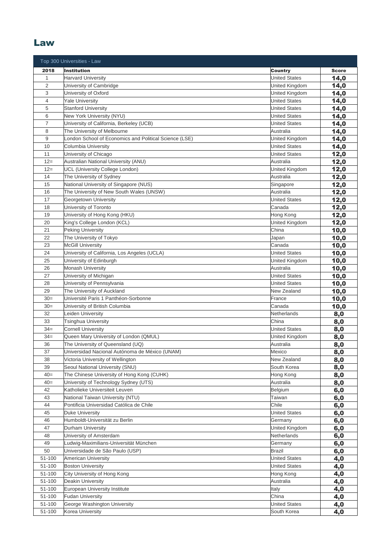#### Law

|                | Top 300 Universities - Law                               |                              |              |
|----------------|----------------------------------------------------------|------------------------------|--------------|
| 2018           | <b>Institution</b>                                       | <b>Country</b>               | <b>Score</b> |
| $\mathbf{1}$   | <b>Harvard University</b>                                | <b>United States</b>         | 14,0         |
| $\overline{c}$ | University of Cambridge                                  | United Kingdom               | 14,0         |
| 3              | University of Oxford                                     | United Kingdom               | 14,0         |
| 4              | <b>Yale University</b>                                   | <b>United States</b>         | 14,0         |
| 5              | <b>Stanford University</b>                               | <b>United States</b>         | 14,0         |
| 6              | New York University (NYU)                                | <b>United States</b>         | 14,0         |
| 7              | University of California, Berkeley (UCB)                 | <b>United States</b>         | 14,0         |
| 8              | The University of Melbourne                              | Australia                    | 14,0         |
| 9              | London School of Economics and Political Science (LSE)   | United Kingdom               | 14,0         |
| 10             | Columbia University                                      | <b>United States</b>         | 14,0         |
| 11             | University of Chicago                                    | <b>United States</b>         | 12,0         |
| $12 =$         | Australian National University (ANU)                     | Australia                    | 12,0         |
| $12=$          | UCL (University College London)                          | United Kingdom               | 12,0         |
| 14             | The University of Sydney                                 | Australia                    | 12,0         |
| 15             | National University of Singapore (NUS)                   | Singapore                    | 12,0         |
| 16             | The University of New South Wales (UNSW)                 | Australia                    | 12,0         |
| 17             | Georgetown University                                    | <b>United States</b>         | 12,0         |
| 18             | University of Toronto                                    | Canada                       | 12,0         |
| 19             | University of Hong Kong (HKU)                            | Hong Kong                    | 12,0         |
| 20             | King's College London (KCL)                              | United Kingdom               | 12,0         |
| 21             | Peking University                                        | China                        | 10,0         |
| 22             | The University of Tokyo                                  | Japan                        | 10,0         |
| 23             | <b>McGill University</b>                                 | Canada                       | 10,0         |
| 24             | University of California, Los Angeles (UCLA)             | <b>United States</b>         | 10,0         |
| 25             | University of Edinburgh                                  | United Kingdom               | 10,0         |
| 26             | <b>Monash University</b>                                 | Australia                    | 10,0         |
| 27<br>28       | University of Michigan                                   | <b>United States</b>         | 10,0         |
| 29             | University of Pennsylvania<br>The University of Auckland | United States<br>New Zealand | 10,0         |
| $30=$          | Université Paris 1 Panthéon-Sorbonne                     | France                       | 10,0         |
| $30=$          | University of British Columbia                           | Canada                       | 10,0<br>10,0 |
| 32             | Leiden University                                        | Netherlands                  | 8,0          |
| 33             | Tsinghua University                                      | China                        | 8,0          |
| $34 =$         | <b>Cornell University</b>                                | <b>United States</b>         | 8,0          |
| $34 =$         | Queen Mary University of London (QMUL)                   | United Kingdom               | 8,0          |
| 36             | The University of Queensland (UQ)                        | Australia                    | 8,0          |
| 37             | Universidad Nacional Autónoma de México (UNAM)           | Mexico                       | 8,0          |
| 38             | Victoria University of Wellington                        | New Zealand                  | 8,0          |
| 39             | Seoul National University (SNU)                          | South Korea                  | 8,0          |
| $40=$          | The Chinese University of Hong Kong (CUHK)               | Hong Kong                    | 8,0          |
| $40=$          | University of Technology Sydney (UTS)                    | Australia                    | 8,0          |
| 42             | Katholieke Universiteit Leuven                           | Belgium                      | 6,0          |
| 43             | National Taiwan University (NTU)                         | Taiwan                       | 6,0          |
| 44             | Pontificia Universidad Católica de Chile                 | Chile                        | 6,0          |
| 45             | <b>Duke University</b>                                   | <b>United States</b>         | 6,0          |
| 46             | Humboldt-Universität zu Berlin                           | Germany                      | 6,0          |
| 47             | Durham University                                        | United Kingdom               | 6,0          |
| 48             | University of Amsterdam                                  | Netherlands                  | 6,0          |
| 49             | Ludwig-Maximilians-Universität München                   | Germany                      | 6,0          |
| 50             | Universidade de São Paulo (USP)                          | <b>Brazil</b>                | 6,0          |
| 51-100         | American University                                      | <b>United States</b>         | 4,0          |
| 51-100         | <b>Boston University</b>                                 | <b>United States</b>         | 4,0          |
| 51-100         | City University of Hong Kong                             | Hong Kong                    | 4,0          |
| 51-100         | Deakin University                                        | Australia                    | 4,0          |
| 51-100         | European University Institute                            | Italy                        | 4,0          |
| 51-100         | <b>Fudan University</b>                                  | China                        | 4,0          |
| 51-100         | George Washington University                             | <b>United States</b>         | 4,0          |
| 51-100         | Korea University                                         | South Korea                  | 4,0          |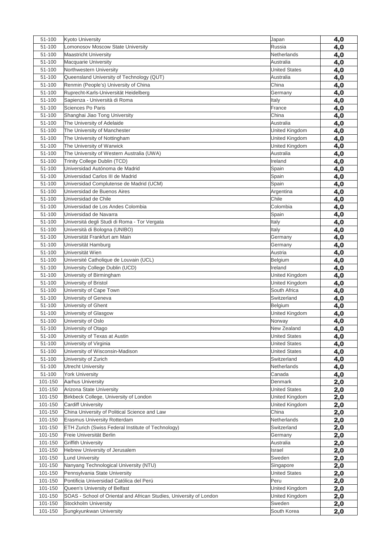| 51-100  | <b>Kyoto University</b>                                             | Japan                | 4,0        |
|---------|---------------------------------------------------------------------|----------------------|------------|
| 51-100  | Lomonosov Moscow State University                                   | Russia               | 4,0        |
| 51-100  | <b>Maastricht University</b>                                        | Netherlands          | 4,0        |
| 51-100  | Macquarie University                                                | Australia            | 4,0        |
| 51-100  | Northwestern University                                             | <b>United States</b> | 4,0        |
| 51-100  | Queensland University of Technology (QUT)                           | Australia            | 4,0        |
| 51-100  | Renmin (People's) University of China                               | China                | 4,0        |
| 51-100  | Ruprecht-Karls-Universität Heidelberg                               | Germany              | 4,0        |
| 51-100  | Sapienza - Università di Roma                                       | Italy                | 4,0        |
| 51-100  | Sciences Po Paris                                                   | France               | 4,0        |
| 51-100  | Shanghai Jiao Tong University                                       | China                | 4,0        |
| 51-100  | The University of Adelaide                                          | Australia            | 4,0        |
| 51-100  | The University of Manchester                                        | United Kingdom       | 4,0        |
| 51-100  | The University of Nottingham                                        | United Kingdom       | 4,0        |
| 51-100  | The University of Warwick                                           | United Kingdom       | 4,0        |
| 51-100  | The University of Western Australia (UWA)                           | Australia            | 4,0        |
| 51-100  | Trinity College Dublin (TCD)                                        | Ireland              | 4,0        |
| 51-100  | Universidad Autónoma de Madrid                                      | Spain                | 4,0        |
| 51-100  | Universidad Carlos III de Madrid                                    | Spain                | 4,0        |
| 51-100  | Universidad Complutense de Madrid (UCM)                             | Spain                | 4,0        |
| 51-100  | Universidad de Buenos Aires                                         | Argentina            | 4,0        |
| 51-100  | Universidad de Chile                                                | Chile                | 4,0        |
| 51-100  | Universidad de Los Andes Colombia                                   | Colombia             | 4,0        |
| 51-100  | Universidad de Navarra                                              | Spain                | 4,0        |
| 51-100  | Universitá degli Studi di Roma - Tor Vergata                        | Italy                | 4,0        |
| 51-100  | Università di Bologna (UNIBO)                                       | Italy                | 4,0        |
| 51-100  | Universität Frankfurt am Main                                       | Germany              | 4,0        |
| 51-100  | Universität Hamburg                                                 | Germany              | 4,0        |
| 51-100  | Universität Wien                                                    | Austria              | 4,0        |
| 51-100  | Université Catholique de Louvain (UCL)                              | Belgium              | 4,0        |
| 51-100  | University College Dublin (UCD)                                     | Ireland              | 4,0        |
| 51-100  | University of Birmingham                                            | United Kingdom       | 4,0        |
| 51-100  | University of Bristol                                               | United Kingdom       | 4,0        |
| 51-100  | University of Cape Town                                             | South Africa         | 4,0        |
| 51-100  | University of Geneva                                                | Switzerland          | 4,0        |
| 51-100  | University of Ghent                                                 | Belgium              | 4,0        |
| 51-100  | University of Glasgow                                               | United Kingdom       | 4,0        |
| 51-100  | University of Oslo                                                  | Norway               | 4,0        |
| 51-100  | University of Otago                                                 | New Zealand          | 4,0        |
| 51-100  | University of Texas at Austin                                       | <b>United States</b> | 4,0        |
| 51-100  | University of Virginia                                              | <b>United States</b> | 4,0        |
| 51-100  | University of Wisconsin-Madison                                     | <b>United States</b> | 4,0        |
| 51-100  | University of Zurich                                                | Switzerland          | 4,0        |
| 51-100  | <b>Utrecht University</b>                                           | Netherlands          | 4,0        |
| 51-100  | <b>York University</b>                                              | Canada               | 4,0        |
| 101-150 | Aarhus University                                                   | Denmark              | 2,0        |
| 101-150 | Arizona State University                                            | <b>United States</b> | 2,0        |
| 101-150 | Birkbeck College, University of London                              | United Kingdom       | 2,0        |
| 101-150 | <b>Cardiff University</b>                                           | United Kingdom       | 2,0        |
| 101-150 | China University of Political Science and Law                       | China                | 2,0        |
| 101-150 | Erasmus University Rotterdam                                        | Netherlands          | 2,0        |
| 101-150 | <b>ETH Zurich (Swiss Federal Institute of Technology)</b>           | Switzerland          | 2,0        |
| 101-150 | Freie Universität Berlin                                            | Germany              | 2,0        |
| 101-150 | <b>Griffith University</b>                                          | Australia            | 2,0        |
| 101-150 | Hebrew University of Jerusalem                                      | Israel               | 2,0        |
| 101-150 | <b>Lund University</b>                                              | Sweden               | 2,0        |
| 101-150 | Nanyang Technological University (NTU)                              | Singapore            | 2,0        |
| 101-150 | Pennsylvania State University                                       | <b>United States</b> | 2,0        |
| 101-150 | Pontificia Universidad Católica del Perú                            | Peru                 | 2,0        |
| 101-150 | Queen's University of Belfast                                       | United Kingdom       | 2,0        |
| 101-150 | SOAS - School of Oriental and African Studies, University of London | United Kingdom       | <u>2,0</u> |
| 101-150 | Stockholm University                                                | Sweden               | <u>2,0</u> |
| 101-150 | Sungkyunkwan University                                             | South Korea          | 2,0        |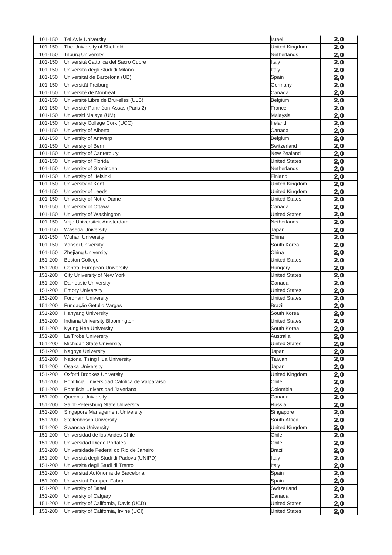| 101-150            | <b>Tel Aviv University</b>                                           | Israel                | 2,0        |
|--------------------|----------------------------------------------------------------------|-----------------------|------------|
| 101-150            | The University of Sheffield                                          | United Kingdom        | 2,0        |
| 101-150            | <b>Tilburg University</b>                                            | Netherlands           | 2,0        |
| 101-150            | Università Cattolica del Sacro Cuore                                 | Italy                 | 2,0        |
| 101-150            | Università degli Studi di Milano                                     | Italy                 | 2,0        |
| 101-150            | Universitat de Barcelona (UB)                                        | Spain                 | 2,0        |
| 101-150            | Universität Freiburg                                                 | Germany               | 2,0        |
| 101-150            | Université de Montréal                                               | Canada                | 2,0        |
| 101-150            | Université Libre de Bruxelles (ULB)                                  | Belgium               | 2,0        |
| 101-150            | Université Panthéon-Assas (Paris 2)                                  | France                | 2,0        |
| 101-150            | Universiti Malaya (UM)                                               | Malaysia              | 2,0        |
| 101-150            | University College Cork (UCC)                                        | Ireland               | 2,0        |
| 101-150            | University of Alberta                                                | Canada                | 2,0        |
| 101-150            | University of Antwerp                                                | Belgium               | 2,0        |
| 101-150            | University of Bern                                                   | Switzerland           | 2,0        |
| 101-150            | University of Canterbury                                             | New Zealand           | 2,0        |
| 101-150            | University of Florida                                                | <b>United States</b>  | 2,0        |
| 101-150            | University of Groningen                                              | Netherlands           | 2,0        |
| 101-150            | University of Helsinki                                               | Finland               | 2,0        |
| 101-150            | University of Kent                                                   | United Kingdom        | 2,0        |
| 101-150            | University of Leeds                                                  | United Kingdom        | 2,0        |
| 101-150            | University of Notre Dame                                             | <b>United States</b>  | 2,0        |
| 101-150            | University of Ottawa                                                 | Canada                | 2,0        |
| 101-150            | University of Washington                                             | <b>United States</b>  | 2,0        |
| 101-150            | Vrije Universiteit Amsterdam                                         | Netherlands           | 2,0        |
| 101-150            | Waseda University                                                    | Japan                 | 2,0        |
| 101-150            | <b>Wuhan University</b>                                              | China                 | 2,0        |
| 101-150            | Yonsei University                                                    | South Korea           | 2,0        |
| 101-150            | <b>Zhejiang University</b>                                           | China                 | 2,0        |
| 151-200            | <b>Boston College</b>                                                | <b>United States</b>  | 2,0        |
| 151-200            | Central European University                                          | Hungary               | 2,0        |
| 151-200            | City University of New York                                          | <b>United States</b>  | 2,0        |
| 151-200            | Dalhousie University                                                 | Canada                | 2,0        |
| 151-200            | <b>Emory University</b>                                              | <b>United States</b>  | 2,0        |
| 151-200            | Fordham University                                                   | <b>United States</b>  | 2,0        |
| 151-200            | Fundação Getulio Vargas                                              | <b>Brazil</b>         | 2,0        |
| 151-200            | Hanyang University                                                   | South Korea           | 2,0        |
| 151-200            | Indiana University Bloomington                                       | <b>United States</b>  | 2,0        |
| 151-200            | Kyung Hee University                                                 | South Korea           | 2,0        |
| 151-200            | La Trobe University                                                  | Australia             | 2,0        |
| 151-200            | Michigan State University                                            | <b>United States</b>  | 2,0        |
| 151-200            | Nagoya University                                                    | Japan                 | 2,0        |
| 151-200            | National Tsing Hua University                                        | Taiwan                | 2,0        |
| 151-200            | <b>Osaka University</b>                                              | Japan                 | 2,0        |
| 151-200            | Oxford Brookes University                                            | United Kingdom        | 2,0        |
| 151-200            | Pontificia Universidad Católica de Valparaíso                        | Chile                 | 2,0        |
| 151-200            | Pontificia Universidad Javeriana                                     | Colombia              | 2,0        |
| 151-200            | Queen's University                                                   | Canada                | 2,0        |
| 151-200            | Saint-Petersburg State University                                    | Russia                | 2,0        |
| 151-200            | Singapore Management University                                      | Singapore             | 2,0        |
| 151-200            | Stellenbosch University                                              | South Africa          | 2,0        |
| 151-200            | Swansea University                                                   | United Kingdom        | 2,0        |
| 151-200            | Universidad de los Andes Chile                                       | Chile                 | 2,0        |
| 151-200<br>151-200 | Universidad Diego Portales<br>Universidade Federal do Rio de Janeiro | Chile<br>Brazil       | 2,0        |
| 151-200            | Università degli Studi di Padova (UNIPD)                             | Italy                 | 2,0        |
| 151-200            | Università degli Studi di Trento                                     |                       | 2,0        |
| 151-200            | Universitat Autónoma de Barcelona                                    | Italy                 | 2,0        |
| 151-200            | Universitat Pompeu Fabra                                             | Spain<br>Spain        | 2,0        |
| 151-200            |                                                                      |                       | 2,0        |
| 151-200            | University of Basel<br>University of Calgary                         | Switzerland<br>Canada | 2,0        |
| 151-200            | University of California, Davis (UCD)                                |                       | 2,0        |
| 151-200            | University of California, Irvine (UCI)                               | <b>United States</b>  | <u>2,0</u> |
|                    |                                                                      | <b>United States</b>  | 2,0        |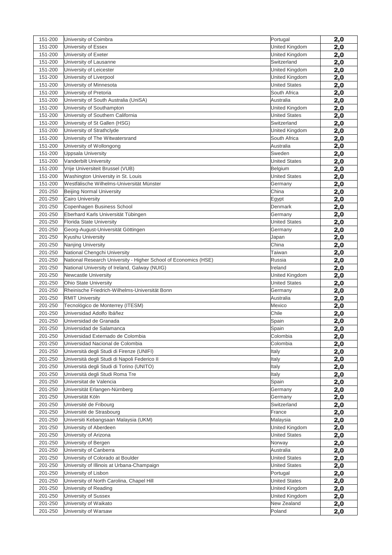| 151-200            | University of Coimbra                                           | Portugal               | 2,0        |
|--------------------|-----------------------------------------------------------------|------------------------|------------|
| 151-200            | University of Essex                                             | United Kingdom         | 2,0        |
| 151-200            | University of Exeter                                            | United Kingdom         | 2,0        |
| 151-200            | University of Lausanne                                          | Switzerland            | 2,0        |
| 151-200            | University of Leicester                                         | United Kingdom         | 2,0        |
| 151-200            | University of Liverpool                                         | United Kingdom         | 2,0        |
| 151-200            | University of Minnesota                                         | <b>United States</b>   | 2,0        |
| 151-200            | University of Pretoria                                          | South Africa           | <u>2,0</u> |
| 151-200            | University of South Australia (UniSA)                           | Australia              | 2,0        |
| 151-200            | University of Southampton                                       | United Kingdom         | 2,0        |
| 151-200            | University of Southern California                               | <b>United States</b>   | 2,0        |
| 151-200            | University of St Gallen (HSG)                                   | Switzerland            | 2,0        |
| 151-200            | University of Strathclyde                                       | United Kingdom         | 2,0        |
| 151-200            | University of The Witwatersrand                                 | South Africa           | 2,0        |
| 151-200            | University of Wollongong                                        | Australia              | 2,0        |
| 151-200            | <b>Uppsala University</b>                                       | Sweden                 | 2,0        |
| 151-200            | Vanderbilt University                                           | <b>United States</b>   | 2,0        |
| 151-200            | Vrije Universiteit Brussel (VUB)                                | Belgium                | 2,0        |
| 151-200            | Washington University in St. Louis                              | <b>United States</b>   | 2,0        |
| 151-200            | Westfälische Wilhelms-Universität Münster                       | Germany                | 2,0        |
| 201-250            | <b>Beijing Normal University</b>                                | China                  | 2,0        |
| 201-250            | <b>Cairo University</b>                                         | Egypt                  | 2,0        |
| 201-250            | Copenhagen Business School                                      | Denmark                | 2,0        |
| 201-250            | Eberhard Karls Universität Tübingen                             | Germany                | 2,0        |
| 201-250            | Florida State University                                        | <b>United States</b>   | 2,0        |
| 201-250            | Georg-August-Universität Göttingen                              | Germany                | 2,0        |
| 201-250            | Kyushu University                                               | Japan                  | 2,0        |
| 201-250            | Nanjing University                                              | China                  | 2,0        |
| 201-250            | National Chengchi University                                    | Taiwan                 | 2,0        |
| 201-250            | National Research University - Higher School of Economics (HSE) | Russia                 | 2,0        |
| 201-250            | National University of Ireland, Galway (NUIG)                   | Ireland                | 2,0        |
| 201-250            | <b>Newcastle University</b>                                     | United Kingdom         | 2,0        |
| 201-250            | <b>Ohio State University</b>                                    | <b>United States</b>   | 2,0        |
| 201-250            | Rheinische Friedrich-Wilhelms-Universität Bonn                  | Germany                | 2,0        |
| 201-250            | <b>RMIT University</b>                                          | Australia              | 2,0        |
| 201-250            | Tecnológico de Monterrey (ITESM)                                | Mexico                 | 2,0        |
| 201-250            | Universidad Adolfo Ibáñez                                       | Chile                  | 2,0        |
| 201-250            | Universidad de Granada                                          | Spain                  | 2,0        |
| 201-250            | Universidad de Salamanca                                        | Spain                  | 2,0        |
| 201-250            | Universidad Externado de Colombia                               | Colombia               | 2,0        |
| 201-250            | Universidad Nacional de Colombia                                | Colombia               | 2,0        |
| 201-250            | Università degli Studi di Firenze (UNIFI)                       | Italy                  | 2,0        |
| 201-250            | Università degli Studi di Napoli Federico II                    | Italy                  | 2,0        |
| 201-250            | Università degli Studi di Torino (UNITO)                        | Italy                  | 2,0        |
| 201-250<br>201-250 | Università degli Studi Roma Tre<br>Universitat de Valencia      | Italy                  | 2,0        |
|                    |                                                                 | Spain                  | 2,0        |
| 201-250            | Universität Erlangen-Nürnberg                                   | Germany                | 2,0        |
| 201-250<br>201-250 | Universität Köln<br>Université de Fribourg                      | Germany<br>Switzerland | 2,0        |
| 201-250            | Université de Strasbourg                                        | France                 | 2,0        |
| 201-250            | Universiti Kebangsaan Malaysia (UKM)                            | Malaysia               | 2,0        |
| 201-250            | University of Aberdeen                                          | United Kingdom         | 2,0        |
| 201-250            | University of Arizona                                           | <b>United States</b>   | 2,0        |
| 201-250            | University of Bergen                                            | Norway                 | 2,0<br>2,0 |
| 201-250            | University of Canberra                                          | Australia              | 2,0        |
| 201-250            | University of Colorado at Boulder                               | <b>United States</b>   | 2,0        |
| 201-250            | University of Illinois at Urbana-Champaign                      | <b>United States</b>   | 2,0        |
| 201-250            | University of Lisbon                                            | Portugal               | 2,0        |
| 201-250            | University of North Carolina, Chapel Hill                       | <b>United States</b>   | 2,0        |
| 201-250            | University of Reading                                           | United Kingdom         | 2,0        |
| 201-250            | University of Sussex                                            | United Kingdom         | 2,0        |
| 201-250            | University of Waikato                                           | New Zealand            |            |
| 201-250            | University of Warsaw                                            | Poland                 | 2,0<br>2,0 |
|                    |                                                                 |                        |            |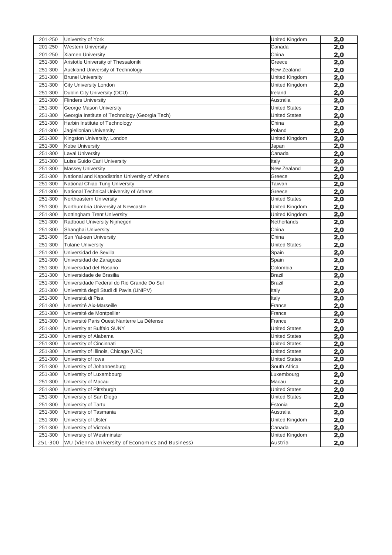| 201-250 | University of York                               | United Kingdom       | 2,0        |
|---------|--------------------------------------------------|----------------------|------------|
| 201-250 | Western University                               | Canada               | 2,0        |
| 201-250 | Xiamen University                                | China                | 2,0        |
| 251-300 | Aristotle University of Thessaloniki             | Greece               | 2,0        |
| 251-300 | <b>Auckland University of Technology</b>         | New Zealand          | 2,0        |
| 251-300 | <b>Brunel University</b>                         | United Kingdom       | 2,0        |
| 251-300 | City University London                           | United Kingdom       | 2,0        |
| 251-300 | Dublin City University (DCU)                     | Ireland              | 2,0        |
| 251-300 | <b>Flinders University</b>                       | Australia            | 2,0        |
| 251-300 | George Mason University                          | <b>United States</b> | 2,0        |
| 251-300 | Georgia Institute of Technology (Georgia Tech)   | <b>United States</b> | 2,0        |
| 251-300 | Harbin Institute of Technology                   | China                | 2,0        |
| 251-300 | Jagiellonian University                          | Poland               | 2,0        |
| 251-300 | Kingston University, London                      | United Kingdom       | 2,0        |
| 251-300 | Kobe University                                  | Japan                | 2,0        |
| 251-300 | Laval University                                 | Canada               | 2,0        |
| 251-300 | Luiss Guido Carli University                     | Italy                | 2,0        |
| 251-300 | <b>Massey University</b>                         | New Zealand          | 2,0        |
| 251-300 | National and Kapodistrian University of Athens   | Greece               | 2,0        |
| 251-300 | National Chiao Tung University                   | Taiwan               | 2,0        |
| 251-300 | National Technical University of Athens          | Greece               | 2,0        |
| 251-300 | Northeastern University                          | <b>United States</b> | 2,0        |
| 251-300 | Northumbria University at Newcastle              | United Kingdom       | 2,0        |
| 251-300 | Nottingham Trent University                      | United Kingdom       | 2,0        |
| 251-300 | Radboud University Nijmegen                      | Netherlands          | 2,0        |
| 251-300 | Shanghai University                              | China                | 2,0        |
| 251-300 | Sun Yat-sen University                           | China                | 2,0        |
| 251-300 | <b>Tulane University</b>                         | <b>United States</b> | 2,0        |
| 251-300 | Universidad de Sevilla                           | Spain                | 2,0        |
| 251-300 | Universidad de Zaragoza                          | Spain                | 2,0        |
| 251-300 | Universidad del Rosario                          | Colombia             | 2,0        |
| 251-300 | Universidade de Brasilia                         | <b>Brazil</b>        | 2,0        |
| 251-300 | Universidade Federal do Rio Grande Do Sul        | <b>Brazil</b>        | 2,0        |
| 251-300 | Università degli Studi di Pavia (UNIPV)          | Italy                | 2,0        |
| 251-300 | Università di Pisa                               | Italy                | 2,0        |
| 251-300 | Université Aix-Marseille                         | France               | 2,0        |
| 251-300 | Université de Montpellier                        | France               | 2,0        |
| 251-300 | Université Paris Ouest Nanterre La Défense       | France               | 2,0        |
| 251-300 | University at Buffalo SUNY                       | <b>United States</b> | 2,0        |
| 251-300 | University of Alabama                            | <b>United States</b> | 2,0        |
| 251-300 | University of Cincinnati                         | <b>United States</b> | 2,0        |
| 251-300 | University of Illinois, Chicago (UIC)            | <b>United States</b> | 2,0        |
| 251-300 | University of Iowa                               | <b>United States</b> | 2,0        |
| 251-300 | University of Johannesburg                       | South Africa         | <u>2,0</u> |
| 251-300 | University of Luxembourg                         | Luxembourg           | 2,0        |
| 251-300 | University of Macau                              | Macau                | 2,0        |
| 251-300 | University of Pittsburgh                         | <b>United States</b> | 2,0        |
| 251-300 | University of San Diego                          | <b>United States</b> | 2,0        |
| 251-300 | University of Tartu                              | Estonia              | 2,0        |
| 251-300 | University of Tasmania                           | Australia            | <u>2,0</u> |
| 251-300 | University of Ulster                             | United Kingdom       | <u>2,0</u> |
| 251-300 | University of Victoria                           | Canada               | 2,0        |
| 251-300 | University of Westminster                        | United Kingdom       | 2,0        |
| 251-300 | WU (Vienna University of Economics and Business) | Austria              | <u>2,0</u> |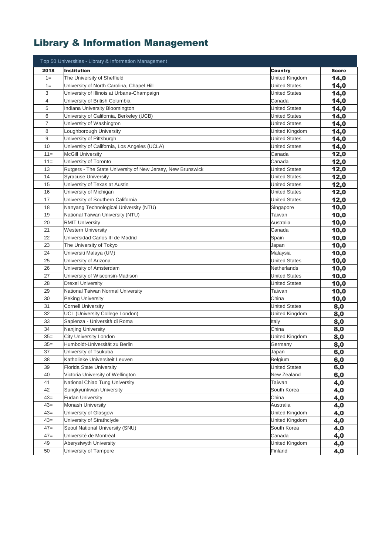# Library & Information Management

|        | Top 50 Universities - Library & Information Management      |                      |              |
|--------|-------------------------------------------------------------|----------------------|--------------|
| 2018   | <b>Institution</b>                                          | <b>Country</b>       | <b>Score</b> |
| $1=$   | The University of Sheffield                                 | United Kingdom       | 14,0         |
| $1=$   | University of North Carolina, Chapel Hill                   | <b>United States</b> | 14,0         |
| 3      | University of Illinois at Urbana-Champaign                  | <b>United States</b> | 14,0         |
| 4      | University of British Columbia                              | Canada               | 14,0         |
| 5      | Indiana University Bloomington                              | <b>United States</b> | 14,0         |
| 6      | University of California, Berkeley (UCB)                    | <b>United States</b> | 14,0         |
| 7      | University of Washington                                    | <b>United States</b> | 14,0         |
| 8      | Loughborough University                                     | United Kingdom       | 14,0         |
| 9      | University of Pittsburgh                                    | <b>United States</b> | 14,0         |
| 10     | University of California, Los Angeles (UCLA)                | <b>United States</b> | 14,0         |
| $11 =$ | <b>McGill University</b>                                    | Canada               | 12,0         |
| $11 =$ | University of Toronto                                       | Canada               | 12,0         |
| 13     | Rutgers - The State University of New Jersey, New Brunswick | <b>United States</b> | 12,0         |
| 14     | <b>Syracuse University</b>                                  | <b>United States</b> | 12,0         |
| 15     | University of Texas at Austin                               | <b>United States</b> | 12,0         |
| 16     | University of Michigan                                      | <b>United States</b> | 12,0         |
| 17     | University of Southern California                           | <b>United States</b> | 12,0         |
| 18     | Nanyang Technological University (NTU)                      | Singapore            | 10,0         |
| 19     | National Taiwan University (NTU)                            | Taiwan               | 10,0         |
| 20     | <b>RMIT University</b>                                      | Australia            | 10,0         |
| 21     | <b>Western University</b>                                   | Canada               | 10,0         |
| 22     | Universidad Carlos III de Madrid                            | Spain                | 10,0         |
| 23     | The University of Tokyo                                     | Japan                | 10,0         |
| 24     | Universiti Malaya (UM)                                      | Malaysia             | 10,0         |
| 25     | University of Arizona                                       | <b>United States</b> | 10,0         |
| 26     | University of Amsterdam                                     | Netherlands          | 10,0         |
| 27     | University of Wisconsin-Madison                             | <b>United States</b> | 10,0         |
| 28     | <b>Drexel University</b>                                    | <b>United States</b> | 10,0         |
| 29     | National Taiwan Normal University                           | Taiwan               | 10,0         |
| 30     | <b>Peking University</b>                                    | China                | 10,0         |
| 31     | <b>Cornell University</b>                                   | <b>United States</b> | 8,0          |
| 32     | UCL (University College London)                             | United Kingdom       | 8,0          |
| 33     | Sapienza - Università di Roma                               | Italy                | 8,0          |
| 34     | Nanjing University                                          | China                | 8,0          |
| $35=$  | City University London                                      | United Kingdom       | 8,0          |
| $35=$  | Humboldt-Universität zu Berlin                              | Germany              | 8,0          |
| 37     | University of Tsukuba                                       | Japan                | 6,0          |
| 38     | Katholieke Universiteit Leuven                              | Belgium              | 6,0          |
| 39     | Florida State University                                    | <b>United States</b> | 6,0          |
| 40     | Victoria University of Wellington                           | New Zealand          | 6,0          |
| 41     | National Chiao Tung University                              | Taiwan               | 4,0          |
| 42     | Sungkyunkwan University                                     | South Korea          | 4,0          |
| $43=$  | <b>Fudan University</b>                                     | China                | 4,0          |
| $43=$  | Monash University                                           | Australia            | 4,0          |
| $43=$  | University of Glasgow                                       | United Kingdom       | 4,0          |
| $43=$  | University of Strathclyde                                   | United Kingdom       | 4,0          |
| $47 =$ | Seoul National University (SNU)                             | South Korea          | 4,0          |
| $47 =$ | Université de Montréal                                      | Canada               | 4,0          |
| 49     | Aberystwyth University                                      | United Kingdom       | 4,0          |
| 50     | University of Tampere                                       | Finland              | 4,0          |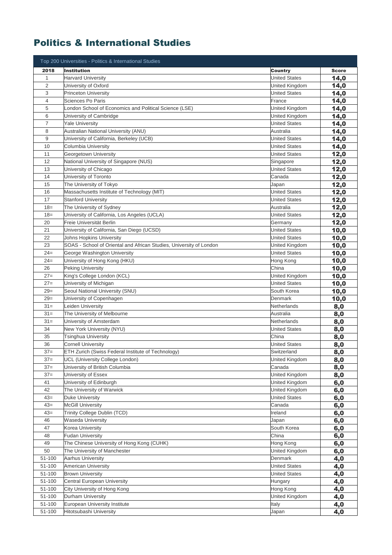## Politics & International Studies

|                | Top 200 Universities - Politics & International Studies                  |                      |              |
|----------------|--------------------------------------------------------------------------|----------------------|--------------|
| 2018           | <b>Institution</b>                                                       | Country              | <b>Score</b> |
| $\mathbf 1$    | <b>Harvard University</b>                                                | <b>United States</b> | 14,0         |
| $\overline{2}$ | University of Oxford                                                     | United Kingdom       | 14,0         |
| 3              | <b>Princeton University</b>                                              | <b>United States</b> | 14,0         |
| 4              | Sciences Po Paris                                                        | France               | 14,0         |
| 5              | London School of Economics and Political Science (LSE)                   | United Kingdom       | 14,0         |
| 6              | University of Cambridge                                                  | United Kingdom       | 14,0         |
| $\overline{7}$ | Yale University                                                          | United States        | 14,0         |
| 8              | Australian National University (ANU)                                     | Australia            | 14,0         |
| 9              | University of California, Berkeley (UCB)                                 | <b>United States</b> | 14,0         |
| 10             | Columbia University                                                      | <b>United States</b> | 14,0         |
| 11             | Georgetown University                                                    | <b>United States</b> | 12,0         |
| 12             | National University of Singapore (NUS)                                   | Singapore            | 12,0         |
| 13             | University of Chicago                                                    | <b>United States</b> | 12,0         |
| 14             | University of Toronto                                                    | Canada               |              |
| 15             | The University of Tokyo                                                  | Japan                | 12,0         |
| 16             | Massachusetts Institute of Technology (MIT)                              | <b>United States</b> | 12,0         |
| 17             |                                                                          |                      | 12,0         |
| $18 =$         | <b>Stanford University</b>                                               | <b>United States</b> | 12,0         |
|                | The University of Sydney                                                 | Australia            | 12,0         |
| $18 =$<br>20   | University of California, Los Angeles (UCLA)<br>Freie Universität Berlin | United States        | 12,0         |
|                |                                                                          | Germany              | 12,0         |
| 21             | University of California, San Diego (UCSD)                               | <b>United States</b> | 10,0         |
| 22             | Johns Hopkins University                                                 | United States        | 10,0         |
| 23             | SOAS - School of Oriental and African Studies, University of London      | United Kingdom       | 10,0         |
| $24 =$         | George Washington University                                             | United States        | 10,0         |
| $24=$          | University of Hong Kong (HKU)                                            | Hong Kong            | 10,0         |
| 26             | <b>Peking University</b>                                                 | China                | 10,0         |
| $27=$          | King's College London (KCL)                                              | United Kingdom       | 10,0         |
| $27=$          | University of Michigan                                                   | <b>United States</b> | 10,0         |
| $29=$          | Seoul National University (SNU)                                          | South Korea          | 10,0         |
| $29=$          | University of Copenhagen                                                 | Denmark              | 10,0         |
| $31 =$         | Leiden University                                                        | Netherlands          | 8,0          |
| $31 =$         | The University of Melbourne                                              | Australia            | 8,0          |
| $31 =$         | University of Amsterdam                                                  | Netherlands          | 8,0          |
| 34             | New York University (NYU)                                                | <b>United States</b> | 8,0          |
| 35             | Tsinghua University                                                      | China                | 8,0          |
| 36             | <b>Cornell University</b>                                                | <b>United States</b> | 8,0          |
| $37=$          | ETH Zurich (Swiss Federal Institute of Technology)                       | Switzerland          | 8,0          |
| $37=$          | UCL (University College London)                                          | United Kingdom       | 8,0          |
| $37=$          | University of British Columbia                                           | Canada               | 8,0          |
| $37=$          | University of Essex                                                      | United Kingdom       | 8,0          |
| 41             | University of Edinburgh                                                  | United Kingdom       | 6,0          |
| 42             | The University of Warwick                                                | United Kingdom       | 6,0          |
| $43=$          | Duke University                                                          | <b>United States</b> | 6,0          |
| $43=$          | <b>McGill University</b>                                                 | Canada               | 6,0          |
| $43=$          | Trinity College Dublin (TCD)                                             | Ireland              | 6,0          |
| 46             | Waseda University                                                        | Japan                | 6,0          |
| 47             | Korea University                                                         | South Korea          | 6,0          |
| 48             | <b>Fudan University</b>                                                  | China                | 6,0          |
| 49             | The Chinese University of Hong Kong (CUHK)                               | Hong Kong            | 6,0          |
| 50             | The University of Manchester                                             | United Kingdom       | 6,0          |
| 51-100         | Aarhus University                                                        | Denmark              | 4,0          |
| 51-100         | <b>American University</b>                                               | <b>United States</b> | 4,0          |
| 51-100         | <b>Brown University</b>                                                  | <b>United States</b> | 4,0          |
| 51-100         | Central European University                                              | Hungary              | 4,0          |
| 51-100         | City University of Hong Kong                                             | Hong Kong            | 4,0          |
| 51-100         | Durham University                                                        | United Kingdom       | 4,0          |
| 51-100         | European University Institute                                            | Italy                | 4,0          |
| 51-100         | Hitotsubashi University                                                  | Japan                | 4,0          |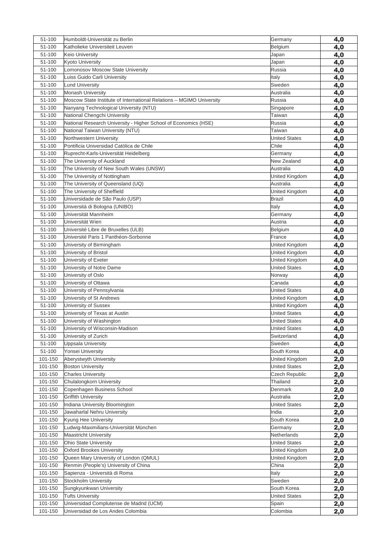| 51-100           | Humboldt-Universität zu Berlin                                       | Germany                       | 4,0        |
|------------------|----------------------------------------------------------------------|-------------------------------|------------|
| 51-100           | Katholieke Universiteit Leuven                                       | Belgium                       | 4,0        |
| 51-100           | Keio University                                                      | Japan                         | 4,0        |
| 51-100           | <b>Kyoto University</b>                                              | Japan                         | 4,0        |
| 51-100           | Lomonosov Moscow State University                                    | Russia                        | 4,0        |
| 51-100           | Luiss Guido Carli University                                         | Italy                         | 4,0        |
| 51-100           | <b>Lund University</b>                                               | Sweden                        | 4,0        |
| 51-100           | <b>Monash University</b>                                             | Australia                     | 4,0        |
| 51-100           | Moscow State Institute of International Relations - MGIMO University | Russia                        | 4,0        |
| 51-100           | Nanyang Technological University (NTU)                               | Singapore                     | 4,0        |
| 51-100           | National Chengchi University                                         | Taiwan                        | 4,0        |
| 51-100           | National Research University - Higher School of Economics (HSE)      | Russia                        | 4,0        |
| 51-100           | National Taiwan University (NTU)                                     | Taiwan                        | 4,0        |
| 51-100           | Northwestern University                                              | <b>United States</b>          | 4,0        |
| 51-100           | Pontificia Universidad Católica de Chile                             | Chile                         | 4,0        |
| 51-100           | Ruprecht-Karls-Universität Heidelberg                                | Germany                       | 4,0        |
| 51-100           | The University of Auckland                                           | New Zealand                   | 4,0        |
| 51-100           | The University of New South Wales (UNSW)                             | Australia                     | 4,0        |
| 51-100           | The University of Nottingham                                         | United Kingdom                | 4,0        |
| 51-100           | The University of Queensland (UQ)                                    | Australia                     | 4,0        |
| 51-100           | The University of Sheffield                                          | United Kingdom                | 4,0        |
| 51-100           | Universidade de São Paulo (USP)                                      | <b>Brazil</b>                 | 4,0        |
| 51-100           | Università di Bologna (UNIBO)                                        | Italy                         | 4,0        |
| 51-100           | Universität Mannheim                                                 | Germany                       | 4,0        |
| 51-100           | Universität Wien                                                     | Austria                       | 4,0        |
| 51-100           | Université Libre de Bruxelles (ULB)                                  | Belgium                       | 4,0        |
| 51-100           | Université Paris 1 Panthéon-Sorbonne                                 | France                        | 4,0        |
| 51-100           | University of Birmingham                                             | United Kingdom                | 4,0        |
| 51-100           | University of Bristol                                                | United Kingdom                | 4,0        |
| 51-100           | University of Exeter                                                 | United Kingdom                | 4,0        |
| 51-100           | University of Notre Dame                                             | <b>United States</b>          | 4,0        |
| 51-100           | University of Oslo                                                   | Norway                        | 4,0        |
| 51-100           | University of Ottawa                                                 | Canada                        | 4,0        |
| 51-100           | University of Pennsylvania                                           | <b>United States</b>          | 4,0        |
| 51-100           | University of St Andrews                                             | United Kingdom                | 4,0        |
| 51-100           | University of Sussex                                                 | United Kingdom                | 4,0        |
| 51-100           | University of Texas at Austin                                        | <b>United States</b>          | 4,0        |
| 51-100           | University of Washington                                             | <b>United States</b>          | 4,0        |
| 51-100<br>51-100 | University of Wisconsin-Madison                                      | <b>United States</b>          | 4,0        |
| 51-100           | University of Zurich                                                 | Switzerland<br>Sweden         | 4,0        |
| 51-100           | Uppsala University<br>Yonsei University                              |                               | 4,0        |
| 101-150          | Aberystwyth University                                               | South Korea<br>United Kingdom | 4,0        |
| 101-150          | <b>Boston University</b>                                             | <b>United States</b>          | 2,0        |
| 101-150          | <b>Charles University</b>                                            | <b>Czech Republic</b>         | 2,0<br>2,0 |
| 101-150          | Chulalongkorn University                                             | Thailand                      |            |
| 101-150          | Copenhagen Business School                                           | Denmark                       | 2,0<br>2,0 |
| 101-150          | <b>Griffith University</b>                                           | Australia                     | 2,0        |
| 101-150          | Indiana University Bloomington                                       | <b>United States</b>          | 2,0        |
| 101-150          | Jawaharlal Nehru University                                          | India                         | 2,0        |
| 101-150          | Kyung Hee University                                                 | South Korea                   | 2,0        |
| 101-150          | Ludwig-Maximilians-Universität München                               | Germany                       | 2,0        |
| 101-150          | <b>Maastricht University</b>                                         | Netherlands                   | 2,0        |
| 101-150          | Ohio State University                                                | <b>United States</b>          | 2,0        |
| 101-150          | <b>Oxford Brookes University</b>                                     | United Kingdom                | 2,0        |
| 101-150          | Queen Mary University of London (QMUL)                               | United Kingdom                | 2,0        |
| 101-150          | Renmin (People's) University of China                                | China                         | 2,0        |
| 101-150          | Sapienza - Università di Roma                                        | Italy                         | 2,0        |
| 101-150          | <b>Stockholm University</b>                                          | Sweden                        | 2,0        |
| 101-150          | Sungkyunkwan University                                              | South Korea                   | <u>2,0</u> |
| 101-150          | <b>Tufts University</b>                                              | <b>United States</b>          | 2,0        |
| 101-150          | Universidad Complutense de Madrid (UCM)                              | Spain                         | 2,0        |
| 101-150          | Universidad de Los Andes Colombia                                    | Colombia                      | 2,0        |
|                  |                                                                      |                               |            |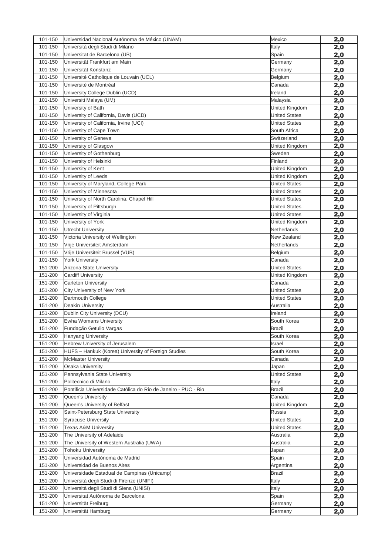| 101-150 | Universidad Nacional Autónoma de México (UNAM)                 | Mexico               | 2,0        |
|---------|----------------------------------------------------------------|----------------------|------------|
| 101-150 | Università degli Studi di Milano                               | Italy                | 2,0        |
| 101-150 | Universitat de Barcelona (UB)                                  | Spain                | 2,0        |
| 101-150 | Universität Frankfurt am Main                                  | Germany              | 2,0        |
| 101-150 | Universität Konstanz                                           | Germany              | 2,0        |
| 101-150 | Université Catholique de Louvain (UCL)                         | Belgium              | 2,0        |
| 101-150 | Université de Montréal                                         | Canada               | 2,0        |
| 101-150 | University College Dublin (UCD)                                | Ireland              | 2,0        |
| 101-150 | Universiti Malaya (UM)                                         | Malaysia             | 2,0        |
| 101-150 | University of Bath                                             | United Kingdom       | 2,0        |
| 101-150 | University of California, Davis (UCD)                          | <b>United States</b> | 2,0        |
| 101-150 | University of California, Irvine (UCI)                         | <b>United States</b> | 2,0        |
| 101-150 | University of Cape Town                                        | South Africa         | 2,0        |
| 101-150 | University of Geneva                                           | Switzerland          | 2,0        |
| 101-150 | University of Glasgow                                          | United Kingdom       | 2,0        |
| 101-150 | University of Gothenburg                                       | Sweden               | 2,0        |
| 101-150 | University of Helsinki                                         | Finland              | 2,0        |
| 101-150 | University of Kent                                             | United Kingdom       | 2,0        |
| 101-150 | University of Leeds                                            | United Kingdom       | 2,0        |
| 101-150 | University of Maryland, College Park                           | <b>United States</b> | 2,0        |
| 101-150 | University of Minnesota                                        | <b>United States</b> | 2,0        |
| 101-150 | University of North Carolina, Chapel Hill                      | <b>United States</b> | 2,0        |
| 101-150 | University of Pittsburgh                                       | <b>United States</b> | 2,0        |
| 101-150 | University of Virginia                                         | <b>United States</b> | 2,0        |
| 101-150 | University of York                                             | United Kingdom       | 2,0        |
| 101-150 | <b>Utrecht University</b>                                      | Netherlands          | 2,0        |
| 101-150 | Victoria University of Wellington                              | New Zealand          | 2,0        |
| 101-150 | Vrije Universiteit Amsterdam                                   | Netherlands          | 2,0        |
| 101-150 | Vrije Universiteit Brussel (VUB)                               | <b>Belgium</b>       | 2,0        |
| 101-150 | <b>York University</b>                                         | Canada               | 2,0        |
| 151-200 | Arizona State University                                       | <b>United States</b> | 2,0        |
| 151-200 | <b>Cardiff University</b>                                      | United Kingdom       | 2,0        |
| 151-200 | <b>Carleton University</b>                                     | Canada               | 2,0        |
| 151-200 | City University of New York                                    | <b>United States</b> | 2,0        |
| 151-200 | Dartmouth College                                              | <b>United States</b> | 2,0        |
| 151-200 | Deakin University                                              | Australia            | 2,0        |
| 151-200 | Dublin City University (DCU)                                   | Ireland              | 2,0        |
| 151-200 | Ewha Womans University                                         | South Korea          | 2,0        |
| 151-200 | Fundação Getulio Vargas                                        | <b>Brazil</b>        | 2,0        |
| 151-200 | Hanyang University                                             | South Korea          | 2,0        |
| 151-200 | Hebrew University of Jerusalem                                 | Israel               | 2,0        |
| 151-200 | HUFS - Hankuk (Korea) University of Foreign Studies            | South Korea          |            |
| 151-200 | <b>McMaster University</b>                                     | Canada               | 2,0        |
| 151-200 | Osaka University                                               |                      | 2,0        |
| 151-200 |                                                                | Japan                | 2,0        |
| 151-200 | Pennsylvania State University<br>Politecnico di Milano         | <b>United States</b> | 2,0        |
|         |                                                                | Italy                | <u>2,0</u> |
| 151-200 | Pontificia Universidade Católica do Rio de Janeiro - PUC - Rio | Brazil               | 2,0        |
| 151-200 | Queen's University                                             | Canada               | 2,0        |
| 151-200 | Queen's University of Belfast                                  | United Kingdom       | 2,0        |
| 151-200 | Saint-Petersburg State University                              | Russia               | 2,0        |
| 151-200 | <b>Syracuse University</b>                                     | <b>United States</b> | 2,0        |
| 151-200 | Texas A&M University                                           | <b>United States</b> | 2,0        |
| 151-200 | The University of Adelaide                                     | Australia            | 2,0        |
| 151-200 | The University of Western Australia (UWA)                      | Australia            | 2,0        |
| 151-200 | <b>Tohoku University</b>                                       | Japan                | 2,0        |
| 151-200 | Universidad Autónoma de Madrid                                 | Spain                | 2,0        |
| 151-200 | Universidad de Buenos Aires                                    | Argentina            | 2,0        |
| 151-200 | Universidade Estadual de Campinas (Unicamp)                    | <b>Brazil</b>        | 2,0        |
| 151-200 | Università degli Studi di Firenze (UNIFI)                      | Italy                | <u>2,0</u> |
| 151-200 | Università degli Studi di Siena (UNISI)                        | Italy                | 2,0        |
| 151-200 | Universitat Autónoma de Barcelona                              | Spain                | 2,0        |
| 151-200 | Universität Freiburg                                           | Germany              | 2,0        |
| 151-200 | Universität Hamburg                                            | Germany              | 2,0        |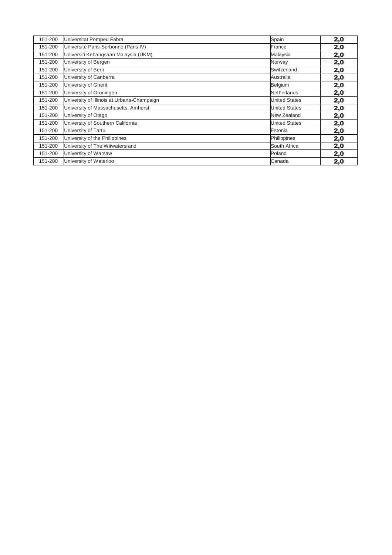| 151-200 | Universitat Pompeu Fabra                   | Spain                | 2,0 |
|---------|--------------------------------------------|----------------------|-----|
| 151-200 | Université Paris-Sorbonne (Paris IV)       | France               | 2,0 |
| 151-200 | Universiti Kebangsaan Malaysia (UKM)       | Malaysia             | 2,0 |
| 151-200 | University of Bergen                       | Norway               | 2,0 |
| 151-200 | University of Bern                         | Switzerland          | 2,0 |
| 151-200 | University of Canberra                     | Australia            | 2,0 |
| 151-200 | University of Ghent                        | Belgium              | 2,0 |
| 151-200 | University of Groningen                    | Netherlands          | 2,0 |
| 151-200 | University of Illinois at Urbana-Champaign | <b>United States</b> | 2,0 |
| 151-200 | University of Massachusetts, Amherst       | <b>United States</b> | 2,0 |
| 151-200 | University of Otago                        | New Zealand          | 2,0 |
| 151-200 | University of Southern California          | <b>United States</b> | 2,0 |
| 151-200 | University of Tartu                        | Estonia              | 2,0 |
| 151-200 | University of the Philippines              | Philippines          | 2,0 |
| 151-200 | University of The Witwatersrand            | South Africa         | 2,0 |
| 151-200 | University of Warsaw                       | Poland               | 2,0 |
| 151-200 | University of Waterloo                     | Canada               | 2,0 |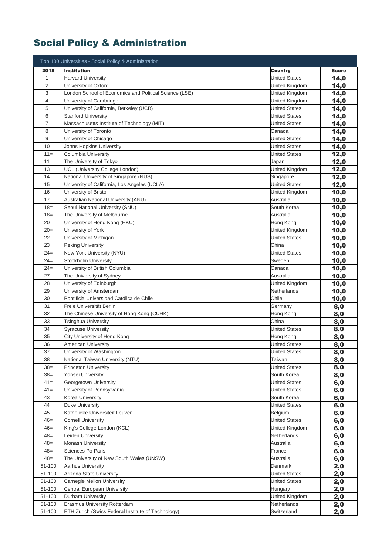## Social Policy & Administration

| Top 100 Universities - Social Policy & Administration |                                                        |                               |              |
|-------------------------------------------------------|--------------------------------------------------------|-------------------------------|--------------|
| 2018                                                  | <b>Institution</b>                                     | <b>Country</b>                | <b>Score</b> |
| $\mathbf 1$                                           | <b>Harvard University</b>                              | <b>United States</b>          | 14,0         |
| $\overline{2}$                                        | University of Oxford                                   | United Kingdom                | 14,0         |
| 3                                                     | London School of Economics and Political Science (LSE) | United Kingdom                | 14,0         |
| 4                                                     | University of Cambridge                                | United Kingdom                | 14,0         |
| 5                                                     | University of California, Berkeley (UCB)               | <b>United States</b>          | 14,0         |
| 6                                                     | <b>Stanford University</b>                             | <b>United States</b>          | 14,0         |
| $\overline{7}$                                        | Massachusetts Institute of Technology (MIT)            | <b>United States</b>          | 14,0         |
| 8                                                     | University of Toronto                                  | Canada                        | 14,0         |
| 9                                                     | University of Chicago                                  | <b>United States</b>          | 14,0         |
| 10                                                    | Johns Hopkins University                               | <b>United States</b>          | 14,0         |
| $11 =$                                                | Columbia University                                    | <b>United States</b>          | 12,0         |
| $11 =$                                                | The University of Tokyo                                | Japan                         | 12,0         |
| 13                                                    | UCL (University College London)                        | United Kingdom                | 12,0         |
| 14                                                    | National University of Singapore (NUS)                 | Singapore                     | 12,0         |
| 15                                                    | University of California, Los Angeles (UCLA)           | <b>United States</b>          | 12,0         |
| 16                                                    | University of Bristol                                  | United Kingdom                | 10,0         |
| 17                                                    | Australian National University (ANU)                   | Australia                     | 10,0         |
| $18 =$                                                | Seoul National University (SNU)                        | South Korea                   | 10,0         |
| $18 =$                                                | The University of Melbourne                            | Australia                     | 10,0         |
| $20=$                                                 | University of Hong Kong (HKU)                          | Hong Kong                     | 10,0         |
| $20=$                                                 | University of York                                     | United Kingdom                | 10,0         |
| 22                                                    | University of Michigan                                 | <b>United States</b>          | 10,0         |
| 23                                                    | <b>Peking University</b>                               | China                         | 10,0         |
| $24 =$                                                | New York University (NYU)                              | <b>United States</b>          | 10,0         |
| $24=$                                                 | Stockholm University                                   | Sweden                        | 10,0         |
| $24=$                                                 | University of British Columbia                         | Canada                        | 10,0         |
| 27                                                    | The University of Sydney                               | Australia                     | 10,0         |
| 28                                                    | University of Edinburgh                                | United Kingdom                | 10,0         |
| 29                                                    | University of Amsterdam                                | Netherlands                   | 10,0         |
| 30                                                    | Pontificia Universidad Católica de Chile               | Chile                         | 10,0         |
| 31                                                    | Freie Universität Berlin                               | Germany                       | 8,0          |
| 32                                                    | The Chinese University of Hong Kong (CUHK)             | Hong Kong                     | 8,0          |
| 33                                                    | Tsinghua University                                    | China                         | 8,0          |
| 34                                                    | <b>Syracuse University</b>                             | <b>United States</b>          | 8,0          |
| 35                                                    | City University of Hong Kong                           | Hong Kong                     | 8,0          |
| 36                                                    | American University                                    | <b>United States</b>          | 8,0          |
| 37                                                    | University of Washington                               | <b>United States</b>          | 8,0          |
| $38=$                                                 | National Taiwan University (NTU)                       | Taiwan                        | 8,0          |
| $38=$                                                 | <b>Princeton University</b>                            | <b>United States</b>          | 8,0          |
| $38=$                                                 | Yonsei University                                      | South Korea                   | 8,0          |
| $41 =$                                                | Georgetown University                                  | <b>United States</b>          | 6,0          |
| $41 =$                                                | University of Pennsylvania                             | <b>United States</b>          | 6,0          |
| 43                                                    | Korea University                                       | South Korea                   | 6,0          |
| 44                                                    | Duke University                                        | <b>United States</b>          | 6,0          |
| 45                                                    | Katholieke Universiteit Leuven                         | Belgium                       | 6,0          |
| $46=$                                                 | <b>Cornell University</b>                              | <b>United States</b>          | 6,0          |
| $46=$<br>$48 =$                                       | King's College London (KCL)                            | United Kingdom<br>Netherlands | 6,0          |
|                                                       | Leiden University<br>Monash University                 |                               | 6,0          |
| $48 =$<br>$48 =$                                      | Sciences Po Paris                                      | Australia<br>France           | 6,0          |
| $48 =$                                                | The University of New South Wales (UNSW)               | Australia                     | 6,0<br>6,0   |
| 51-100                                                | <b>Aarhus University</b>                               | Denmark                       | 2,0          |
| 51-100                                                | Arizona State University                               | <b>United States</b>          | 2,0          |
| 51-100                                                | Carnegie Mellon University                             | <b>United States</b>          | 2,0          |
| 51-100                                                | Central European University                            | Hungary                       | 2,0          |
| 51-100                                                | Durham University                                      | United Kingdom                | 2,0          |
| 51-100                                                | <b>Erasmus University Rotterdam</b>                    | Netherlands                   | 2,0          |
| 51-100                                                | ETH Zurich (Swiss Federal Institute of Technology)     | Switzerland                   | 2,0          |
|                                                       |                                                        |                               |              |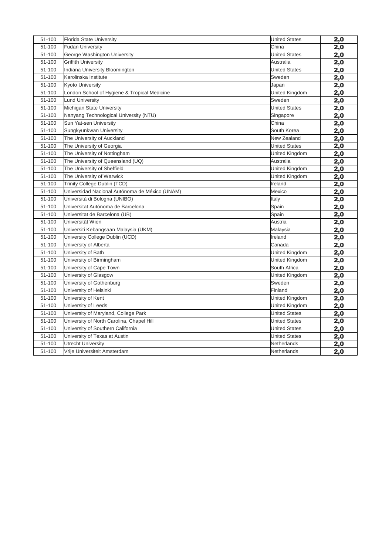| 51-100 | Florida State University                       | <b>United States</b> | 2,0 |
|--------|------------------------------------------------|----------------------|-----|
| 51-100 | <b>Fudan University</b>                        | China                | 2,0 |
| 51-100 | George Washington University                   | <b>United States</b> | 2,0 |
| 51-100 | <b>Griffith University</b>                     | Australia            | 2,0 |
| 51-100 | Indiana University Bloomington                 | <b>United States</b> | 2,0 |
| 51-100 | Karolinska Institute                           | Sweden               | 2,0 |
| 51-100 | <b>Kyoto University</b>                        | Japan                | 2,0 |
| 51-100 | London School of Hygiene & Tropical Medicine   | United Kingdom       | 2,0 |
| 51-100 | <b>Lund University</b>                         | Sweden               | 2,0 |
| 51-100 | Michigan State University                      | <b>United States</b> | 2,0 |
| 51-100 | Nanyang Technological University (NTU)         | Singapore            | 2,0 |
| 51-100 | Sun Yat-sen University                         | China                | 2,0 |
| 51-100 | Sungkyunkwan University                        | South Korea          | 2,0 |
| 51-100 | The University of Auckland                     | New Zealand          | 2,0 |
| 51-100 | The University of Georgia                      | <b>United States</b> | 2,0 |
| 51-100 | The University of Nottingham                   | United Kingdom       | 2,0 |
| 51-100 | The University of Queensland (UQ)              | Australia            | 2,0 |
| 51-100 | The University of Sheffield                    | United Kingdom       | 2,0 |
| 51-100 | The University of Warwick                      | United Kingdom       | 2,0 |
| 51-100 | Trinity College Dublin (TCD)                   | Ireland              | 2,0 |
| 51-100 | Universidad Nacional Autónoma de México (UNAM) | Mexico               | 2,0 |
| 51-100 | Università di Bologna (UNIBO)                  | Italy                | 2,0 |
| 51-100 | Universitat Autónoma de Barcelona              | Spain                | 2,0 |
| 51-100 | Universitat de Barcelona (UB)                  | Spain                | 2,0 |
| 51-100 | Universität Wien                               | Austria              | 2,0 |
| 51-100 | Universiti Kebangsaan Malaysia (UKM)           | Malaysia             | 2,0 |
| 51-100 | University College Dublin (UCD)                | Ireland              | 2,0 |
| 51-100 | University of Alberta                          | Canada               | 2,0 |
| 51-100 | University of Bath                             | United Kingdom       | 2,0 |
| 51-100 | University of Birmingham                       | United Kingdom       | 2,0 |
| 51-100 | University of Cape Town                        | South Africa         | 2,0 |
| 51-100 | University of Glasgow                          | United Kingdom       | 2,0 |
| 51-100 | University of Gothenburg                       | Sweden               | 2,0 |
| 51-100 | University of Helsinki                         | Finland              | 2,0 |
| 51-100 | University of Kent                             | United Kingdom       | 2,0 |
| 51-100 | University of Leeds                            | United Kingdom       | 2,0 |
| 51-100 | University of Maryland, College Park           | <b>United States</b> | 2,0 |
| 51-100 | University of North Carolina, Chapel Hill      | <b>United States</b> | 2,0 |
| 51-100 | University of Southern California              | <b>United States</b> | 2,0 |
| 51-100 | University of Texas at Austin                  | <b>United States</b> | 2,0 |
| 51-100 | <b>Utrecht University</b>                      | Netherlands          | 2,0 |
| 51-100 | Vrije Universiteit Amsterdam                   | Netherlands          | 2,0 |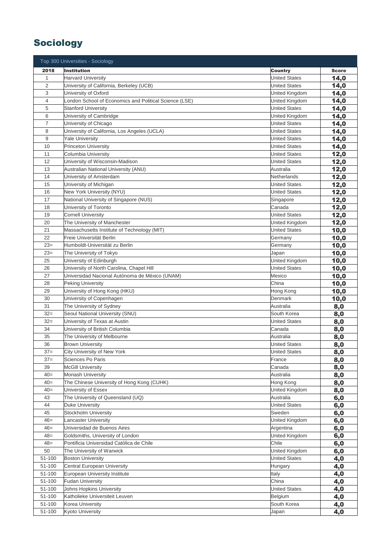### Sociology

|                | Top 300 Universities - Sociology                       |                      |              |
|----------------|--------------------------------------------------------|----------------------|--------------|
| 2018           | <b>Institution</b>                                     | Country              | <b>Score</b> |
| $\mathbf 1$    | <b>Harvard University</b>                              | <b>United States</b> | 14,0         |
| $\overline{2}$ | University of California, Berkeley (UCB)               | <b>United States</b> | 14,0         |
| 3              | University of Oxford                                   | United Kingdom       | 14,0         |
| 4              | London School of Economics and Political Science (LSE) | United Kingdom       | 14,0         |
| 5              | <b>Stanford University</b>                             | <b>United States</b> | 14,0         |
| 6              | University of Cambridge                                | United Kingdom       | 14,0         |
| $\overline{7}$ | University of Chicago                                  | <b>United States</b> | 14,0         |
| 8              | University of California, Los Angeles (UCLA)           | <b>United States</b> | 14,0         |
| 9              | <b>Yale University</b>                                 | <b>United States</b> | 14,0         |
| 10             | <b>Princeton University</b>                            | <b>United States</b> | 14,0         |
| 11             | Columbia University                                    | <b>United States</b> | 12,0         |
| 12             | University of Wisconsin-Madison                        | <b>United States</b> | 12,0         |
| 13             | Australian National University (ANU)                   | Australia            | 12,0         |
| 14             | University of Amsterdam                                | Netherlands          | 12,0         |
| 15             | University of Michigan                                 | <b>United States</b> | 12,0         |
| 16             | New York University (NYU)                              | <b>United States</b> | 12,0         |
| 17             | National University of Singapore (NUS)                 | Singapore            | 12,0         |
| 18             | University of Toronto                                  | Canada               | 12,0         |
| 19             | <b>Cornell University</b>                              | <b>United States</b> | 12,0         |
| 20             | The University of Manchester                           | United Kingdom       | 12,0         |
| 21             | Massachusetts Institute of Technology (MIT)            | <b>United States</b> | 10,0         |
| 22             | Freie Universität Berlin                               | Germany              | 10,0         |
| $23=$          | Humboldt-Universität zu Berlin                         | Germany              | 10,0         |
| $23=$          | The University of Tokyo                                | Japan                | 10,0         |
| 25             | University of Edinburgh                                | United Kingdom       | 10,0         |
| 26             | University of North Carolina, Chapel Hill              | <b>United States</b> | 10,0         |
| 27             | Universidad Nacional Autónoma de México (UNAM)         | Mexico               | 10,0         |
| 28             | <b>Peking University</b>                               | China                | 10,0         |
| 29             | University of Hong Kong (HKU)                          | Hong Kong            | 10,0         |
| 30             | University of Copenhagen                               | Denmark              | 10,0         |
| 31             | The University of Sydney                               | Australia            | 8,0          |
| $32=$          | Seoul National University (SNU)                        | South Korea          | 8,0          |
| $32=$          | University of Texas at Austin                          | <b>United States</b> | 8,0          |
| 34             | University of British Columbia                         | Canada               | 8,0          |
| 35             | The University of Melbourne                            | Australia            | 8,0          |
| 36             | <b>Brown University</b>                                | <b>United States</b> | 8,0          |
| $37=$          | City University of New York                            | <b>United States</b> | 8,0          |
| $37=$          | Sciences Po Paris                                      | France               | 8,0          |
| 39             | <b>McGill University</b>                               | Canada               | 8,0          |
| $40=$          | <b>Monash University</b>                               | Australia            | 8,0          |
| $40=$          | The Chinese University of Hong Kong (CUHK)             | Hong Kong            | 8,0          |
| $40=$          | University of Essex                                    | United Kingdom       | 8,0          |
| 43             | The University of Queensland (UQ)                      | Australia            | 6,0          |
| 44             | <b>Duke University</b>                                 | <b>United States</b> | 6,0          |
| 45             | Stockholm University                                   | Sweden               | 6,0          |
| $46=$          | Lancaster University                                   | United Kingdom       | 6,0          |
| $46=$          | Universidad de Buenos Aires                            | Argentina            | 6,0          |
| $48=$          | Goldsmiths, University of London                       | United Kingdom       | 6,0          |
| $48=$          | Pontificia Universidad Católica de Chile               | Chile                | 6,0          |
| 50             | The University of Warwick                              | United Kingdom       | 6,0          |
| 51-100         | <b>Boston University</b>                               | <b>United States</b> | 4,0          |
| 51-100         | Central European University                            | Hungary              | 4,0          |
| 51-100         | European University Institute                          | Italy                | 4,0          |
| 51-100         | <b>Fudan University</b>                                | China                | 4,0          |
| 51-100         | Johns Hopkins University                               | <b>United States</b> | 4,0          |
| 51-100         | Katholieke Universiteit Leuven                         | Belgium              | 4,0          |
| 51-100         | Korea University                                       | South Korea          | 4,0          |
| 51-100         | Kyoto University                                       | Japan                | 4,0          |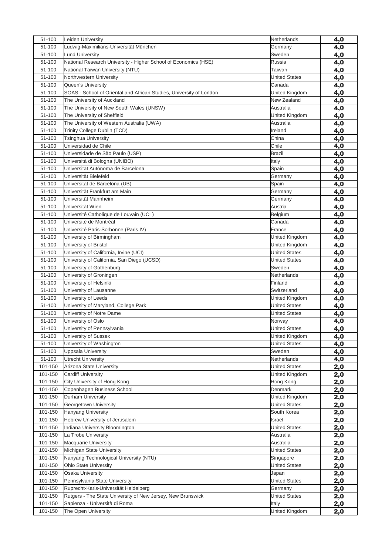| 51-100             | Leiden University                                                   | Netherlands                 | 4,0        |
|--------------------|---------------------------------------------------------------------|-----------------------------|------------|
| 51-100             | Ludwig-Maximilians-Universität München                              | Germany                     | 4,0        |
| 51-100             | <b>Lund University</b>                                              | Sweden                      | 4,0        |
| 51-100             | National Research University - Higher School of Economics (HSE)     | Russia                      | 4,0        |
| 51-100             | National Taiwan University (NTU)                                    | Taiwan                      | 4,0        |
| 51-100             | Northwestern University                                             | <b>United States</b>        | 4,0        |
| 51-100             | Queen's University                                                  | Canada                      | 4,0        |
| 51-100             | SOAS - School of Oriental and African Studies, University of London | United Kingdom              | 4,0        |
| 51-100             | The University of Auckland                                          | New Zealand                 | 4,0        |
| 51-100             | The University of New South Wales (UNSW)                            | Australia                   | 4,0        |
| 51-100             | The University of Sheffield                                         | United Kingdom              | 4,0        |
| 51-100             | The University of Western Australia (UWA)                           | Australia                   | 4,0        |
| 51-100             | Trinity College Dublin (TCD)                                        | Ireland                     | 4,0        |
| 51-100             | <b>Tsinghua University</b>                                          | China                       | 4,0        |
| 51-100             | Universidad de Chile                                                | Chile                       | 4,0        |
| 51-100             | Universidade de São Paulo (USP)                                     | <b>Brazil</b>               | 4,0        |
| 51-100             | Università di Bologna (UNIBO)                                       | Italy                       | 4,0        |
| 51-100             | Universitat Autónoma de Barcelona                                   | Spain                       | 4,0        |
| 51-100             | Universität Bielefeld                                               | Germany                     | 4,0        |
| 51-100             | Universitat de Barcelona (UB)                                       | Spain                       | 4,0        |
| 51-100             | Universität Frankfurt am Main                                       | Germany                     | 4,0        |
| 51-100             | Universität Mannheim                                                | Germany                     | 4,0        |
| 51-100             | Universität Wien                                                    | Austria                     | 4,0        |
| 51-100             | Université Catholique de Louvain (UCL)                              | Belgium                     | 4,0        |
| 51-100             | Université de Montréal                                              | Canada                      | 4,0        |
| 51-100             | Université Paris-Sorbonne (Paris IV)                                | France                      | 4,0        |
| 51-100             | University of Birmingham                                            | United Kingdom              | 4,0        |
| 51-100             | University of Bristol                                               | United Kingdom              | 4,0        |
| 51-100             | University of California, Irvine (UCI)                              | United States               | 4,0        |
| 51-100             | University of California, San Diego (UCSD)                          | <b>United States</b>        | 4,0        |
| 51-100             | University of Gothenburg                                            | Sweden                      | 4,0        |
| 51-100             | University of Groningen                                             | Netherlands                 | 4,0        |
| 51-100             | University of Helsinki                                              | Finland                     | 4,0        |
| 51-100             | University of Lausanne                                              | Switzerland                 | 4,0        |
| 51-100             | University of Leeds                                                 | United Kingdom              | 4,0        |
| 51-100             | University of Maryland, College Park                                | <b>United States</b>        | 4,0        |
| 51-100             | University of Notre Dame                                            | <b>United States</b>        | 4,0        |
| 51-100             | University of Oslo                                                  | Norway                      | 4,0        |
| 51-100             | University of Pennsylvania                                          | <b>United States</b>        | 4,0        |
| 51-100             | University of Sussex                                                | United Kingdom              | 4,0        |
| 51-100             | University of Washington                                            | <b>United States</b>        | 4,0        |
| 51-100             | <b>Uppsala University</b>                                           | Sweden                      | 4,0        |
| 51-100             | <b>Utrecht University</b>                                           | Netherlands                 | 4,0        |
| 101-150            | Arizona State University                                            | <b>United States</b>        | 2,0        |
| 101-150<br>101-150 | <b>Cardiff University</b><br>City University of Hong Kong           | United Kingdom<br>Hong Kong | 2,0        |
| 101-150            | Copenhagen Business School                                          | Denmark                     | 2,0        |
| 101-150            | Durham University                                                   | United Kingdom              | 2,0        |
| 101-150            | Georgetown University                                               | <b>United States</b>        | 2,0        |
| 101-150            | <b>Hanyang University</b>                                           | South Korea                 | 2,0        |
| 101-150            | Hebrew University of Jerusalem                                      | Israel                      | 2,0<br>2,0 |
| 101-150            | Indiana University Bloomington                                      | <b>United States</b>        | 2,0        |
| 101-150            | La Trobe University                                                 | Australia                   | 2,0        |
| 101-150            | Macquarie University                                                | Australia                   | 2,0        |
| 101-150            | Michigan State University                                           | <b>United States</b>        | 2,0        |
| 101-150            | Nanyang Technological University (NTU)                              | Singapore                   | 2,0        |
| 101-150            | Ohio State University                                               | <b>United States</b>        | 2,0        |
| 101-150            | Osaka University                                                    | Japan                       | 2,0        |
| 101-150            | Pennsylvania State University                                       | <b>United States</b>        | 2,0        |
| 101-150            | Ruprecht-Karls-Universität Heidelberg                               | Germany                     | <u>2,0</u> |
| 101-150            | Rutgers - The State University of New Jersey, New Brunswick         | <b>United States</b>        | 2,0        |
| 101-150            | Sapienza - Università di Roma                                       | Italy                       | 2,0        |
| 101-150            | The Open University                                                 | United Kingdom              | 2,0        |
|                    |                                                                     |                             |            |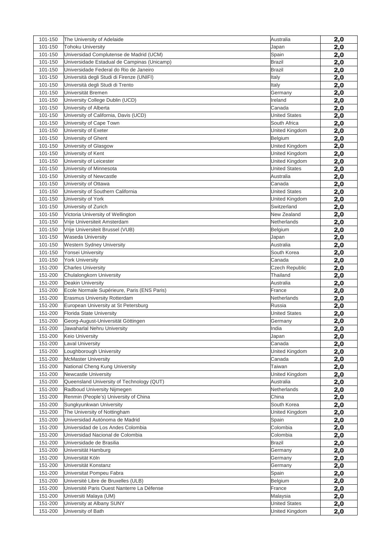| 101-150 | The University of Adelaide                  | Australia             | 2,0 |
|---------|---------------------------------------------|-----------------------|-----|
| 101-150 | <b>Tohoku University</b>                    | Japan                 | 2,0 |
| 101-150 | Universidad Complutense de Madrid (UCM)     | Spain                 | 2,0 |
| 101-150 | Universidade Estadual de Campinas (Unicamp) | <b>Brazil</b>         | 2,0 |
| 101-150 | Universidade Federal do Rio de Janeiro      | Brazil                | 2,0 |
| 101-150 | Università degli Studi di Firenze (UNIFI)   | Italy                 | 2,0 |
| 101-150 | Università degli Studi di Trento            | Italy                 | 2,0 |
| 101-150 | Universität Bremen                          | Germany               | 2,0 |
| 101-150 | University College Dublin (UCD)             | Ireland               | 2,0 |
| 101-150 | University of Alberta                       | Canada                | 2,0 |
| 101-150 | University of California, Davis (UCD)       | <b>United States</b>  | 2,0 |
| 101-150 | University of Cape Town                     | South Africa          | 2,0 |
| 101-150 | University of Exeter                        | United Kingdom        | 2,0 |
| 101-150 | University of Ghent                         | Belgium               | 2,0 |
| 101-150 | University of Glasgow                       | United Kingdom        | 2,0 |
| 101-150 | University of Kent                          | United Kingdom        | 2,0 |
| 101-150 | University of Leicester                     | United Kingdom        |     |
| 101-150 |                                             | <b>United States</b>  | 2,0 |
|         | University of Minnesota                     |                       | 2,0 |
| 101-150 | University of Newcastle                     | Australia             | 2,0 |
| 101-150 | University of Ottawa                        | Canada                | 2,0 |
| 101-150 | University of Southern California           | <b>United States</b>  | 2,0 |
| 101-150 | University of York                          | United Kingdom        | 2,0 |
| 101-150 | University of Zurich                        | Switzerland           | 2,0 |
| 101-150 | Victoria University of Wellington           | New Zealand           | 2,0 |
| 101-150 | Vrije Universiteit Amsterdam                | Netherlands           | 2,0 |
| 101-150 | Vrije Universiteit Brussel (VUB)            | Belgium               | 2,0 |
| 101-150 | <b>Waseda University</b>                    | Japan                 | 2,0 |
| 101-150 | <b>Western Sydney University</b>            | Australia             | 2,0 |
| 101-150 | Yonsei University                           | South Korea           | 2,0 |
| 101-150 | <b>York University</b>                      | Canada                | 2,0 |
| 151-200 | <b>Charles University</b>                   | <b>Czech Republic</b> | 2,0 |
| 151-200 | Chulalongkorn University                    | Thailand              | 2,0 |
| 151-200 | Deakin University                           | Australia             | 2,0 |
| 151-200 | Ecole Normale Supérieure, Paris (ENS Paris) | France                | 2,0 |
| 151-200 | <b>Erasmus University Rotterdam</b>         | Netherlands           | 2,0 |
| 151-200 | European University at St Petersburg        | Russia                | 2,0 |
| 151-200 | Florida State University                    | <b>United States</b>  | 2,0 |
| 151-200 | Georg-August-Universität Göttingen          | Germany               | 2,0 |
| 151-200 | Jawaharlal Nehru University                 | India                 | 2,0 |
| 151-200 | Keio University                             | Japan                 | 2,0 |
| 151-200 | <b>Laval University</b>                     | Canada                | 2,0 |
| 151-200 | Loughborough University                     |                       |     |
| 151-200 | <b>McMaster University</b>                  | United Kingdom        | 2,0 |
|         |                                             | Canada                | 2,0 |
| 151-200 | National Cheng Kung University              | Taiwan                | 2,0 |
| 151-200 | Newcastle University                        | United Kingdom        | 2,0 |
| 151-200 | Queensland University of Technology (QUT)   | Australia             | 2,0 |
| 151-200 | Radboud University Nijmegen                 | Netherlands           | 2,0 |
| 151-200 | Renmin (People's) University of China       | China                 | 2,0 |
| 151-200 | Sungkyunkwan University                     | South Korea           | 2,0 |
| 151-200 | The University of Nottingham                | United Kingdom        | 2,0 |
| 151-200 | Universidad Autónoma de Madrid              | Spain                 | 2,0 |
| 151-200 | Universidad de Los Andes Colombia           | Colombia              | 2,0 |
| 151-200 | Universidad Nacional de Colombia            | Colombia              | 2,0 |
| 151-200 | Universidade de Brasilia                    | Brazil                | 2,0 |
| 151-200 | Universität Hamburg                         | Germany               | 2,0 |
| 151-200 | Universität Köln                            | Germany               | 2,0 |
| 151-200 | Universität Konstanz                        | Germany               | 2,0 |
| 151-200 | Universitat Pompeu Fabra                    | Spain                 | 2,0 |
| 151-200 | Université Libre de Bruxelles (ULB)         | Belgium               | 2,0 |
| 151-200 | Université Paris Ouest Nanterre La Défense  | France                | 2,0 |
| 151-200 | Universiti Malaya (UM)                      | Malaysia              | 2,0 |
| 151-200 | University at Albany SUNY                   | <b>United States</b>  | 2,0 |
| 151-200 | University of Bath                          | United Kingdom        | 2,0 |
|         |                                             |                       |     |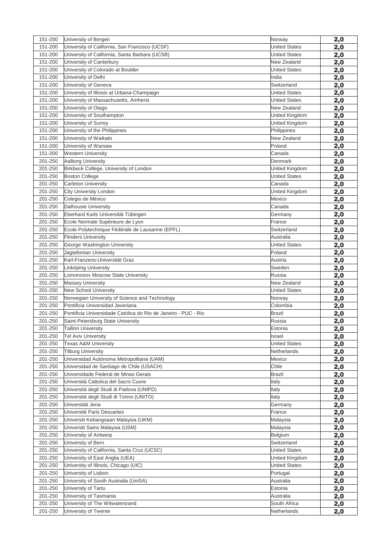| 151-200 | University of Bergen                                           | Norway               | 2,0        |
|---------|----------------------------------------------------------------|----------------------|------------|
| 151-200 | University of California, San Francisco (UCSF)                 | <b>United States</b> | 2,0        |
| 151-200 | University of California, Santa Barbara (UCSB)                 | <b>United States</b> | 2,0        |
| 151-200 | University of Canterbury                                       | New Zealand          | 2,0        |
| 151-200 | University of Colorado at Boulder                              | <b>United States</b> | 2,0        |
| 151-200 | University of Delhi                                            | India                | 2,0        |
| 151-200 | University of Geneva                                           | Switzerland          | 2,0        |
| 151-200 | University of Illinois at Urbana-Champaign                     | <b>United States</b> | <u>2,0</u> |
| 151-200 | University of Massachusetts, Amherst                           | <b>United States</b> | 2,0        |
| 151-200 | University of Otago                                            | New Zealand          | 2,0        |
| 151-200 | University of Southampton                                      | United Kingdom       | 2,0        |
| 151-200 | University of Surrey                                           | United Kingdom       | 2,0        |
| 151-200 | University of the Philippines                                  | Philippines          | 2,0        |
| 151-200 | University of Waikato                                          | New Zealand          | 2,0        |
| 151-200 | University of Warsaw                                           | Poland               | 2,0        |
| 151-200 | <b>Western University</b>                                      | Canada               | 2,0        |
| 201-250 | Aalborg University                                             | Denmark              | 2,0        |
| 201-250 | Birkbeck College, University of London                         | United Kingdom       | 2,0        |
| 201-250 | <b>Boston College</b>                                          | <b>United States</b> | 2,0        |
| 201-250 | <b>Carleton University</b>                                     | Canada               | 2,0        |
| 201-250 | City University London                                         | United Kingdom       | 2,0        |
| 201-250 | Colegio de México                                              | Mexico               | 2,0        |
| 201-250 | <b>Dalhousie University</b>                                    | Canada               | 2,0        |
| 201-250 | Eberhard Karls Universität Tübingen                            | Germany              | 2,0        |
| 201-250 | Ecole Normale Supérieure de Lyon                               | France               | 2,0        |
| 201-250 | Ecole Polytechnique Fédérale de Lausanne (EPFL)                | Switzerland          | 2,0        |
| 201-250 | <b>Flinders University</b>                                     | Australia            | 2,0        |
| 201-250 | George Washington University                                   | <b>United States</b> | 2,0        |
| 201-250 | Jagiellonian University                                        | Poland               | 2,0        |
| 201-250 | Karl-Franzens-Universität Graz                                 | Austria              | 2,0        |
| 201-250 | Linköping University                                           | Sweden               | 2,0        |
| 201-250 | Lomonosov Moscow State University                              | Russia               | 2,0        |
| 201-250 | <b>Massey University</b>                                       | New Zealand          | 2,0        |
| 201-250 | <b>New School University</b>                                   | <b>United States</b> | 2,0        |
| 201-250 | Norwegian University of Science and Technology                 | Norway               | 2,0        |
| 201-250 | Pontificia Universidad Javeriana                               | Colombia             | 2,0        |
| 201-250 | Pontificia Universidade Católica do Rio de Janeiro - PUC - Rio | <b>Brazil</b>        | 2,0        |
| 201-250 | Saint-Petersburg State University                              | Russia               | 2,0        |
| 201-250 | <b>Tallinn University</b>                                      | Estonia              | 2,0        |
| 201-250 | <b>Tel Aviv University</b>                                     | Israel               | 2,0        |
| 201-250 | <b>Texas A&amp;M University</b>                                | <b>United States</b> | 2,0        |
| 201-250 | <b>Tilburg University</b>                                      | Netherlands          | 2,0        |
| 201-250 | Universidad Autónoma Metropolitana (UAM)                       | Mexico               | 2,0        |
| 201-250 | Universidad de Santiago de Chile (USACH)                       | Chile                | 2,0        |
| 201-250 | Universidade Federal de Minas Gerais                           | Brazil               | 2,0        |
| 201-250 | Università Cattolica del Sacro Cuore                           | Italy                | 2,0        |
| 201-250 | Università degli Studi di Padova (UNIPD)                       | Italy                | 2,0        |
| 201-250 | Università degli Studi di Torino (UNITO)                       | Italy                | 2,0        |
| 201-250 | Universität Jena                                               | Germany              | 2,0        |
| 201-250 | Université Paris Descartes                                     | France               | 2,0        |
| 201-250 | Universiti Kebangsaan Malaysia (UKM)                           | Malaysia             | 2,0        |
| 201-250 | Universiti Sains Malaysia (USM)                                | Malaysia             | 2,0        |
| 201-250 | University of Antwerp                                          | Belgium              | 2,0        |
| 201-250 | University of Bern                                             | Switzerland          | 2,0        |
| 201-250 | University of California, Santa Cruz (UCSC)                    | <b>United States</b> | 2,0        |
| 201-250 | University of East Anglia (UEA)                                | United Kingdom       | 2,0        |
| 201-250 | University of Illinois, Chicago (UIC)                          | <b>United States</b> | 2,0        |
| 201-250 | University of Lisbon                                           | Portugal             | 2,0        |
| 201-250 | University of South Australia (UniSA)                          | Australia            | 2,0        |
| 201-250 | University of Tartu                                            | Estonia              | 2,0        |
| 201-250 | University of Tasmania                                         | Australia            | 2,0        |
| 201-250 | University of The Witwatersrand                                | South Africa         | 2,0        |
| 201-250 | University of Twente                                           | Netherlands          | <u>2,0</u> |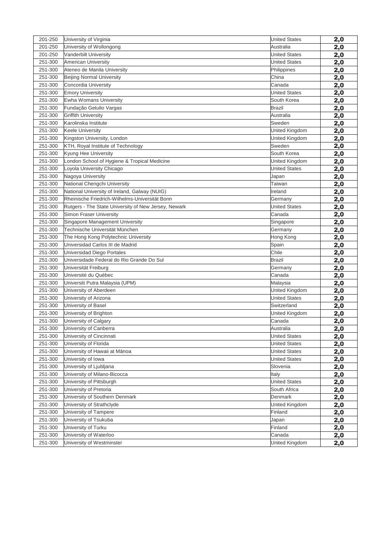| 201-250            | University of Virginia                               | <b>United States</b> | 2,0        |
|--------------------|------------------------------------------------------|----------------------|------------|
| 201-250            | University of Wollongong                             | Australia            | 2,0        |
| 201-250            | <b>Vanderbilt University</b>                         | <b>United States</b> | 2,0        |
| 251-300            | <b>American University</b>                           | <b>United States</b> | 2,0        |
| 251-300            | Ateneo de Manila University                          | Philippines          | 2,0        |
| 251-300            | Beijing Normal University                            | China                | 2,0        |
| 251-300            | Concordia University                                 | Canada               | 2,0        |
| 251-300            | <b>Emory University</b>                              | <b>United States</b> | 2,0        |
| 251-300            | Ewha Womans University                               | South Korea          | 2,0        |
| 251-300            | Fundação Getulio Vargas                              | <b>Brazil</b>        | 2,0        |
| 251-300            | <b>Griffith University</b>                           | Australia            | 2,0        |
| 251-300            | Karolinska Institute                                 | Sweden               | 2,0        |
| 251-300            | Keele University                                     | United Kingdom       | 2,0        |
| 251-300            | Kingston University, London                          | United Kingdom       | 2,0        |
| 251-300            | KTH, Royal Institute of Technology                   | Sweden               | 2,0        |
| 251-300            | Kyung Hee University                                 | South Korea          | 2,0        |
| 251-300            | London School of Hygiene & Tropical Medicine         | United Kingdom       | 2,0        |
| 251-300            | Loyola University Chicago                            | <b>United States</b> | 2,0        |
| 251-300            | Nagoya University                                    | Japan                | 2,0        |
| 251-300            | National Chengchi University                         | Taiwan               | 2,0        |
| 251-300            | National University of Ireland, Galway (NUIG)        | Ireland              | 2,0        |
| 251-300            | Rheinische Friedrich-Wilhelms-Universität Bonn       | Germany              | 2,0        |
| 251-300            | Rutgers - The State University of New Jersey, Newark | <b>United States</b> | 2,0        |
| 251-300            | <b>Simon Fraser University</b>                       | Canada               | 2,0        |
| 251-300            | Singapore Management University                      | Singapore            | 2,0        |
| 251-300            | Technische Universität München                       | Germany              | 2,0        |
| 251-300            | The Hong Kong Polytechnic University                 | Hong Kong            | 2,0        |
| 251-300            | Universidad Carlos III de Madrid                     | Spain                | 2,0        |
| 251-300            | Universidad Diego Portales                           | Chile                | 2,0        |
| 251-300            | Universidade Federal do Rio Grande Do Sul            | <b>Brazil</b>        | 2,0        |
| 251-300            | Universität Freiburg                                 | Germany              | 2,0        |
| 251-300            | Université du Québec                                 | Canada               | 2,0        |
| 251-300            | Universiti Putra Malaysia (UPM)                      | Malaysia             | 2,0        |
| 251-300            | University of Aberdeen                               | United Kingdom       | 2,0        |
| 251-300            | University of Arizona                                | <b>United States</b> | 2,0        |
| 251-300            | University of Basel                                  | Switzerland          | 2,0        |
| 251-300            | University of Brighton                               | United Kingdom       | 2,0        |
| 251-300            | University of Calgary                                | Canada               | 2,0        |
| 251-300            | University of Canberra                               | Australia            | <u>2,0</u> |
| 251-300            | University of Cincinnati                             | <b>United States</b> | 2,0        |
| 251-300            | University of Florida                                | <b>United States</b> | 2,0        |
| 251-300            | University of Hawaii at Mānoa                        | <b>United States</b> | 2,0        |
| 251-300            | University of Iowa                                   | <b>United States</b> | 2,0        |
| 251-300            | University of Ljubljana                              | Slovenia             | <u>2,0</u> |
| 251-300            | University of Milano-Bicocca                         | Italy                | 2,0        |
| 251-300            | University of Pittsburgh                             | <b>United States</b> | 2,0        |
| 251-300            | University of Pretoria                               | South Africa         | 2,0        |
| 251-300            | University of Southern Denmark                       | Denmark              | 2,0        |
| 251-300            | University of Strathclyde                            | United Kingdom       | <u>2,0</u> |
| 251-300            | University of Tampere                                | Finland              | 2,0        |
| 251-300            | University of Tsukuba                                | Japan                | <u>2,0</u> |
| 251-300<br>251-300 | University of Turku                                  | Finland              | 2,0        |
| 251-300            | University of Waterloo                               | Canada               | 2,0        |
|                    | University of Westminster                            | United Kingdom       | 2,0        |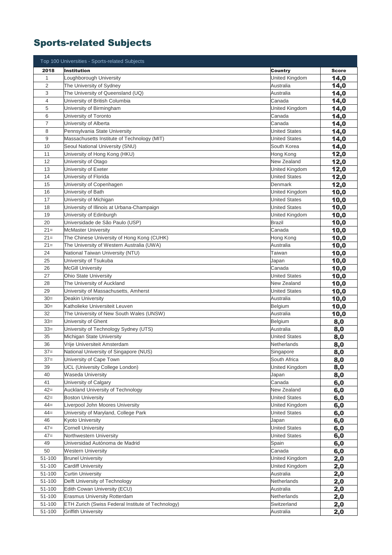## Sports-related Subjects

|                | Top 100 Universities - Sports-related Subjects     |                      |              |
|----------------|----------------------------------------------------|----------------------|--------------|
| 2018           | <b>Institution</b>                                 | <b>Country</b>       | <b>Score</b> |
| $\mathbf 1$    | Loughborough University                            | United Kingdom       | 14,0         |
| $\overline{2}$ | The University of Sydney                           | Australia            | 14,0         |
| 3              | The University of Queensland (UQ)                  | Australia            | 14,0         |
| 4              | University of British Columbia                     | Canada               | 14,0         |
| 5              | University of Birmingham                           | United Kingdom       | 14,0         |
| 6              | University of Toronto                              | Canada               | 14,0         |
| $\overline{7}$ | University of Alberta                              | Canada               | 14,0         |
| 8              | Pennsylvania State University                      | <b>United States</b> | 14,0         |
| 9              | Massachusetts Institute of Technology (MIT)        | <b>United States</b> | 14,0         |
| 10             | Seoul National University (SNU)                    | South Korea          | 14,0         |
| 11             | University of Hong Kong (HKU)                      | Hong Kong            | 12,0         |
| 12             | University of Otago                                | New Zealand          | 12,0         |
| 13             | University of Exeter                               | United Kingdom       | 12,0         |
| 14             | University of Florida                              | <b>United States</b> | 12,0         |
| 15             | University of Copenhagen                           | Denmark              | 12,0         |
| 16             | University of Bath                                 | United Kingdom       | 10,0         |
| 17             | University of Michigan                             | <b>United States</b> | 10,0         |
| 18             | University of Illinois at Urbana-Champaign         | <b>United States</b> | 10,0         |
| 19             | University of Edinburgh                            | United Kingdom       | 10,0         |
| 20             | Universidade de São Paulo (USP)                    | <b>Brazil</b>        | 10,0         |
| $21=$          | <b>McMaster University</b>                         | Canada               | 10,0         |
| $21=$          | The Chinese University of Hong Kong (CUHK)         | Hong Kong            | 10,0         |
| $21 =$         | The University of Western Australia (UWA)          | Australia            | 10,0         |
| 24             | National Taiwan University (NTU)                   | Taiwan               | 10,0         |
| 25             | University of Tsukuba                              | Japan                | 10,0         |
| 26             | <b>McGill University</b>                           | Canada               | 10,0         |
| 27             | <b>Ohio State University</b>                       | <b>United States</b> | 10,0         |
| 28             | The University of Auckland                         | New Zealand          | 10,0         |
| 29             | University of Massachusetts, Amherst               | <b>United States</b> | 10,0         |
| $30=$          | Deakin University                                  | Australia            | 10,0         |
| $30=$          | Katholieke Universiteit Leuven                     | Belgium              | 10,0         |
| 32             | The University of New South Wales (UNSW)           | Australia            | 10,0         |
| $33=$          | University of Ghent                                | Belgium              | 8,0          |
| $33=$          | University of Technology Sydney (UTS)              | Australia            | 8,0          |
| 35             | Michigan State University                          | <b>United States</b> | 8,0          |
| 36             | Vrije Universiteit Amsterdam                       | <b>Netherlands</b>   | 8,0          |
| $37=$          | National University of Singapore (NUS)             | Singapore            | 8,0          |
| $37=$          | University of Cape Town                            | South Africa         | 8,0          |
| 39             | <b>UCL (University College London)</b>             | United Kingdom       | 8,0          |
| 40             | Waseda University                                  | Japan                | 8,0          |
| 41             | University of Calgary                              | Canada               | 6,0          |
| $42 =$         | Auckland University of Technology                  | New Zealand          | 6,0          |
| $42 =$         | <b>Boston University</b>                           | <b>United States</b> | 6,0          |
| $44 =$         | Liverpool John Moores University                   | United Kingdom       | 6,0          |
| $44 =$         | University of Maryland, College Park               | <b>United States</b> | 6,0          |
| 46             | Kyoto University                                   | Japan                | 6,0          |
| $47 =$         | <b>Cornell University</b>                          | <b>United States</b> | 6,0          |
| $47=$          | Northwestern University                            | <b>United States</b> | 6,0          |
| 49             | Universidad Autónoma de Madrid                     | Spain                | 6,0          |
| 50             | <b>Western University</b>                          | Canada               | 6,0          |
| 51-100         | <b>Brunel University</b>                           | United Kingdom       | 2,0          |
| 51-100         | <b>Cardiff University</b>                          | United Kingdom       | 2,0          |
| 51-100         | <b>Curtin University</b>                           | Australia            | 2,0          |
| 51-100         | Delft University of Technology                     | Netherlands          | 2,0          |
| 51-100         | Edith Cowan University (ECU)                       | Australia            | 2,0          |
| 51-100         | <b>Erasmus University Rotterdam</b>                | Netherlands          | 2,0          |
| 51-100         | ETH Zurich (Swiss Federal Institute of Technology) | Switzerland          | 2,0          |
| 51-100         | <b>Griffith University</b>                         | Australia            | <u>2,0</u>   |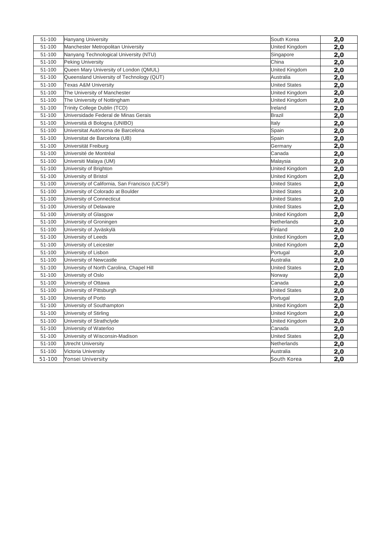| 51-100 | <b>Hanyang University</b>                      | South Korea          | 2,0 |
|--------|------------------------------------------------|----------------------|-----|
| 51-100 | Manchester Metropolitan University             | United Kingdom       | 2,0 |
| 51-100 | Nanyang Technological University (NTU)         | Singapore            | 2,0 |
| 51-100 | <b>Peking University</b>                       | China                | 2,0 |
| 51-100 | Queen Mary University of London (QMUL)         | United Kingdom       | 2,0 |
| 51-100 | Queensland University of Technology (QUT)      | Australia            | 2,0 |
| 51-100 | <b>Texas A&amp;M University</b>                | <b>United States</b> | 2,0 |
| 51-100 | The University of Manchester                   | United Kingdom       | 2,0 |
| 51-100 | The University of Nottingham                   | United Kingdom       | 2,0 |
| 51-100 | Trinity College Dublin (TCD)                   | Ireland              | 2,0 |
| 51-100 | Universidade Federal de Minas Gerais           | <b>Brazil</b>        | 2,0 |
| 51-100 | Università di Bologna (UNIBO)                  | Italy                | 2,0 |
| 51-100 | Universitat Autónoma de Barcelona              | Spain                | 2,0 |
| 51-100 | Universitat de Barcelona (UB)                  | Spain                | 2,0 |
| 51-100 | Universität Freiburg                           | Germany              | 2,0 |
| 51-100 | Université de Montréal                         | Canada               | 2,0 |
| 51-100 | Universiti Malaya (UM)                         | Malaysia             | 2,0 |
| 51-100 | University of Brighton                         | United Kingdom       | 2,0 |
| 51-100 | University of Bristol                          | United Kingdom       | 2,0 |
| 51-100 | University of California, San Francisco (UCSF) | <b>United States</b> | 2,0 |
| 51-100 | University of Colorado at Boulder              | <b>United States</b> | 2,0 |
| 51-100 | University of Connecticut                      | <b>United States</b> | 2,0 |
| 51-100 | University of Delaware                         | <b>United States</b> | 2,0 |
| 51-100 | University of Glasgow                          | United Kingdom       | 2,0 |
| 51-100 | University of Groningen                        | Netherlands          | 2,0 |
| 51-100 | University of Jyväskylä                        | Finland              | 2,0 |
| 51-100 | University of Leeds                            | United Kingdom       | 2,0 |
| 51-100 | University of Leicester                        | United Kingdom       | 2,0 |
| 51-100 | University of Lisbon                           | Portugal             | 2,0 |
| 51-100 | University of Newcastle                        | Australia            | 2,0 |
| 51-100 | University of North Carolina, Chapel Hill      | <b>United States</b> | 2,0 |
| 51-100 | University of Oslo                             | Norway               | 2,0 |
| 51-100 | University of Ottawa                           | Canada               | 2,0 |
| 51-100 | University of Pittsburgh                       | <b>United States</b> | 2,0 |
| 51-100 | University of Porto                            | Portugal             | 2,0 |
| 51-100 | University of Southampton                      | United Kingdom       | 2,0 |
| 51-100 | University of Stirling                         | United Kingdom       | 2,0 |
| 51-100 | University of Strathclyde                      | United Kingdom       | 2,0 |
| 51-100 | University of Waterloo                         | Canada               | 2,0 |
| 51-100 | University of Wisconsin-Madison                | <b>United States</b> | 2,0 |
| 51-100 | <b>Utrecht University</b>                      | Netherlands          | 2,0 |
| 51-100 | Victoria University                            | Australia            | 2,0 |
| 51-100 | Yonsei University                              | South Korea          | 2,0 |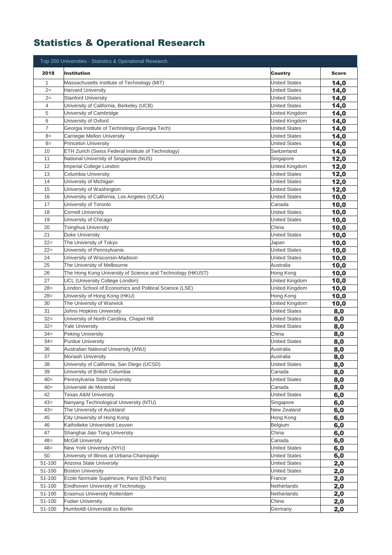## Statistics & Operational Research

|                | Top 200 Universities - Statistics & Operational Research            |                                              |              |
|----------------|---------------------------------------------------------------------|----------------------------------------------|--------------|
| 2018           | <b>Institution</b>                                                  | Country                                      | <b>Score</b> |
| 1              | Massachusetts Institute of Technology (MIT)                         | <b>United States</b>                         | 14,0         |
| $2=$           | <b>Harvard University</b>                                           | <b>United States</b>                         | 14,0         |
| $2=$           | <b>Stanford University</b>                                          | <b>United States</b>                         | 14,0         |
| $\overline{4}$ | University of California, Berkeley (UCB)                            | <b>United States</b>                         | 14,0         |
| 5              | University of Cambridge                                             | United Kingdom                               | 14,0         |
| 6              | University of Oxford                                                | United Kingdom                               | 14,0         |
| $\overline{7}$ | Georgia Institute of Technology (Georgia Tech)                      | <b>United States</b>                         | 14,0         |
| $8=$           | Carnegie Mellon University                                          | <b>United States</b>                         | 14,0         |
| $8=$           | <b>Princeton University</b>                                         | <b>United States</b>                         | 14,0         |
| 10             | ETH Zurich (Swiss Federal Institute of Technology)                  | Switzerland                                  | 14,0         |
| 11             | National University of Singapore (NUS)                              | Singapore                                    | 12,0         |
| 12             | Imperial College London                                             | United Kingdom                               | 12,0         |
| 13             | Columbia University                                                 | <b>United States</b>                         | 12,0         |
| 14             | University of Michigan                                              | <b>United States</b>                         | 12,0         |
| 15             | University of Washington                                            | <b>United States</b>                         | 12,0         |
| 16             | University of California, Los Angeles (UCLA)                        | <b>United States</b>                         | 10,0         |
| 17             | University of Toronto                                               | Canada                                       | 10,0         |
| 18             | <b>Cornell University</b>                                           | <b>United States</b>                         | 10,0         |
| 19             | University of Chicago                                               | <b>United States</b>                         | 10,0         |
| 20             | Tsinghua University                                                 | China                                        | 10,0         |
| 21             | Duke University                                                     | <b>United States</b>                         | 10,0         |
| $22 =$         | The University of Tokyo                                             | Japan                                        | 10,0         |
| $22 =$         | University of Pennsylvania                                          | <b>United States</b>                         | 10,0         |
| 24             | University of Wisconsin-Madison                                     | <b>United States</b>                         | 10,0         |
| 25             | The University of Melbourne                                         | Australia                                    | 10,0         |
| 26             | The Hong Kong University of Science and Technology (HKUST)          | Hong Kong                                    | 10,0         |
| 27             | UCL (University College London)                                     | United Kingdom                               | 10,0         |
| $28=$          | London School of Economics and Political Science (LSE)              | United Kingdom                               | 10,0         |
| $28=$          | University of Hong Kong (HKU)                                       | Hong Kong                                    | 10,0         |
| 30             | The University of Warwick                                           | United Kingdom                               | 10,0         |
| 31             | Johns Hopkins University                                            | <b>United States</b>                         | 8,0          |
| $32=$<br>$32=$ | University of North Carolina, Chapel Hill<br><b>Yale University</b> | <b>United States</b><br><b>United States</b> | 8,0          |
| $34 =$         | <b>Peking University</b>                                            | China                                        | 8,0          |
| $34 =$         | <b>Purdue University</b>                                            | <b>United States</b>                         | 8,0          |
| 36             |                                                                     | Australia                                    | 8,0          |
| 37             | Australian National University (ANU)<br><b>Monash University</b>    | Australia                                    | 8,0<br>8,0   |
| 38             | University of California, San Diego (UCSD)                          | <b>United States</b>                         | 8,0          |
| 39             | University of British Columbia                                      | Canada                                       | 8,0          |
| $40=$          | Pennsylvania State University                                       | <b>United States</b>                         | 8,0          |
| $40=$          | Université de Montréal                                              | Canada                                       | 8,0          |
| 42             | <b>Texas A&amp;M University</b>                                     | <b>United States</b>                         | 6,0          |
| $43=$          | Nanyang Technological University (NTU)                              | Singapore                                    | 6,0          |
| $43=$          | The University of Auckland                                          | New Zealand                                  | 6,0          |
| 45             | City University of Hong Kong                                        | Hong Kong                                    | 6,0          |
| 46             | Katholieke Universiteit Leuven                                      | Belgium                                      | 6,0          |
| 47             | Shanghai Jiao Tong University                                       | China                                        | 6,0          |
| $48 =$         | <b>McGill University</b>                                            | Canada                                       | 6,0          |
| $48=$          | New York University (NYU)                                           | <b>United States</b>                         | 6,0          |
| 50             | University of Illinois at Urbana-Champaign                          | <b>United States</b>                         | 6,0          |
| 51-100         | Arizona State University                                            | <b>United States</b>                         | 2,0          |
| 51-100         | <b>Boston University</b>                                            | <b>United States</b>                         | 2,0          |
| 51-100         | Ecole Normale Supérieure, Paris (ENS Paris)                         | France                                       | 2,0          |
| 51-100         | Eindhoven University of Technology                                  | Netherlands                                  | 2,0          |
| 51-100         | Erasmus University Rotterdam                                        | Netherlands                                  | 2,0          |
| $51 - 100$     | <b>Fudan University</b>                                             | China                                        | 2,0          |
| 51-100         | Humboldt-Universität zu Berlin                                      | Germany                                      | 2,0          |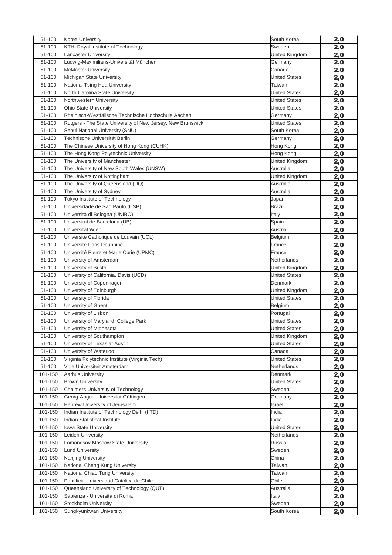| 51-100  | Korea University                                            | South Korea          | 2,0        |
|---------|-------------------------------------------------------------|----------------------|------------|
| 51-100  | KTH, Royal Institute of Technology                          | Sweden               | 2,0        |
| 51-100  | <b>Lancaster University</b>                                 | United Kingdom       | 2,0        |
| 51-100  | Ludwig-Maximilians-Universität München                      | Germany              | 2,0        |
| 51-100  | <b>McMaster University</b>                                  | Canada               | 2,0        |
| 51-100  | Michigan State University                                   | <b>United States</b> | 2,0        |
| 51-100  | National Tsing Hua University                               | Taiwan               | 2,0        |
| 51-100  | North Carolina State University                             | <b>United States</b> | 2,0        |
| 51-100  | Northwestern University                                     | <b>United States</b> | 2,0        |
| 51-100  | <b>Ohio State University</b>                                | <b>United States</b> | 2,0        |
| 51-100  | Rheinisch-Westfälische Technische Hochschule Aachen         | Germany              | 2,0        |
| 51-100  | Rutgers - The State University of New Jersey, New Brunswick | <b>United States</b> | 2,0        |
| 51-100  | Seoul National University (SNU)                             | South Korea          | 2,0        |
| 51-100  | Technische Universität Berlin                               | Germany              | 2,0        |
| 51-100  | The Chinese University of Hong Kong (CUHK)                  | Hong Kong            | 2,0        |
| 51-100  | The Hong Kong Polytechnic University                        | Hong Kong            | 2,0        |
| 51-100  | The University of Manchester                                | United Kingdom       | 2,0        |
| 51-100  | The University of New South Wales (UNSW)                    | Australia            | 2,0        |
| 51-100  | The University of Nottingham                                | United Kingdom       | 2,0        |
| 51-100  | The University of Oueensland (UO)                           | Australia            | 2,0        |
| 51-100  | The University of Sydney                                    | Australia            | 2,0        |
| 51-100  | Tokyo Institute of Technology                               | Japan                | 2,0        |
| 51-100  | Universidade de São Paulo (USP)                             | Brazil               | 2,0        |
| 51-100  | Università di Bologna (UNIBO)                               | Italy                | 2,0        |
| 51-100  | Universitat de Barcelona (UB)                               | Spain                | 2,0        |
| 51-100  | Universität Wien                                            | Austria              | 2,0        |
| 51-100  | Université Catholique de Louvain (UCL)                      | Belgium              | 2,0        |
| 51-100  | Université Paris Dauphine                                   | France               | 2,0        |
| 51-100  | Université Pierre et Marie Curie (UPMC)                     | France               | 2,0        |
| 51-100  | University of Amsterdam                                     | Netherlands          | 2,0        |
| 51-100  | University of Bristol                                       | United Kingdom       | 2,0        |
| 51-100  | University of California, Davis (UCD)                       | <b>United States</b> | 2,0        |
| 51-100  | University of Copenhagen                                    | Denmark              | 2,0        |
| 51-100  | University of Edinburgh                                     | United Kingdom       | 2,0        |
| 51-100  | University of Florida                                       | <b>United States</b> | 2,0        |
| 51-100  | University of Ghent                                         | Belgium              | 2,0        |
| 51-100  | University of Lisbon                                        | Portugal             | 2,0        |
| 51-100  | University of Maryland, College Park                        | <b>United States</b> | 2,0        |
| 51-100  | University of Minnesota                                     | <b>United States</b> | 2,0        |
| 51-100  | University of Southampton                                   | United Kingdom       | 2,0        |
| 51-100  | University of Texas at Austin                               | <b>United States</b> | 2,0        |
| 51-100  | University of Waterloo                                      | Canada               | 2,0        |
| 51-100  | Virginia Polytechnic Institute (Virginia Tech)              | <b>United States</b> | 2,0        |
| 51-100  | Vrije Universiteit Amsterdam                                | Netherlands          | 2,0        |
| 101-150 | Aarhus University                                           | Denmark              | 2,0        |
| 101-150 | <b>Brown University</b>                                     | <b>United States</b> | <u>2,0</u> |
| 101-150 | <b>Chalmers University of Technology</b>                    | Sweden               | 2,0        |
| 101-150 | Georg-August-Universität Göttingen                          | Germany              | 2,0        |
| 101-150 | Hebrew University of Jerusalem                              | Israel               | 2,0        |
| 101-150 | Indian Institute of Technology Delhi (IITD)                 | India                | 2,0        |
| 101-150 | Indian Statistical Institute                                | India                | 2,0        |
| 101-150 | Iowa State University                                       | <b>United States</b> | 2,0        |
| 101-150 | Leiden University                                           | Netherlands          | 2,0        |
| 101-150 | Lomonosov Moscow State University                           | Russia               | 2,0        |
| 101-150 | <b>Lund University</b>                                      | Sweden               | 2,0        |
| 101-150 | Nanjing University                                          | China                | 2,0        |
| 101-150 | National Cheng Kung University                              | Taiwan               | 2,0        |
| 101-150 | National Chiao Tung University                              | Taiwan               | 2,0        |
| 101-150 | Pontificia Universidad Católica de Chile                    | Chile                | <u>2,0</u> |
| 101-150 | Queensland University of Technology (QUT)                   | Australia            | 2,0        |
| 101-150 | Sapienza - Università di Roma                               | Italy                | 2,0        |
| 101-150 | Stockholm University                                        | Sweden               | 2,0        |
| 101-150 | Sungkyunkwan University                                     | South Korea          | 2,0        |
|         |                                                             |                      |            |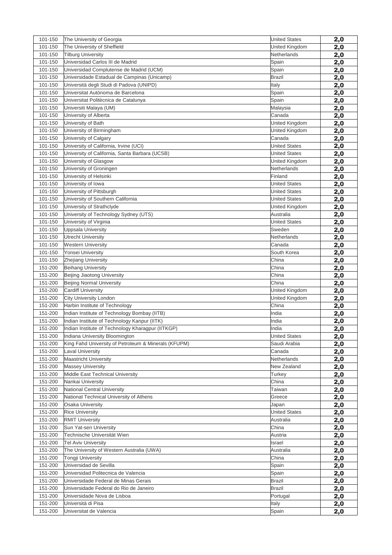| 101-150 | The University of Georgia                            | <b>United States</b> | 2,0        |
|---------|------------------------------------------------------|----------------------|------------|
| 101-150 | The University of Sheffield                          | United Kingdom       | 2,0        |
| 101-150 | <b>Tilburg University</b>                            | Netherlands          | 2,0        |
| 101-150 | Universidad Carlos III de Madrid                     | Spain                | 2,0        |
| 101-150 | Universidad Complutense de Madrid (UCM)              | Spain                | 2,0        |
| 101-150 | Universidade Estadual de Campinas (Unicamp)          | <b>Brazil</b>        | 2,0        |
| 101-150 | Università degli Studi di Padova (UNIPD)             | Italy                | 2,0        |
| 101-150 | Universitat Autónoma de Barcelona                    | Spain                | <u>2,0</u> |
| 101-150 | Universitat Politècnica de Catalunya                 | Spain                | 2,0        |
| 101-150 | Universiti Malaya (UM)                               | Malaysia             | 2,0        |
| 101-150 | University of Alberta                                | Canada               | 2,0        |
| 101-150 | University of Bath                                   | United Kingdom       | 2,0        |
| 101-150 | University of Birmingham                             | United Kingdom       | 2,0        |
| 101-150 | University of Calgary                                | Canada               | 2,0        |
| 101-150 | University of California, Irvine (UCI)               | <b>United States</b> | 2,0        |
| 101-150 | University of California, Santa Barbara (UCSB)       | <b>United States</b> | 2,0        |
| 101-150 | University of Glasgow                                | United Kingdom       | 2,0        |
| 101-150 | University of Groningen                              | Netherlands          | 2,0        |
| 101-150 | University of Helsinki                               | Finland              | 2,0        |
| 101-150 | University of Iowa                                   | <b>United States</b> | 2,0        |
| 101-150 | University of Pittsburgh                             | <b>United States</b> | 2,0        |
| 101-150 | University of Southern California                    | <b>United States</b> | 2,0        |
| 101-150 | University of Strathclyde                            | United Kingdom       | 2,0        |
| 101-150 | University of Technology Sydney (UTS)                | Australia            | 2,0        |
| 101-150 | University of Virginia                               | <b>United States</b> | 2,0        |
| 101-150 | <b>Uppsala University</b>                            | Sweden               | 2,0        |
| 101-150 | <b>Utrecht University</b>                            | Netherlands          | 2,0        |
| 101-150 | <b>Western University</b>                            | Canada               | 2,0        |
| 101-150 | Yonsei University                                    | South Korea          | 2,0        |
| 101-150 | Zhejiang University                                  | China                | 2,0        |
| 151-200 | <b>Beihang University</b>                            | China                | 2,0        |
| 151-200 | Beijing Jiaotong University                          | China                | 2,0        |
| 151-200 | Beijing Normal University                            | China                | 2,0        |
| 151-200 | <b>Cardiff University</b>                            | United Kingdom       | 2,0        |
| 151-200 | City University London                               | United Kingdom       | 2,0        |
| 151-200 | Harbin Institute of Technology                       | China                | 2,0        |
| 151-200 | Indian Institute of Technology Bombay (IITB)         | India                | 2,0        |
| 151-200 | Indian Institute of Technology Kanpur (IITK)         | India                | 2,0        |
| 151-200 | Indian Institute of Technology Kharagpur (IITKGP)    | India                | 2,0        |
| 151-200 | Indiana University Bloomington                       | <b>United States</b> | 2,0        |
| 151-200 | King Fahd University of Petroleum & Minerals (KFUPM) | Saudi Arabia         | 2,0        |
| 151-200 | <b>Laval University</b>                              | Canada               | 2,0        |
| 151-200 | <b>Maastricht University</b>                         | Netherlands          | 2,0        |
| 151-200 | <b>Massey University</b>                             | New Zealand          | 2,0        |
| 151-200 | Middle East Technical University                     | Turkey               | 2,0        |
| 151-200 | Nankai University                                    | China                | 2,0        |
| 151-200 | National Central University                          | Taiwan               | 2,0        |
| 151-200 | National Technical University of Athens              | Greece               | 2,0        |
| 151-200 | <b>Osaka University</b>                              | Japan                | 2,0        |
| 151-200 | <b>Rice University</b>                               | <b>United States</b> | 2,0        |
| 151-200 | <b>RMIT University</b>                               | Australia            | 2,0        |
| 151-200 | Sun Yat-sen University                               | China                | 2,0        |
| 151-200 | Technische Universität Wien                          | Austria              | 2,0        |
| 151-200 | <b>Tel Aviv University</b>                           | Israel               | 2,0        |
| 151-200 | The University of Western Australia (UWA)            | Australia            | 2,0        |
| 151-200 | <b>Tongji University</b>                             | China                | 2,0        |
| 151-200 | Universidad de Sevilla                               | Spain                | 2,0        |
| 151-200 | Universidad Politecnica de Valencia                  | Spain                | 2,0        |
| 151-200 | Universidade Federal de Minas Gerais                 | Brazil               | 2,0        |
| 151-200 | Universidade Federal do Rio de Janeiro               | Brazil               |            |
| 151-200 | Universidade Nova de Lisboa                          | Portugal             | 2,0        |
| 151-200 | Università di Pisa                                   | Italy                | 2,0        |
|         |                                                      |                      | 2,0        |
| 151-200 | Universitat de Valencia                              | Spain                | 2,0        |